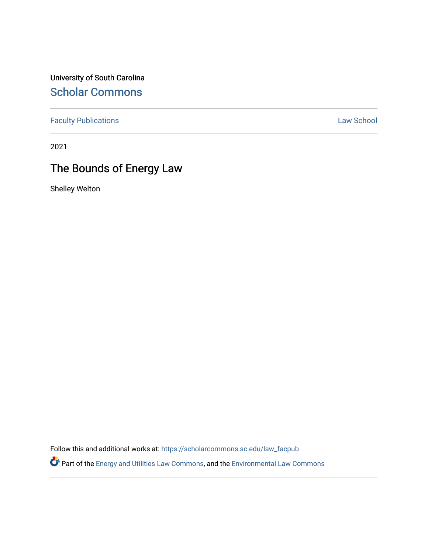University of South Carolina [Scholar Commons](https://scholarcommons.sc.edu/) 

[Faculty Publications](https://scholarcommons.sc.edu/law_facpub) **Law School** 

2021

# The Bounds of Energy Law

Shelley Welton

Follow this and additional works at: [https://scholarcommons.sc.edu/law\\_facpub](https://scholarcommons.sc.edu/law_facpub?utm_source=scholarcommons.sc.edu%2Flaw_facpub%2F602&utm_medium=PDF&utm_campaign=PDFCoverPages) 

Part of the [Energy and Utilities Law Commons,](https://network.bepress.com/hgg/discipline/891?utm_source=scholarcommons.sc.edu%2Flaw_facpub%2F602&utm_medium=PDF&utm_campaign=PDFCoverPages) and the [Environmental Law Commons](https://network.bepress.com/hgg/discipline/599?utm_source=scholarcommons.sc.edu%2Flaw_facpub%2F602&utm_medium=PDF&utm_campaign=PDFCoverPages)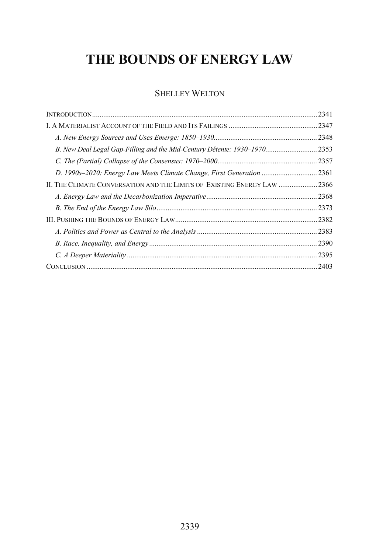# **THE BOUNDS OF ENERGY LAW**

### SHELLEY WELTON

| B. New Deal Legal Gap-Filling and the Mid-Century Détente: 1930–19702353 |       |
|--------------------------------------------------------------------------|-------|
|                                                                          | .2357 |
|                                                                          |       |
| II. THE CLIMATE CONVERSATION AND THE LIMITS OF EXISTING ENERGY LAW  2366 |       |
|                                                                          |       |
|                                                                          |       |
|                                                                          |       |
|                                                                          |       |
|                                                                          | 2390  |
|                                                                          |       |
|                                                                          |       |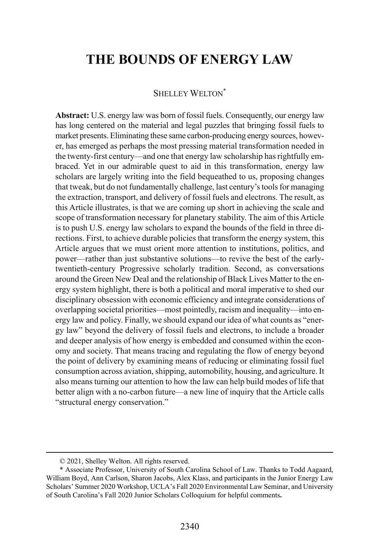## **THE BOUNDS OF ENERGY LAW**

#### SHELLEY WELTON\*

**Abstract:** U.S. energy law was born of fossil fuels. Consequently, our energy law has long centered on the material and legal puzzles that bringing fossil fuels to market presents. Eliminating these same carbon-producing energy sources, however, has emerged as perhaps the most pressing material transformation needed in the twenty-first century—and one that energy law scholarship has rightfully embraced. Yet in our admirable quest to aid in this transformation, energy law scholars are largely writing into the field bequeathed to us, proposing changes that tweak, but do not fundamentally challenge, last century's tools for managing the extraction, transport, and delivery of fossil fuels and electrons. The result, as this Article illustrates, is that we are coming up short in achieving the scale and scope of transformation necessary for planetary stability. The aim of this Article is to push U.S. energy law scholars to expand the bounds of the field in three directions. First, to achieve durable policies that transform the energy system, this Article argues that we must orient more attention to institutions, politics, and power—rather than just substantive solutions—to revive the best of the earlytwentieth-century Progressive scholarly tradition. Second, as conversations around the Green New Deal and the relationship of Black Lives Matter to the energy system highlight, there is both a political and moral imperative to shed our disciplinary obsession with economic efficiency and integrate considerations of overlapping societal priorities—most pointedly, racism and inequality—into energy law and policy. Finally, we should expand our idea of what counts as "energy law" beyond the delivery of fossil fuels and electrons, to include a broader and deeper analysis of how energy is embedded and consumed within the economy and society. That means tracing and regulating the flow of energy beyond the point of delivery by examining means of reducing or eliminating fossil fuel consumption across aviation, shipping, automobility, housing, and agriculture. It also means turning our attention to how the law can help build modes of life that better align with a no-carbon future—a new line of inquiry that the Article calls "structural energy conservation."

 <sup>© 2021,</sup> Shelley Welton. All rights reserved.

<sup>\*</sup> Associate Professor, University of South Carolina School of Law. Thanks to Todd Aagaard, William Boyd, Ann Carlson, Sharon Jacobs, Alex Klass, and participants in the Junior Energy Law Scholars' Summer 2020 Workshop, UCLA's Fall 2020 Environmental Law Seminar, and University of South Carolina's Fall 2020 Junior Scholars Colloquium for helpful comments**.**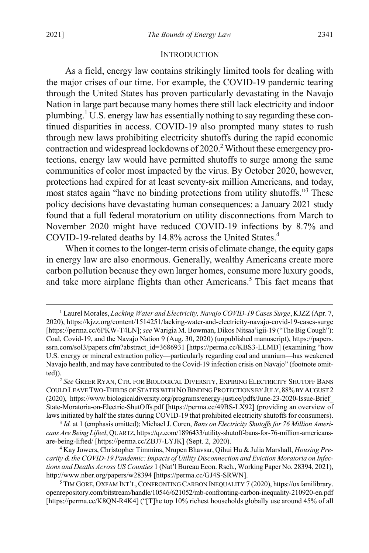#### **INTRODUCTION**

As a field, energy law contains strikingly limited tools for dealing with the major crises of our time. For example, the COVID-19 pandemic tearing through the United States has proven particularly devastating in the Navajo Nation in large part because many homes there still lack electricity and indoor plumbing.1 U.S. energy law has essentially nothing to say regarding these continued disparities in access. COVID-19 also prompted many states to rush through new laws prohibiting electricity shutoffs during the rapid economic contraction and widespread lockdowns of 2020.<sup>2</sup> Without these emergency protections, energy law would have permitted shutoffs to surge among the same communities of color most impacted by the virus. By October 2020, however, protections had expired for at least seventy-six million Americans, and today, most states again "have no binding protections from utility shutoffs."3 These policy decisions have devastating human consequences: a January 2021 study found that a full federal moratorium on utility disconnections from March to November 2020 might have reduced COVID-19 infections by 8.7% and COVID-19-related deaths by 14.8% across the United States.<sup>4</sup>

<span id="page-3-0"></span>When it comes to the longer-term crisis of climate change, the equity gaps in energy law are also enormous. Generally, wealthy Americans create more carbon pollution because they own larger homes, consume more luxury goods, and take more airplane flights than other Americans. <sup>5</sup> This fact means that

 <sup>1</sup> Laurel Morales, *Lacking Water and Electricity, Navajo COVID-19 Cases Surge*, KJZZ (Apr. 7, 2020), https://kjzz.org/content/1514251/lacking-water-and-electricity-navajo-covid-19-cases-surge [https://perma.cc/6PKW-T4LN];*see* Warigia M. Bowman, Dikos Nitsaa'igii-19 ("The Big Cough"): Coal, Covid-19, and the Navajo Nation 9 (Aug. 30, 2020) (unpublished manuscript), https://papers. ssrn.com/sol3/papers.cfm?abstract\_id=3686931 [https://perma.cc/KBS3-LLMD] (examining "how U.S. energy or mineral extraction policy—particularly regarding coal and uranium—has weakened Navajo health, and may have contributed to the Covid-19 infection crisis on Navajo" (footnote omitted)).<br><sup>2</sup> *See* Greer Ryan, Ctr. for Biological Diversity, Expiring Electricity Shutoff Bans

COULD LEAVE TWO-THIRDS OF STATES WITH NO BINDING PROTECTIONS BY JULY,88% BY AUGUST2 (2020), [https://www.biologicaldiversity.org/programs/energy-justice/pdfs/June-23-2020-Issue-Brief\\_](https://www.biologicaldiversity.org/programs/energy-justice/pdfs/June-23-2020-Issue-Brief_State-Moratoria-on-Electric-ShutOffs.pdf) [State-Moratoria-on-Electric-ShutOffs.pdf](https://www.biologicaldiversity.org/programs/energy-justice/pdfs/June-23-2020-Issue-Brief_State-Moratoria-on-Electric-ShutOffs.pdf) [https://perma.cc/49BS-LX92] (providing an overview of laws initiated by half the states during COVID-19 that prohibited electricity shutoffs for consumers).

<sup>3</sup> *Id.* at 1 (emphasis omitted); Michael J. Coren, *Bans on Electricity Shutoffs for 76 Million Americans Are Being Lifted*, QUARTZ, https://qz.com/1896433/utility-shutoff-bans-for-76-million-americansare-being-lifted/ [https://perma.cc/ZBJ7-LYJK] (Sept. 2, 2020).

<sup>4</sup> Kay Jowers, Christopher Timmins, Nrupen Bhavsar, Qihui Hu & Julia Marshall, *Housing Precarity & the COVID-19 Pandemic: Impacts of Utility Disconnection and Eviction Moratoria on Infections and Deaths Across US Counties* 1 (Nat'l Bureau Econ. Rsch., Working Paper No. 28394, 2021), http://www.nber.org/papers/w28394 [https://perma.cc/GJ4S-SRWN]. 5 TIM GORE, OXFAM INT'L,CONFRONTING CARBON INEQUALITY 7 (2020), https://oxfamilibrary.

openrepository.com/bitstream/handle/10546/621052/mb-confronting-carbon-inequality-210920-en.pdf [https://perma.cc/K8QN-R4K4] ("[T]he top 10% richest households globally use around 45% of all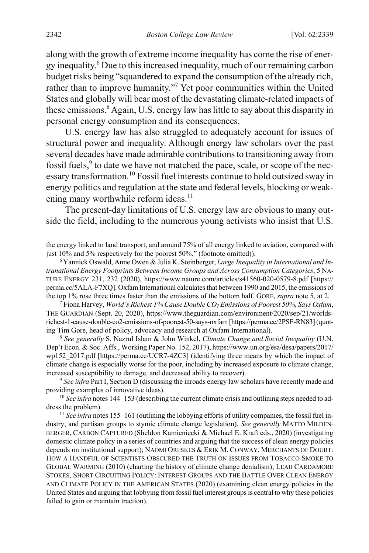<span id="page-4-1"></span>along with the growth of extreme income inequality has come the rise of energy inequality. <sup>6</sup> Due to this increased inequality, much of our remaining carbon budget risks being "squandered to expand the consumption of the already rich, rather than to improve humanity."<sup>7</sup> Yet poor communities within the United States and globally will bear most of the devastating climate-related impacts of these emissions.<sup>8</sup> Again, U.S. energy law has little to say about this disparity in personal energy consumption and its consequences.

U.S. energy law has also struggled to adequately account for issues of structural power and inequality. Although energy law scholars over the past several decades have made admirable contributions to transitioning away from fossil fuels, $9$  to date we have not matched the pace, scale, or scope of the necessary transformation.10 Fossil fuel interests continue to hold outsized sway in energy politics and regulation at the state and federal levels, blocking or weakening many worthwhile reform ideas.<sup>11</sup>

<span id="page-4-0"></span>The present-day limitations of U.S. energy law are obvious to many outside the field, including to the numerous young activists who insist that U.S.

the energy linked to land transport, and around 75% of all energy linked to aviation, compared with just 10% and 5% respectively for the poorest 50%." (footnote omitted)).

<sup>6</sup> Yannick Oswald, Anne Owen & Julia K. Steinberger, *Large Inequality in International and Intranational Energy Footprints Between Income Groups and Across Consumption Categories*, 5 NA-TURE ENERGY 231, 232 (2020), https://www.nature.com/articles/s41560-020-0579-8.pdf [https:// perma.cc/5ALA-F7XQ]. Oxfam International calculates that between 1990 and 2015, the emissions of the top 1% rose three times faster than the emissions of the bottom half. GORE, *supra* note [5,](#page-3-0) at 2.

<sup>7</sup> Fiona Harvey, *World's Richest 1% Cause Double CO2 Emissions of Poorest 50%, Says Oxfam*, THE GUARDIAN (Sept. 20, 2020), https://www.theguardian.com/environment/2020/sep/21/worldsrichest-1-cause-double-co2-emissions-of-poorest-50-says-oxfam [https://perma.cc/2PSF-RN83] (quoting Tim Gore, head of policy, advocacy and research at Oxfam International). 8 *See generally* S. Nazrul Islam & John Winkel, *Climate Change and Social Inequality* (U.N.

Dep't Econ. & Soc. Affs., Working Paper No. 152, 2017), https://www.un.org/esa/desa/papers/2017/ wp152\_2017.pdf [https://perma.cc/UCR7-4ZC3] (identifying three means by which the impact of climate change is especially worse for the poor, including by increased exposure to climate change, increased susceptibility to damage, and decreased ability to recover).

<sup>9</sup> *See infra* Part I, Section D (discussing the inroads energy law scholars have recently made and providing examples of innovative ideas).

<sup>10</sup> *See infra* note[s 144](#page-30-0)[–153](#page-31-0) (describing the current climate crisis and outlining steps needed to address the problem).

<sup>11</sup> *See infra* note[s 155](#page-32-0)[–161](#page-33-0) (outlining the lobbying efforts of utility companies, the fossil fuel industry, and partisan groups to stymie climate change legislation). *See generally* MATTO MILDEN-BERGER, CARBON CAPTURED (Sheldon Kamieniecki & Michael E. Kraft eds., 2020) (investigating domestic climate policy in a series of countries and arguing that the success of clean energy policies depends on institutional support); NAOMI ORESKES & ERIK M. CONWAY, MERCHANTS OF DOUBT: HOW A HANDFUL OF SCIENTISTS OBSCURED THE TRUTH ON ISSUES FROM TOBACCO SMOKE TO GLOBAL WARMING (2010) (charting the history of climate change denialism); LEAH CARDAMORE STOKES, SHORT CIRCUITING POLICY: INTEREST GROUPS AND THE BATTLE OVER CLEAN ENERGY AND CLIMATE POLICY IN THE AMERICAN STATES (2020) (examining clean energy policies in the United States and arguing that lobbying from fossil fuel interest groups is central to why these policies failed to gain or maintain traction).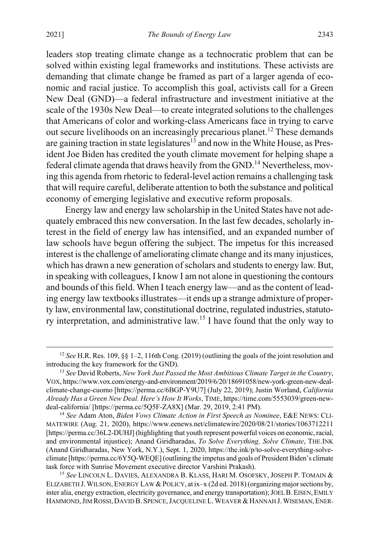leaders stop treating climate change as a technocratic problem that can be solved within existing legal frameworks and institutions. These activists are demanding that climate change be framed as part of a larger agenda of economic and racial justice. To accomplish this goal, activists call for a Green New Deal (GND)—a federal infrastructure and investment initiative at the scale of the 1930s New Deal—to create integrated solutions to the challenges that Americans of color and working-class Americans face in trying to carve out secure livelihoods on an increasingly precarious planet.<sup>12</sup> These demands are gaining traction in state legislatures<sup>13</sup> and now in the White House, as President Joe Biden has credited the youth climate movement for helping shape a federal climate agenda that draws heavily from the GND.<sup>14</sup> Nevertheless, moving this agenda from rhetoric to federal-level action remains a challenging task that will require careful, deliberate attention to both the substance and political economy of emerging legislative and executive reform proposals.

Energy law and energy law scholarship in the United States have not adequately embraced this new conversation. In the last few decades, scholarly interest in the field of energy law has intensified, and an expanded number of law schools have begun offering the subject. The impetus for this increased interest is the challenge of ameliorating climate change and its many injustices, which has drawn a new generation of scholars and students to energy law. But, in speaking with colleagues, I know I am not alone in questioning the contours and bounds of this field. When I teach energy law—and asthe content of leading energy law textbooks illustrates—it ends up a strange admixture of property law, environmental law, constitutional doctrine, regulated industries, statutory interpretation, and administrative law.15 I have found that the only way to

 <sup>12</sup> *See* H.R. Res. 109, §§ 1–2, 116th Cong. (2019) (outlining the goals of the joint resolution and introducing the key framework for the GND).

<sup>13</sup> *See* David Roberts, *New York Just Passed the Most Ambitious Climate Target in the Country*, VOX, https://www.vox.com/energy-and-environment/2019/6/20/18691058/new-york-green-new-dealclimate-change-cuomo [https://perma.cc/6BGP-Y9U7] (July 22, 2019); Justin Worland, *California Already Has a Green New Deal. Here's How It Works*, TIME, https://time.com/5553039/green-newdeal-california/ [https://perma.cc/5Q5F-ZA8X] (Mar. 29, 2019, 2:41 PM).

<sup>14</sup> *See* Adam Aton, *Biden Vows Climate Action in First Speech as Nominee*, E&E NEWS: CLI-MATEWIRE (Aug. 21, 2020), https://www.eenews.net/climatewire/2020/08/21/stories/1063712211 [https://perma.cc/36L2-DUHJ] (highlighting that youth represent powerful voices on economic, racial, and environmental injustice); Anand Giridharadas, *To Solve Everything, Solve Climate*, THE.INK (Anand Giridharadas, New York, N.Y.), Sept. 1, 2020, https://the.ink/p/to-solve-everything-solveclimate [https://perma.cc/6Y5Q-WEQE] (outlining the impetus and goals of President Biden's climate task force with Sunrise Movement executive director Varshini Prakash).

<sup>15</sup> *See* LINCOLN L. DAVIES, ALEXANDRA B. KLASS, HARI M. OSOFSKY, JOSEPH P. TOMAIN & ELIZABETH J. WILSON, ENERGY LAW & POLICY, at ix-x (2d ed. 2018) (organizing major sections by, inter alia, energy extraction, electricity governance, and energy transportation); JOEL B.EISEN,EMILY HAMMOND, JIM ROSSI, DAVID B. SPENCE, JACQUELINE L. WEAVER & HANNAH J. WISEMAN, ENER-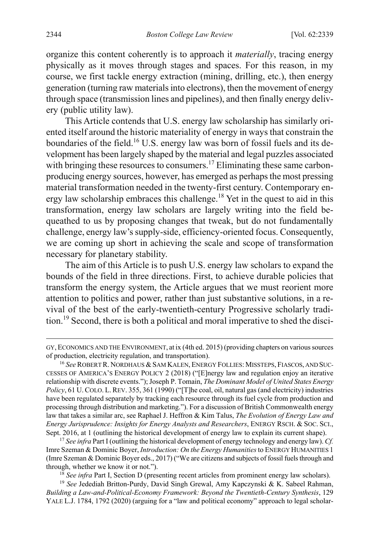organize this content coherently is to approach it *materially*, tracing energy physically as it moves through stages and spaces. For this reason, in my course, we first tackle energy extraction (mining, drilling, etc.), then energy generation (turning raw materials into electrons), then the movement of energy through space (transmission lines and pipelines), and then finally energy delivery (public utility law).

<span id="page-6-2"></span><span id="page-6-1"></span>This Article contends that U.S. energy law scholarship has similarly oriented itself around the historic materiality of energy in ways that constrain the boundaries of the field.<sup>16</sup> U.S. energy law was born of fossil fuels and its development has been largely shaped by the material and legal puzzles associated with bringing these resources to consumers.<sup>17</sup> Eliminating these same carbonproducing energy sources, however, has emerged as perhaps the most pressing material transformation needed in the twenty-first century. Contemporary energy law scholarship embraces this challenge.<sup>18</sup> Yet in the quest to aid in this transformation, energy law scholars are largely writing into the field bequeathed to us by proposing changes that tweak, but do not fundamentally challenge, energy law's supply-side, efficiency-oriented focus. Consequently, we are coming up short in achieving the scale and scope of transformation necessary for planetary stability.

The aim of this Article is to push U.S. energy law scholars to expand the bounds of the field in three directions. First, to achieve durable policies that transform the energy system, the Article argues that we must reorient more attention to politics and power, rather than just substantive solutions, in a revival of the best of the early-twentieth-century Progressive scholarly tradition.<sup>19</sup> Second, there is both a political and moral imperative to shed the disci-

<sup>17</sup> *See infra* Part I (outlining the historical development of energy technology and energy law). *Cf.* Imre Szeman & Dominic Boyer, *Introduction: On the Energy Humanities*to ENERGY HUMANITIES 1 (Imre Szeman & Dominic Boyer eds., 2017) ("We are citizens and subjects of fossil fuels through and through, whether we know it or not.").

<sup>18</sup> *See infra* Part I, Section D (presenting recent articles from prominent energy law scholars).

<sup>19</sup> *See* Jedediah Britton-Purdy, David Singh Grewal, Amy Kapczynski & K. Sabeel Rahman, *Building a Law-and-Political-Economy Framework: Beyond the Twentieth-Century Synthesis*, 129 YALE L.J. 1784, 1792 (2020) (arguing for a "law and political economy" approach to legal scholar-

<span id="page-6-0"></span>GY, ECONOMICS AND THE ENVIRONMENT, at ix (4th ed. 2015) (providing chapters on various sources of production, electricity regulation, and transportation).

<sup>&</sup>lt;sup>16</sup> See ROBERT R. NORDHAUS & SAM KALEN, ENERGY FOLLIES: MISSTEPS, FIASCOS, AND SUC-CESSES OF AMERICA'S ENERGY POLICY 2 (2018) ("[E]nergy law and regulation enjoy an iterative relationship with discrete events."); Joseph P. Tomain, *The Dominant Model of United States Energy Policy*, 61 U.COLO. L.REV. 355, 361 (1990) ("[T]he coal, oil, natural gas (and electricity) industries have been regulated separately by tracking each resource through its fuel cycle from production and processing through distribution and marketing."). For a discussion of British Commonwealth energy law that takes a similar arc, see Raphael J. Heffron & Kim Talus, *The Evolution of Energy Law and Energy Jurisprudence: Insights for Energy Analysts and Researchers*, ENERGY RSCH. & SOC. SCI., Sept. 2016, at 1 (outlining the historical development of energy law to explain its current shape).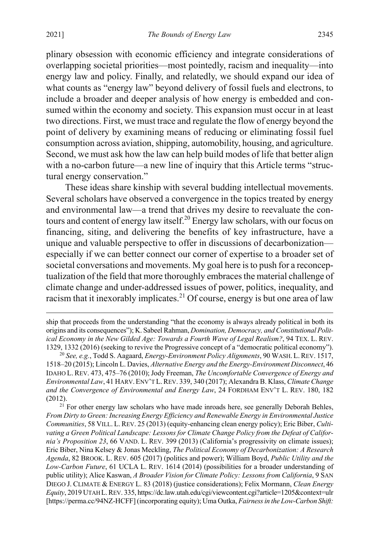plinary obsession with economic efficiency and integrate considerations of overlapping societal priorities—most pointedly, racism and inequality—into energy law and policy. Finally, and relatedly, we should expand our idea of what counts as "energy law" beyond delivery of fossil fuels and electrons, to include a broader and deeper analysis of how energy is embedded and consumed within the economy and society. This expansion must occur in at least two directions. First, we must trace and regulate the flow of energy beyond the point of delivery by examining means of reducing or eliminating fossil fuel consumption across aviation, shipping, automobility, housing, and agriculture. Second, we must ask how the law can help build modes of life that better align with a no-carbon future—a new line of inquiry that this Article terms "structural energy conservation."

<span id="page-7-1"></span>These ideas share kinship with several budding intellectual movements. Several scholars have observed a convergence in the topics treated by energy and environmental law—a trend that drives my desire to reevaluate the contours and content of energy law itself.<sup>20</sup> Energy law scholars, with our focus on financing, siting, and delivering the benefits of key infrastructure, have a unique and valuable perspective to offer in discussions of decarbonization especially if we can better connect our corner of expertise to a broader set of societal conversations and movements. My goal here is to push for a reconceptualization of the field that more thoroughly embraces the material challenge of climate change and under-addressed issues of power, politics, inequality, and racism that it inexorably implicates.<sup>21</sup> Of course, energy is but one area of law

<sup>21</sup> For other energy law scholars who have made inroads here, see generally Deborah Behles, *From Dirty to Green: Increasing Energy Efficiency and Renewable Energy in Environmental Justice Communities*, 58 VILL. L.REV. 25 (2013) (equity-enhancing clean energy policy); Eric Biber, *Cultivating a Green Political Landscape: Lessons for Climate Change Policy from the Defeat of California's Proposition 23*, 66 VAND. L. REV. 399 (2013) (California's progressivity on climate issues); Eric Biber, Nina Kelsey & Jonas Meckling, *The Political Economy of Decarbonization: A Research Agenda*, 82 BROOK. L. REV. 605 (2017) (politics and power); William Boyd, *Public Utility and the Low-Carbon Future*, 61 UCLA L. REV. 1614 (2014) (possibilities for a broader understanding of public utility); Alice Kaswan, *A Broader Vision for Climate Policy: Lessons from California*, 9 SAN DIEGO J. CLIMATE & ENERGY L. 83 (2018) (justice considerations); Felix Mormann, *Clean Energy Equity*, 2019 UTAH L.REV. 335, https://dc.law.utah.edu/cgi/viewcontent.cgi?article=1205&context=ulr [https://perma.cc/94NZ-HCFF] (incorporating equity); Uma Outka, *Fairnessin the Low-Carbon Shift:*

<span id="page-7-0"></span>ship that proceeds from the understanding "that the economy is always already political in both its origins and its consequences"); K. Sabeel Rahman, *Domination, Democracy, and Constitutional Political Economy in the New Gilded Age: Towards a Fourth Wave of Legal Realism?*, 94 TEX. L. REV. 1329, 1332 (2016) (seeking to revive the Progressive concept of a "democratic political economy").

<sup>20</sup> *See, e.g.*, Todd S. Aagaard, *Energy-Environment Policy Alignments*, 90 WASH. L.REV. 1517, 1518–20 (2015); Lincoln L. Davies, *Alternative Energy and the Energy-Environment Disconnect*, 46 IDAHO L. REV. 473, 475–76 (2010); Jody Freeman, *The Uncomfortable Convergence of Energy and Environmental Law*, 41 HARV.ENV'T L.REV. 339, 340 (2017); Alexandra B. Klass, *Climate Change and the Convergence of Environmental and Energy Law*, 24 FORDHAM ENV'T L. REV. 180, 182 (2012).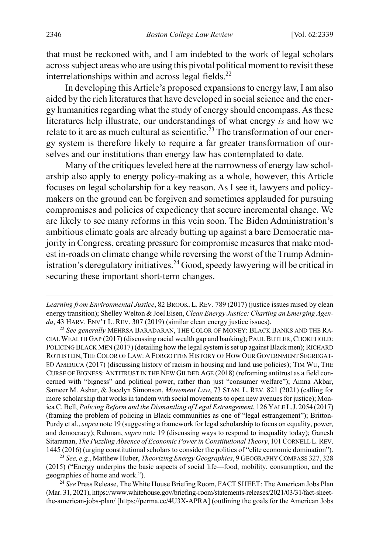that must be reckoned with, and I am indebted to the work of legal scholars across subject areas who are using this pivotal political moment to revisit these interrelationships within and across legal fields.<sup>22</sup>

<span id="page-8-0"></span>In developing this Article's proposed expansions to energy law, I am also aided by the rich literatures that have developed in social science and the energy humanities regarding what the study of energy should encompass. As these literatures help illustrate, our understandings of what energy *is* and how we relate to it are as much cultural as scientific.<sup>23</sup> The transformation of our energy system is therefore likely to require a far greater transformation of ourselves and our institutions than energy law has contemplated to date.

<span id="page-8-1"></span>Many of the critiques leveled here at the narrowness of energy law scholarship also apply to energy policy-making as a whole, however, this Article focuses on legal scholarship for a key reason. As I see it, lawyers and policymakers on the ground can be forgiven and sometimes applauded for pursuing compromises and policies of expediency that secure incremental change. We are likely to see many reforms in this vein soon. The Biden Administration's ambitious climate goals are already butting up against a bare Democratic majority in Congress, creating pressure for compromise measures that make modest in-roads on climate change while reversing the worst of the Trump Administration's deregulatory initiatives.<sup>24</sup> Good, speedy lawyering will be critical in securing these important short-term changes.

(2015) ("Energy underpins the basic aspects of social life—food, mobility, consumption, and the geographies of home and work.").

<sup>24</sup> *See* Press Release, The White House Briefing Room, FACT SHEET: The American Jobs Plan (Mar. 31, 2021), https://www.whitehouse.gov/briefing-room/statements-releases/2021/03/31/fact-sheetthe-american-jobs-plan/ [https://perma.cc/4U3X-APRA] (outlining the goals for the American Jobs

*Learning from Environmental Justice*, 82 BROOK. L. REV. 789 (2017) (justice issues raised by clean energy transition); Shelley Welton & Joel Eisen, *Clean Energy Justice: Charting an Emerging Agenda*, 43 HARV. ENV'T L. REV. 307 (2019) (similar clean energy justice issues).

<sup>22</sup> *See generally* MEHRSA BARADARAN, THE COLOR OF MONEY: BLACK BANKS AND THE RA-CIAL WEALTH GAP (2017) (discussing racial wealth gap and banking); PAUL BUTLER,CHOKEHOLD: POLICING BLACK MEN (2017) (detailing how the legal system is set up against Black men); RICHARD ROTHSTEIN, THE COLOR OF LAW: A FORGOTTEN HISTORY OF HOW OUR GOVERNMENT SEGREGAT-ED AMERICA (2017) (discussing history of racism in housing and land use policies); TIM WU, THE CURSE OF BIGNESS: ANTITRUST IN THE NEW GILDED AGE (2018) (reframing antitrust as a field concerned with "bigness" and political power, rather than just "consumer welfare"); Amna Akbar, Sameer M. Ashar, & Jocelyn Simonson, *Movement Law*, 73 STAN. L. REV. 821 (2021) (calling for more scholarship that works in tandem with social movements to open new avenues for justice); Monica C. Bell, *Policing Reform and the Dismantling of Legal Estrangement*, 126 YALE L.J. 2054 (2017) (framing the problem of policing in Black communities as one of "legal estrangement"); Britton-Purdy et al., *supra* not[e 19](#page-6-0) (suggesting a framework for legal scholarship to focus on equality, power, and democracy); Rahman, *supra* not[e 19](#page-6-0) (discussing ways to respond to inequality today); Ganesh Sitaraman, *The Puzzling Absence of Economic Power in Constitutional Theory*, 101 CORNELL L.REV. 1445 (2016) (urging constitutional scholars to consider the politics of "elite economic domination"). 23 *See, e.g.*, Matthew Huber, *Theorizing Energy Geographies*, 9 GEOGRAPHY COMPASS 327, 328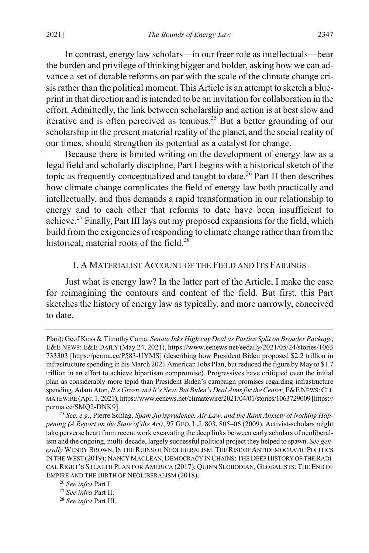In contrast, energy law scholars—in our freer role as intellectuals—bear the burden and privilege of thinking bigger and bolder, asking how we can advance a set of durable reforms on par with the scale of the climate change crisis rather than the political moment. This Article is an attempt to sketch a blueprint in that direction and is intended to be an invitation for collaboration in the effort. Admittedly, the link between scholarship and action is at best slow and iterative and is often perceived as tenuous.<sup>25</sup> But a better grounding of our scholarship in the present material reality of the planet, and the social reality of our times, should strengthen its potential as a catalyst for change.

Because there is limited writing on the development of energy law as a legal field and scholarly discipline, Part I begins with a historical sketch of the topic as frequently conceptualized and taught to date.<sup>26</sup> Part II then describes how climate change complicates the field of energy law both practically and intellectually, and thus demands a rapid transformation in our relationship to energy and to each other that reforms to date have been insufficient to achieve.<sup>27</sup> Finally, Part III lays out my proposed expansions for the field, which build from the exigencies of responding to climate change rather than from the historical, material roots of the field.<sup>28</sup>

#### I. A MATERIALIST ACCOUNT OF THE FIELD AND ITS FAILINGS

Just what is energy law? In the latter part of the Article, I make the case for reimagining the contours and content of the field. But first, this Part sketches the history of energy law as typically, and more narrowly, conceived to date.

Plan); Geof Koss & Timothy Cama, *Senate Inks Highway Deal as Parties Split on Broader Package*, E&E NEWS: E&E DAILY (May 24, 2021), https://www.eenews.net/eedaily/2021/05/24/stories/1063 733303 [https://perma.cc/P583-UYMS] (describing how President Biden proposed \$2.2 trillion in infrastructure spending in his March 2021 American Jobs Plan, but reduced the figure by May to \$1.7 trillion in an effort to achieve bipartisan compromise). Progressives have critiqued even the initial plan as considerably more tepid than President Biden's campaign promises regarding infrastructure spending. Adam Aton, *It's Green and It's New. But Biden's Deal Aimsforthe Center*, E&ENEWS:CLI-MATEWIRE(Apr. 1, 2021), https://www.eenews.net/climatewire/2021/04/01/stories/1063729009 [https:// perma.cc/SMQ2-DNK9]. 25 *See, e.g.*, Pierre Schlag, *Spam Jurisprudence, Air Law, and the Rank Anxiety of Nothing Hap-*

*pening (A Report on the State of the Art)*, 97 GEO. L.J. 803, 805–06 (2009). Activist-scholars might take perverse heart from recent work excavating the deep links between early scholars of neoliberalism and the ongoing, multi-decade, largely successful political project they helped to spawn. *See generally* WENDY BROWN,IN THE RUINS OF NEOLIBERALISM:THE RISE OF ANTIDEMOCRATIC POLITICS IN THE WEST (2019); NANCY MACLEAN, DEMOCRACY IN CHAINS: THE DEEP HISTORY OF THE RADI-CAL RIGHT'S STEALTH PLAN FOR AMERICA (2017); QUINN SLOBODIAN, GLOBALISTS: THE END OF EMPIRE AND THE BIRTH OF NEOLIBERALISM (2018). 26 *See infra* Part I.

<sup>27</sup> *See infra* Part II.

<sup>28</sup> *See infra* Part III.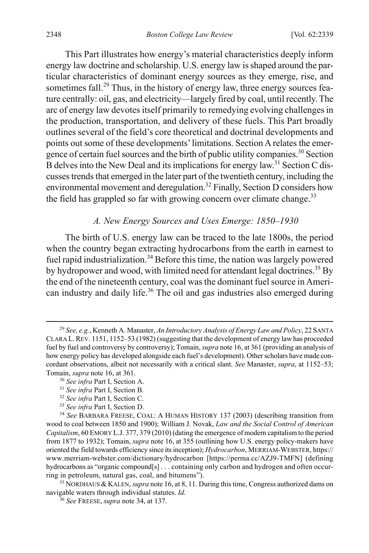This Part illustrates how energy's material characteristics deeply inform energy law doctrine and scholarship. U.S. energy law is shaped around the particular characteristics of dominant energy sources as they emerge, rise, and sometimes fall.<sup>29</sup> Thus, in the history of energy law, three energy sources feature centrally: oil, gas, and electricity––largely fired by coal, until recently. The arc of energy law devotes itself primarily to remedying evolving challenges in the production, transportation, and delivery of these fuels. This Part broadly outlines several of the field's core theoretical and doctrinal developments and points out some of these developments' limitations. Section A relates the emergence of certain fuel sources and the birth of public utility companies. <sup>30</sup> Section  $\overline{B}$  delves into the New Deal and its implications for energy law.<sup>31</sup> Section C discussestrends that emerged in the later part of the twentieth century, including the environmental movement and deregulation.<sup>32</sup> Finally, Section D considers how the field has grappled so far with growing concern over climate change.<sup>33</sup>

#### <span id="page-10-0"></span>*A. New Energy Sources and Uses Emerge: 1850–1930*

The birth of U.S. energy law can be traced to the late 1800s, the period when the country began extracting hydrocarbons from the earth in earnest to fuel rapid industrialization.<sup>34</sup> Before this time, the nation was largely powered by hydropower and wood, with limited need for attendant legal doctrines.<sup>35</sup> By the end of the nineteenth century, coal was the dominant fuel source in American industry and daily life.<sup>36</sup> The oil and gas industries also emerged during

 <sup>29</sup> *See, e.g.*, Kenneth A. Manaster, *An Introductory Analysis of Energy Law and Policy*, 22 SANTA CLARA L.REV. 1151, 1152–53 (1982) (suggesting that the development of energy law has proceeded fuel by fuel and controversy by controversy); Tomain, *supra* not[e 16,](#page-6-1) at 361 (providing an analysis of how energy policy has developed alongside each fuel's development). Other scholars have made concordant observations, albeit not necessarily with a critical slant. *See* Manaster, *supra*, at 1152–53; Tomain, *supra* note [16,](#page-6-1) at 361.

<sup>30</sup> *See infra* Part I, Section A.

<sup>31</sup> *See infra* Part I, Section B.

<sup>32</sup> *See infra* Part I, Section C.

<sup>33</sup> *See infra* Part I, Section D.

<sup>34</sup> *See* BARBARA FREESE, COAL: A HUMAN HISTORY 137 (2003) (describing transition from wood to coal between 1850 and 1900); William J. Novak, *Law and the Social Control of American Capitalism*, 60 EMORY L.J. 377, 379 (2010) (dating the emergence of modern capitalism to the period from 1877 to 1932); Tomain, *supra* not[e 16,](#page-6-1) at 355 (outlining how U.S. energy policy-makers have oriented the field towards efficiency since its inception); *Hydrocarbon*, MERRIAM-WEBSTER, https:// www.merriam-webster.com/dictionary/hydrocarbon [https://perma.cc/AZJ9-TMFN] (defining hydrocarbons as "organic compound[s] . . . containing only carbon and hydrogen and often occurring in petroleum, natural gas, coal, and bitumens").

<sup>35</sup> NORDHAUS & KALEN, *supra* not[e 16,](#page-6-1) at 8, 11. During this time, Congress authorized dams on navigable waters through individual statutes. *Id.*

<sup>36</sup> *See* FREESE, *supra* not[e 34,](#page-10-0) at 137.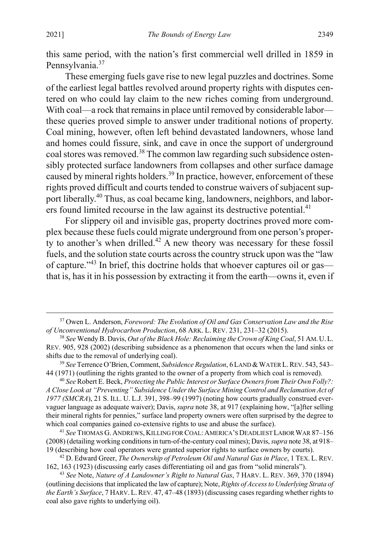<span id="page-11-1"></span>this same period, with the nation's first commercial well drilled in 1859 in Pennsylvania.<sup>37</sup>

These emerging fuels gave rise to new legal puzzles and doctrines. Some of the earliest legal battles revolved around property rights with disputes centered on who could lay claim to the new riches coming from underground. With coal—a rock that remains in place until removed by considerable labor these queries proved simple to answer under traditional notions of property. Coal mining, however, often left behind devastated landowners, whose land and homes could fissure, sink, and cave in once the support of underground coal stores was removed.<sup>38</sup> The common law regarding such subsidence ostensibly protected surface landowners from collapses and other surface damage caused by mineral rights holders.<sup>39</sup> In practice, however, enforcement of these rights proved difficult and courts tended to construe waivers of subjacent support liberally.40 Thus, as coal became king, landowners, neighbors, and laborers found limited recourse in the law against its destructive potential.<sup>41</sup>

<span id="page-11-0"></span>For slippery oil and invisible gas, property doctrines proved more complex because these fuels could migrate underground from one person's property to another's when drilled.<sup>42</sup> A new theory was necessary for these fossil fuels, and the solution state courts across the country struck upon was the "law of capture."43 In brief, this doctrine holds that whoever captures oil or gas that is, has it in his possession by extracting it from the earth—owns it, even if

<sup>42</sup> D. Edward Greer, *The Ownership of Petroleum Oil and Natural Gas in Place*, 1 TEX. L. REV. 162, 163 (1923) (discussing early cases differentiating oil and gas from "solid minerals").

 <sup>37</sup> Owen L. Anderson, *Foreword: The Evolution of Oil and Gas Conservation Law and the Rise of Unconventional Hydrocarbon Production*, 68 ARK. L. REV. 231, 231–32 (2015).

<sup>38</sup> *See* Wendy B. Davis, *Out of the Black Hole: Reclaiming the Crown of King Coal*, 51 AM.U.L. REV. 905, 928 (2002) (describing subsidence as a phenomenon that occurs when the land sinks or shifts due to the removal of underlying coal).

<sup>&</sup>lt;sup>39</sup> See Terrence O'Brien, Comment, *Subsidence Regulation*, 6 LAND & WATER L. REV. 543, 543– 44 (1971) (outlining the rights granted to the owner of a property from which coal is removed).

<sup>40</sup> *See* Robert E. Beck, *Protecting the Public Interest or Surface Owners from Their Own Folly?: A Close Look at "Preventing" Subsidence Under the Surface Mining Control and Reclamation Act of 1977 (SMCRA*), 21 S. ILL. U. L.J. 391, 398–99 (1997) (noting how courts gradually construed evervaguer language as adequate waiver); Davis, *supra* not[e 38,](#page-11-0) at 917 (explaining how, "[a]fter selling their mineral rights for pennies," surface land property owners were often surprised by the degree to which coal companies gained co-extensive rights to use and abuse the surface).

<sup>41</sup> *See* THOMAS G. ANDREWS, KILLING FOR COAL:AMERICA'S DEADLIEST LABOR WAR 87–156 (2008) (detailing working conditions in turn-of-the-century coal mines); Davis, *supra* not[e 38,](#page-11-0) at 918– 19 (describing how coal operators were granted superior rights to surface owners by courts).

<sup>43</sup> *See* Note, *Nature of A Landowner's Right to Natural Gas*, 7 HARV. L. REV. 369, 370 (1894) (outlining decisions that implicated the law of capture); Note, *Rights of Accessto Underlying Strata of the Earth's Surface*, 7 HARV. L.REV. 47, 47–48 (1893) (discussing cases regarding whether rights to coal also gave rights to underlying oil).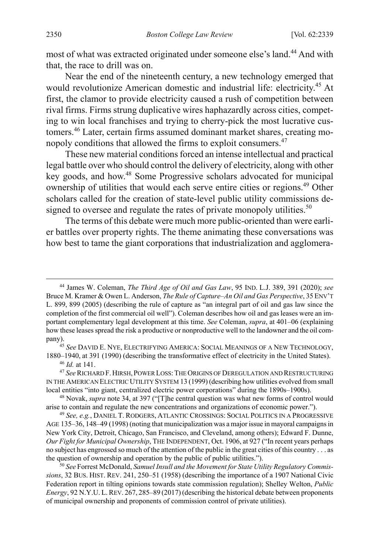<span id="page-12-3"></span>most of what was extracted originated under someone else's land.<sup>44</sup> And with that, the race to drill was on.

<span id="page-12-1"></span>Near the end of the nineteenth century, a new technology emerged that would revolutionize American domestic and industrial life: electricity.<sup>45</sup> At first, the clamor to provide electricity caused a rush of competition between rival firms. Firms strung duplicative wires haphazardly across cities, competing to win local franchises and trying to cherry-pick the most lucrative customers.<sup>46</sup> Later, certain firms assumed dominant market shares, creating monopoly conditions that allowed the firms to exploit consumers.<sup>47</sup>

<span id="page-12-2"></span><span id="page-12-0"></span>These new material conditions forced an intense intellectual and practical legal battle over who should control the delivery of electricity, along with other key goods, and how.<sup>48</sup> Some Progressive scholars advocated for municipal ownership of utilities that would each serve entire cities or regions.49 Other scholars called for the creation of state-level public utility commissions designed to oversee and regulate the rates of private monopoly utilities.<sup>50</sup>

<span id="page-12-4"></span>The terms of this debate were much more public-oriented than were earlier battles over property rights. The theme animating these conversations was how best to tame the giant corporations that industrialization and agglomera-

pany). 45 *See* DAVID E. NYE, ELECTRIFYING AMERICA: SOCIAL MEANINGS OF A NEW TECHNOLOGY, 1880–1940, at 391 (1990) (describing the transformative effect of electricity in the United States).

 <sup>44</sup> James W. Coleman, *The Third Age of Oil and Gas Law*, 95 IND. L.J. 389, 391 (2020); *see* Bruce M. Kramer & Owen L. Anderson, *The Rule of Capture–An Oil and Gas Perspective*, 35 ENV'T L. 899, 899 (2005) (describing the rule of capture as "an integral part of oil and gas law since the completion of the first commercial oil well"). Coleman describes how oil and gas leases were an important complementary legal development at this time. *See* Coleman, *supra*, at 401–06 (explaining how these leases spread the risk a productive or nonproductive well to the landowner and the oil com-

<sup>46</sup> *Id.* at 141.

<sup>47</sup> *See* RICHARD F.HIRSH,POWER LOSS:THE ORIGINS OF DEREGULATION AND RESTRUCTURING IN THE AMERICAN ELECTRIC UTILITY SYSTEM 13 (1999) (describing how utilities evolved from small local entities "into giant, centralized electric power corporations" during the 1890s–1900s).

<sup>48</sup> Novak, *supra* not[e 34,](#page-10-0) at 397 ("[T]he central question was what new forms of control would arise to contain and regulate the new concentrations and organizations of economic power.").

<sup>49</sup> *See, e.g.*, DANIEL T. RODGERS, ATLANTIC CROSSINGS: SOCIAL POLITICS IN A PROGRESSIVE AGE 135–36, 148–49 (1998) (noting that municipalization was a major issue in mayoral campaigns in New York City, Detroit, Chicago, San Francisco, and Cleveland, among others); Edward F. Dunne, *Our Fight for Municipal Ownership*, THE INDEPENDENT, Oct. 1906, at 927 ("In recent years perhaps no subject has engrossed so much of the attention of the public in the great cities of this country . . . as the question of ownership and operation by the public of public utilities.").

<sup>50</sup> *See* Forrest McDonald, *Samuel Insull and the Movement for State Utility Regulatory Commissions*, 32 BUS. HIST. REV. 241, 250–51 (1958) (describing the importance of a 1907 National Civic Federation report in tilting opinions towards state commission regulation); Shelley Welton, *Public Energy*, 92 N.Y.U. L.REV. 267, 285–89 (2017)(describing the historical debate between proponents of municipal ownership and proponents of commission control of private utilities).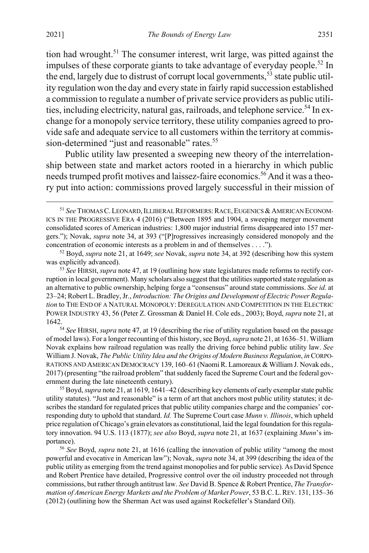<span id="page-13-0"></span>tion had wrought.<sup>51</sup> The consumer interest, writ large, was pitted against the impulses of these corporate giants to take advantage of everyday people.<sup>52</sup> In the end, largely due to distrust of corrupt local governments,<sup>53</sup> state public utility regulation won the day and every state in fairly rapid succession established a commission to regulate a number of private service providers as public utilities, including electricity, natural gas, railroads, and telephone service.<sup>54</sup> In exchange for a monopoly service territory, these utility companies agreed to provide safe and adequate service to all customers within the territory at commission-determined "just and reasonable" rates.<sup>55</sup>

<span id="page-13-2"></span><span id="page-13-1"></span>Public utility law presented a sweeping new theory of the interrelationship between state and market actors rooted in a hierarchy in which public needs trumped profit motives and laissez-faire economics.<sup>56</sup> And it was a theory put into action: commissions proved largely successful in their mission of

53 *See* HIRSH, *supra* not[e 47,](#page-12-0) at 19 (outlining how state legislatures made reforms to rectify corruption in local government). Many scholars also suggest that the utilities supported state regulation as an alternative to public ownership, helping forge a "consensus" around state commissions. *See id.* at 23–24; Robert L. Bradley, Jr., *Introduction: The Origins and Development of Electric Power Regulation* to THE END OF A NATURAL MONOPOLY: DEREGULATION AND COMPETITION IN THE ELECTRIC POWER INDUSTRY 43, 56 (Peter Z. Grossman & Daniel H. Cole eds., 2003); Boyd, *supra* not[e 21,](#page-7-0) at 1642.54 *See* HIRSH, *supra* not[e 47,](#page-12-0) at 19 (describing the rise of utility regulation based on the passage

of model laws). For a longer recounting of this history, see Boyd, *supra* not[e 21,](#page-7-0) at 1636–51. William Novak explains how railroad regulation was really the driving force behind public utility law. *See* William J. Novak, *The Public Utility Idea and the Origins of Modern Business Regulation*, *in* CORPO-RATIONS AND AMERICAN DEMOCRACY 139, 160–61 (Naomi R. Lamoreaux & William J. Novak eds., 2017) (presenting "the railroad problem" that suddenly faced the Supreme Court and the federal government during the late nineteenth century).

55 Boyd, *supra* not[e 21,](#page-7-0) at 1619, 1641–42 (describing key elements of early exemplar state public utility statutes). "Just and reasonable" is a term of art that anchors most public utility statutes; it describes the standard for regulated prices that public utility companies charge and the companies' corresponding duty to uphold that standard. *Id.* The Supreme Court case *Munn v. Illinois*, which upheld price regulation of Chicago's grain elevators as constitutional, laid the legal foundation for this regulatory innovation. 94 U.S. 113 (1877); *see also* Boyd, *supra* not[e 21,](#page-7-0) at 1637 (explaining *Munn*'s importance).

<sup>56</sup> *See* Boyd, *supra* note [21,](#page-7-0) at 1616 (calling the innovation of public utility "among the most powerful and evocative in American law"); Novak, *supra* not[e 34,](#page-10-0) at 399 (describing the idea of the public utility as emerging from the trend against monopolies and for public service). As David Spence and Robert Prentice have detailed, Progressive control over the oil industry proceeded not through commissions, but rather through antitrust law. *See* David B. Spence & Robert Prentice, *The Transformation of American Energy Markets and the Problem of Market Power*, 53 B.C.L.REV. 131, 135–36 (2012) (outlining how the Sherman Act was used against Rockefeller's Standard Oil).

<sup>&</sup>lt;sup>51</sup> See THOMAS C. LEONARD, ILLIBERAL REFORMERS: RACE, EUGENICS & AMERICAN ECONOM-ICS IN THE PROGRESSIVE ERA 4 (2016) ("Between 1895 and 1904, a sweeping merger movement consolidated scores of American industries: 1,800 major industrial firms disappeared into 157 mergers."); Novak, *supra* not[e 34,](#page-10-0) at 393 ("[P]rogressives increasingly considered monopoly and the concentration of economic interests as a problem in and of themselves . . . .").

<sup>52</sup> Boyd, *supra* not[e 21,](#page-7-0) at 1649; *see* Novak, *supra* not[e 34,](#page-10-0) at 392 (describing how this system was explicitly advanced).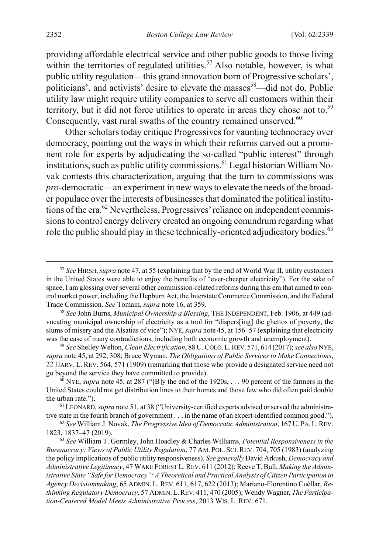providing affordable electrical service and other public goods to those living within the territories of regulated utilities.<sup>57</sup> Also notable, however, is what public utility regulation—this grand innovation born of Progressive scholars', politicians', and activists' desire to elevate the masses $58$ —did not do. Public utility law might require utility companies to serve all customers within their territory, but it did not force utilities to operate in areas they chose not to.<sup>59</sup> Consequently, vast rural swaths of the country remained unserved. $60$ 

<span id="page-14-0"></span>Other scholars today critique Progressives for vaunting technocracy over democracy, pointing out the ways in which their reforms carved out a prominent role for experts by adjudicating the so-called "public interest" through institutions, such as public utility commissions.<sup>61</sup> Legal historian William Novak contests this characterization, arguing that the turn to commissions was *pro-*democratic—an experiment in new ways to elevate the needs of the broader populace over the interests of businesses that dominated the political institutions of the era.62 Nevertheless, Progressives' reliance on independent commissions to control energy delivery created an ongoing conundrum regarding what role the public should play in these technically-oriented adjudicatory bodies.<sup>63</sup>

 <sup>57</sup> *See* HIRSH, *supra* not[e 47,](#page-12-0) at 55 (explaining that by the end of World War II, utility customers in the United States were able to enjoy the benefits of "ever-cheaper electricity"). For the sake of space, I am glossing over several other commission-related reforms during this era that aimed to control market power, including the Hepburn Act, the Interstate Commerce Commission, and the Federal Trade Commission. *See* Tomain, *supra* note [16,](#page-6-1) at 359.

<sup>58</sup> *See* John Burns, *Municipal Ownership a Blessing*, THE INDEPENDENT, Feb. 1906, at 449 (advocating municipal ownership of electricity as a tool for "dispers[ing] the ghettos of poverty, the slums of misery and the Alsatias of vice"); NYE, *supra* not[e 45,](#page-12-1) at 156–57 (explaining that electricity was the case of many contradictions, including both economic growth and unemployment).

<sup>59</sup> *See* Shelley Welton, *Clean Electrification*, 88 U.COLO.L.REV. 571, 614 (2017); *see also* NYE, *supra* not[e 45,](#page-12-1) at 292, 308; Bruce Wyman, *The Obligations of Public Services to Make Connections*, 22 HARV. L. REV. 564, 571 (1909) (remarking that those who provide a designated service need not go beyond the service they have committed to provide).

<sup>60</sup> NYE, *supra* not[e 45,](#page-12-1) at 287 ("[B]y the end of the 1920s, . . . 90 percent of the farmers in the United States could not get distribution lines to their homes and those few who did often paid double the urban rate.").

<sup>61</sup> LEONARD, *supra* not[e 51,](#page-13-0) at 38 ("University-certified experts advised or served the administrative state in the fourth branch of government . . . in the name of an expert-identified common good.").

<sup>62</sup> *See* William J. Novak, *The Progressive Idea of Democratic Administration*, 167 U. PA.L.REV. 1823, 1837–47 (2019).

<sup>63</sup> *See* William T. Gormley, John Hoadley & Charles Williams, *Potential Responsiveness in the Bureaucracy: Views of Public Utility Regulation*, 77 AM. POL. SCI.REV. 704, 705 (1983) (analyzing the policy implications of public utility responsiveness). *See generally* David Arkush, *Democracy and Administrative Legitimacy*, 47 WAKE FOREST L.REV. 611 (2012); Reeve T. Bull, *Making the Administrative State "Safe for Democracy": A Theoretical and Practical Analysis of Citizen Participation in Agency Decisionmaking*, 65 ADMIN. L. REV. 611, 617, 622 (2013); Mariano-Florentino Cuéllar, *Rethinking Regulatory Democracy*, 57 ADMIN.L.REV. 411, 470 (2005); Wendy Wagner, *The Participation-Centered Model Meets Administrative Process*, 2013 WIS. L. REV. 671.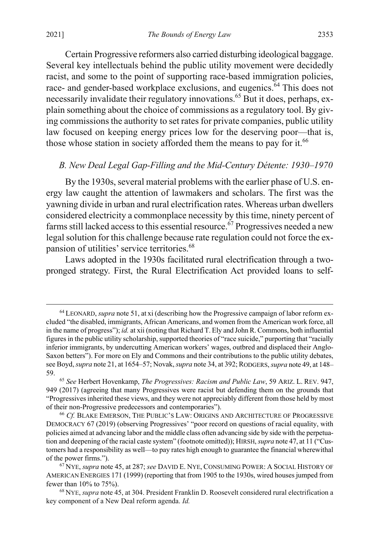Certain Progressive reformers also carried disturbing ideological baggage. Several key intellectuals behind the public utility movement were decidedly racist, and some to the point of supporting race-based immigration policies, race- and gender-based workplace exclusions, and eugenics.<sup>64</sup> This does not necessarily invalidate their regulatory innovations.<sup>65</sup> But it does, perhaps, explain something about the choice of commissions as a regulatory tool. By giving commissions the authority to set rates for private companies, public utility law focused on keeping energy prices low for the deserving poor—that is, those whose station in society afforded them the means to pay for it.<sup>66</sup>

#### *B. New Deal Legal Gap-Filling and the Mid-Century Détente: 1930–1970*

By the 1930s, several material problems with the earlier phase of U.S. energy law caught the attention of lawmakers and scholars. The first was the yawning divide in urban and rural electrification rates. Whereas urban dwellers considered electricity a commonplace necessity by this time, ninety percent of farms still lacked access to this essential resource.<sup>67</sup> Progressives needed a new legal solution for this challenge because rate regulation could not force the expansion of utilities' service territories.<sup>68</sup>

Laws adopted in the 1930s facilitated rural electrification through a twopronged strategy. First, the Rural Electrification Act provided loans to self-

 <sup>64</sup> LEONARD, *supra* note [51,](#page-13-0) at xi (describing how the Progressive campaign of labor reform excluded "the disabled, immigrants, African Americans, and women from the American work force, all in the name of progress"); *id.* at xii (noting that Richard T. Ely and John R. Commons, both influential figures in the public utility scholarship, supported theories of "race suicide," purporting that "racially inferior immigrants, by undercutting American workers' wages, outbred and displaced their Anglo-Saxon betters"). For more on Ely and Commons and their contributions to the public utility debates, see Boyd, *supra* not[e 21,](#page-7-0) at 1654–57; Novak, *supra* not[e 34,](#page-10-0) at 392; RODGERS, *supra* not[e 49,](#page-12-2) at 148– 59.

<sup>65</sup> *See* Herbert Hovenkamp, *The Progressives: Racism and Public Law*, 59 ARIZ. L. REV. 947, 949 (2017) (agreeing that many Progressives were racist but defending them on the grounds that "Progressives inherited these views, and they were not appreciably different from those held by most of their non-Progressive predecessors and contemporaries").

<sup>66</sup> *Cf.* BLAKE EMERSON, THE PUBLIC'S LAW: ORIGINS AND ARCHITECTURE OF PROGRESSIVE DEMOCRACY 67 (2019) (observing Progressives' "poor record on questions of racial equality, with policies aimed at advancing labor and the middle class often advancing side by side with the perpetuation and deepening of the racial caste system" (footnote omitted)); HIRSH, *supra* not[e 47,](#page-12-0) at 11 ("Customers had a responsibility as well—to pay rates high enough to guarantee the financial wherewithal of the power firms.").

<sup>67</sup> NYE, *supra* not[e 45,](#page-12-1) at 287; *see* DAVID E. NYE, CONSUMING POWER: A SOCIAL HISTORY OF AMERICAN ENERGIES 171 (1999) (reporting that from 1905 to the 1930s, wired houses jumped from fewer than 10% to 75%).

<sup>68</sup> NYE, *supra* not[e 45,](#page-12-1) at 304. President Franklin D. Roosevelt considered rural electrification a key component of a New Deal reform agenda. *Id.*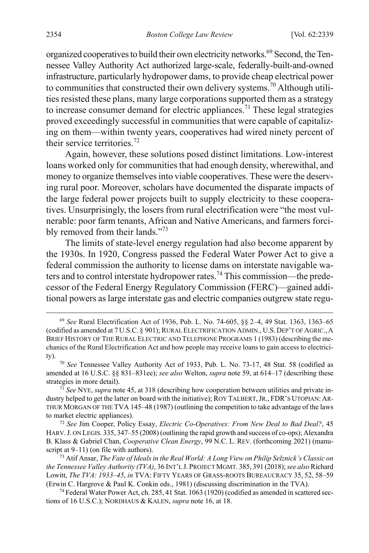organized cooperatives to build their own electricity networks.<sup>69</sup> Second, the Tennessee Valley Authority Act authorized large-scale, federally-built-and-owned infrastructure, particularly hydropower dams, to provide cheap electrical power to communities that constructed their own delivery systems.<sup>70</sup> Although utilities resisted these plans, many large corporations supported them as a strategy to increase consumer demand for electric appliances.<sup>71</sup> These legal strategies proved exceedingly successful in communities that were capable of capitalizing on them––within twenty years, cooperatives had wired ninety percent of their service territories.<sup>72</sup>

Again, however, these solutions posed distinct limitations. Low-interest loans worked only for communities that had enough density, wherewithal, and money to organize themselves into viable cooperatives. These were the deserving rural poor. Moreover, scholars have documented the disparate impacts of the large federal power projects built to supply electricity to these cooperatives. Unsurprisingly, the losers from rural electrification were "the most vulnerable: poor farm tenants, African and Native Americans, and farmers forcibly removed from their lands."<sup>73</sup>

The limits of state-level energy regulation had also become apparent by the 1930s. In 1920, Congress passed the Federal Water Power Act to give a federal commission the authority to license dams on interstate navigable waters and to control interstate hydropower rates.<sup>74</sup> This commission—the predecessor of the Federal Energy Regulatory Commission (FERC)––gained additional powers as large interstate gas and electric companies outgrew state regu-

<sup>71</sup> *See* NYE, *supra* not[e 45,](#page-12-1) at 318 (describing how cooperation between utilities and private industry helped to get the latter on board with the initiative); ROY TALBERT, JR., FDR'S UTOPIAN: AR-THUR MORGAN OF THE TVA 145–48 (1987) (outlining the competition to take advantage of the laws to market electric appliances).

<sup>72</sup> *See* Jim Cooper, Policy Essay, *Electric Co-Operatives: From New Deal to Bad Deal?*, 45 HARV.J. ON LEGIS. 335, 347–55 (2008) (outlining the rapid growth and success of co-ops); Alexandra B. Klass & Gabriel Chan, *Cooperative Clean Energy*, 99 N.C. L. REV. (forthcoming 2021) (manuscript at 9–11) (on file with authors).

<sup>73</sup> Atif Ansar, *The Fate of Ideals in the Real World: A Long View on Philip Selznick's Classic on the Tennessee Valley Authority (TVA)*, 36 INT'L J. PROJECT MGMT. 385, 391 (2018);*see also* Richard Lowitt, *The TVA: 1933–45*, *in* TVA: FIFTY YEARS OF GRASS-ROOTS BUREAUCRACY 35, 52, 58–59 (Erwin C. Hargrove & Paul K. Conkin eds., 1981) (discussing discrimination in the TVA).

<sup>74</sup> Federal Water Power Act, ch. 285, 41 Stat. 1063 (1920) (codified as amended in scattered sections of 16 U.S.C.); NORDHAUS & KALEN, *supra* note [16,](#page-6-1) at 18.

 <sup>69</sup> *See* Rural Electrification Act of 1936, Pub. L. No. 74-605, §§ 2–4, 49 Stat. 1363, 1363–65 (codified as amended at 7 U.S.C. § 901); RURAL ELECTRIFICATION ADMIN., U.S.DEP'T OF AGRIC.,A BRIEF HISTORY OF THE RURAL ELECTRIC AND TELEPHONE PROGRAMS 1 (1983) (describing the mechanics of the Rural Electrification Act and how people may receive loans to gain access to electricity).

<sup>70</sup> *See* Tennessee Valley Authority Act of 1933, Pub. L. No. 73-17, 48 Stat. 58 (codified as amended at 16 U.S.C. §§ 831–831ee); *see also* Welton, *supra* not[e 59,](#page-14-0) at 614–17 (describing these strategies in more detail).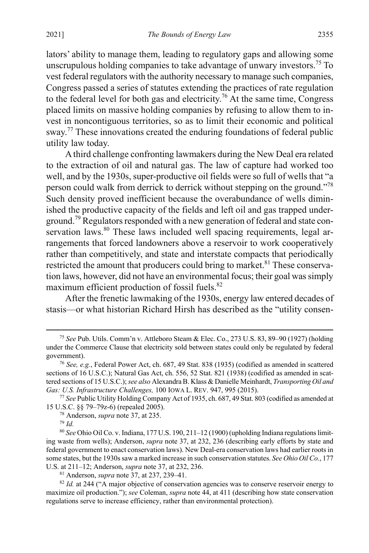lators' ability to manage them, leading to regulatory gaps and allowing some unscrupulous holding companies to take advantage of unwary investors.<sup>75</sup> To vest federal regulators with the authority necessary to manage such companies, Congress passed a series of statutes extending the practices of rate regulation to the federal level for both gas and electricity.76 At the same time, Congress placed limits on massive holding companies by refusing to allow them to invest in noncontiguous territories, so as to limit their economic and political sway.<sup>77</sup> These innovations created the enduring foundations of federal public utility law today.

A third challenge confronting lawmakers during the New Deal era related to the extraction of oil and natural gas. The law of capture had worked too well, and by the 1930s, super-productive oil fields were so full of wells that "a person could walk from derrick to derrick without stepping on the ground."<sup>78</sup> Such density proved inefficient because the overabundance of wells diminished the productive capacity of the fields and left oil and gas trapped underground.<sup>79</sup> Regulators responded with a new generation of federal and state conservation laws. $80$  These laws included well spacing requirements, legal arrangements that forced landowners above a reservoir to work cooperatively rather than competitively, and state and interstate compacts that periodically restricted the amount that producers could bring to market.<sup>81</sup> These conservation laws, however, did not have an environmental focus; their goal was simply maximum efficient production of fossil fuels.<sup>82</sup>

<span id="page-17-1"></span><span id="page-17-0"></span>After the frenetic lawmaking of the 1930s, energy law entered decades of stasis—or what historian Richard Hirsh has described as the "utility consen-

 <sup>75</sup> *See* Pub. Utils. Comm'n v. Attleboro Steam & Elec. Co., 273 U.S. 83, 89–90 (1927) (holding under the Commerce Clause that electricity sold between states could only be regulated by federal government). 76 *See, e.g.*, Federal Power Act, ch. 687, 49 Stat. 838 (1935) (codified as amended in scattered

sections of 16 U.S.C.); Natural Gas Act, ch. 556, 52 Stat. 821 (1938) (codified as amended in scattered sections of 15 U.S.C.);*see also* Alexandra B. Klass & Danielle Meinhardt, *Transporting Oil and Gas: U.S. Infrastructure Challenges,* 100 IOWA L. REV. 947, 995 (2015).

<sup>77</sup> *See* Public Utility Holding Company Act of 1935, ch. 687, 49 Stat. 803 (codified as amended at 15 U.S.C. §§ 79–79z-6) (repealed 2005).

<sup>78</sup> Anderson, *supra* note [37,](#page-11-1) at 235.

<sup>79</sup> *Id.*

<sup>80</sup> *See* Ohio Oil Co. v. Indiana, 177 U.S. 190, 211–12 (1900) (upholding Indiana regulations limiting waste from wells); Anderson, *supra* note [37,](#page-11-1) at 232, 236 (describing early efforts by state and federal government to enact conservation laws). New Deal-era conservation laws had earlier roots in some states, but the 1930s saw a marked increase in such conservation statutes. *See Ohio Oil Co.*, 177 U.S. at 211–12; Anderson, *supra* note [37,](#page-11-1) at 232, 236.

<sup>&</sup>lt;sup>81</sup> Anderson, *supra* note [37,](#page-11-1) at 237, 239–41.<br><sup>82</sup> *Id.* at 244 ("A major objective of conservation agencies was to conserve reservoir energy to maximize oil production."); *see* Coleman, *supra* not[e 44,](#page-12-3) at 411 (describing how state conservation regulations serve to increase efficiency, rather than environmental protection).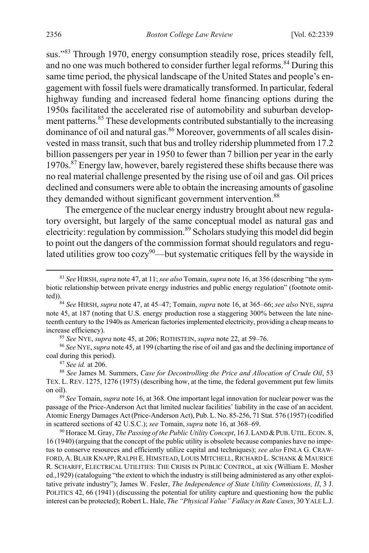sus."<sup>83</sup> Through 1970, energy consumption steadily rose, prices steadily fell, and no one was much bothered to consider further legal reforms.<sup>84</sup> During this same time period, the physical landscape of the United States and people's engagement with fossil fuels were dramatically transformed. In particular, federal highway funding and increased federal home financing options during the 1950s facilitated the accelerated rise of automobility and suburban development patterns.<sup>85</sup> These developments contributed substantially to the increasing dominance of oil and natural gas.<sup>86</sup> Moreover, governments of all scales disinvested in mass transit, such that bus and trolley ridership plummeted from 17.2 billion passengers per year in 1950 to fewer than 7 billion per year in the early 1970s.<sup>87</sup> Energy law, however, barely registered these shifts because there was no real material challenge presented by the rising use of oil and gas. Oil prices declined and consumers were able to obtain the increasing amounts of gasoline they demanded without significant government intervention.<sup>88</sup>

<span id="page-18-0"></span>The emergence of the nuclear energy industry brought about new regulatory oversight, but largely of the same conceptual model as natural gas and electricity: regulation by commission.<sup>89</sup> Scholars studying this model did begin to point out the dangers of the commission format should regulators and regulated utilities grow too cozy<sup>90</sup>—but systematic critiques fell by the wayside in

<sup>86</sup> *See* NYE, *supra* not[e 45,](#page-12-1) at 199 (charting the rise of oil and gas and the declining importance of coal during this period).

<sup>87</sup> *See id.* at 206.

<sup>90</sup> Horace M. Gray, *The Passing of the Public Utility Concept*, 16 J. LAND & PUB. UTIL. ECON. 8, 16 (1940) (arguing that the concept of the public utility is obsolete because companies have no impetus to conserve resources and efficiently utilize capital and techniques); *see also* FINLA G. CRAW-FORD, A. BLAIR KNAPP, RALPH E. HIMSTEAD, LOUIS MITCHELL, RICHARD L. SCHANK & MAURICE R. SCHARFF, ELECTRICAL UTILITIES: THE CRISIS IN PUBLIC CONTROL, at xix (William E. Mosher ed.,1929) (cataloguing "the extent to which the industry is still being administered as any other exploitative private industry"); James W. Fesler, *The Independence of State Utility Commissions, II*, 3 J. POLITICS 42, 66 (1941) (discussing the potential for utility capture and questioning how the public interest can be protected); Robert L. Hale, *The "Physical Value" Fallacy in Rate Cases*, 30 YALE L.J.

 <sup>83</sup> *See* HIRSH, *supra* not[e 47,](#page-12-0) at 11; *see also* Tomain, *supra* not[e 16,](#page-6-1) at 356 (describing "the symbiotic relationship between private energy industries and public energy regulation" (footnote omitted)).

<sup>84</sup> *See* HIRSH, *supra* note [47,](#page-12-0) at 45–47; Tomain, *supra* not[e 16,](#page-6-1) at 365–66; *see also* NYE, *supra* note [45,](#page-12-1) at 187 (noting that U.S. energy production rose a staggering 300% between the late nineteenth century to the 1940s as American factories implemented electricity, providing a cheap means to increase efficiency). 85 *See* NYE, *supra* not[e 45,](#page-12-1) at 206; ROTHSTEIN, *supra* note [22,](#page-8-0) at 59–76.

<sup>88</sup> *See* James M. Summers, *Case for Decontrolling the Price and Allocation of Crude Oil*, 53 TEX. L. REV. 1275, 1276 (1975) (describing how, at the time, the federal government put few limits on oil).

<sup>89</sup> *See* Tomain, *supra* not[e 16,](#page-6-1) at 368. One important legal innovation for nuclear power was the passage of the Price-Anderson Act that limited nuclear facilities' liability in the case of an accident. Atomic Energy Damages Act (Price-Anderson Act), Pub. L. No. 85-256, 71 Stat. 576 (1957) (codified in scattered sections of 42 U.S.C.); *see* Tomain, *supra* not[e 16,](#page-6-1) at 368–69.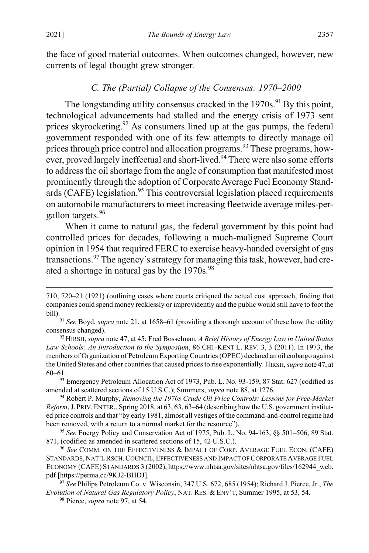<span id="page-19-0"></span> $\overline{a}$ 

#### <span id="page-19-1"></span>*C. The (Partial) Collapse of the Consensus: 1970–2000*

The longstanding utility consensus cracked in the  $1970s$ .<sup>91</sup> By this point, technological advancements had stalled and the energy crisis of 1973 sent prices skyrocketing.<sup>92</sup> As consumers lined up at the gas pumps, the federal government responded with one of its few attempts to directly manage oil prices through price control and allocation programs.<sup>93</sup> These programs, however, proved largely ineffectual and short-lived.<sup>94</sup> There were also some efforts to address the oil shortage from the angle of consumption that manifested most prominently through the adoption of Corporate Average Fuel Economy Standards (CAFE) legislation.<sup>95</sup> This controversial legislation placed requirements on automobile manufacturers to meet increasing fleetwide average miles-pergallon targets.<sup>96</sup>

When it came to natural gas, the federal government by this point had controlled prices for decades, following a much-maligned Supreme Court opinion in 1954 that required FERC to exercise heavy-handed oversight of gas transactions.97 The agency's strategy for managing this task, however, had created a shortage in natural gas by the 1970s.<sup>98</sup>

<sup>93</sup> Emergency Petroleum Allocation Act of 1973, Pub. L. No. 93-159, 87 Stat. 627 (codified as amended at scattered sections of 15 U.S.C.); Summers, *supra* not[e 88,](#page-18-0) at 1276.

<sup>94</sup> Robert P. Murphy, *Removing the 1970s Crude Oil Price Controls: Lessons for Free-Market Reform*, J. PRIV.ENTER., Spring 2018, at 63, 63, 63–64 (describing how the U.S. government instituted price controls and that "by early 1981, almost all vestiges of the command-and-control regime had been removed, with a return to a normal market for the resource").

<sup>95</sup> *See* Energy Policy and Conservation Act of 1975, Pub. L. No. 94-163, §§ 501–506, 89 Stat. 871, (codified as amended in scattered sections of 15, 42 U.S.C.).

<sup>96</sup> *See* COMM. ON THE EFFECTIVENESS & IMPACT OF CORP. AVERAGE FUEL ECON. (CAFE) STANDARDS, NAT'L RSCH.COUNCIL, EFFECTIVENESS AND IMPACT OF CORPORATE AVERAGE FUEL ECONOMY (CAFE) STANDARDS 3 (2002), https://www.nhtsa.gov/sites/nhtsa.gov/files/162944\_web. pdf [https://perma.cc/9KJ2-BHDJ]. 97 *See* Philips Petroleum Co. v. Wisconsin, 347 U.S. 672, 685 (1954); Richard J. Pierce, Jr., *The* 

*Evolution of Natural Gas Regulatory Policy*, NAT. RES. & ENV'T, Summer 1995, at 53, 54.

<sup>98</sup> Pierce, *supra* not[e 97,](#page-19-0) at 54.

<sup>710, 720–21 (1921) (</sup>outlining cases where courts critiqued the actual cost approach, finding that companies could spend money recklessly or improvidently and the public would still have to foot the

<sup>&</sup>lt;sup>91</sup> See Boyd, *supra* note [21,](#page-7-0) at 1658–61 (providing a thorough account of these how the utility consensus changed).

<sup>92</sup> HIRSH, *supra* not[e 47,](#page-12-0) at 45; Fred Bosselman, *A Brief History of Energy Law in United States Law Schools: An Introduction to the Symposium*, 86 CHI.-KENT L. REV. 3, 3 (2011). In 1973, the members of Organization of Petroleum Exporting Countries(OPEC) declared an oil embargo against the United States and other countries that caused prices to rise exponentially. HIRSH, *supra* not[e 47,](#page-12-0) at 60–61.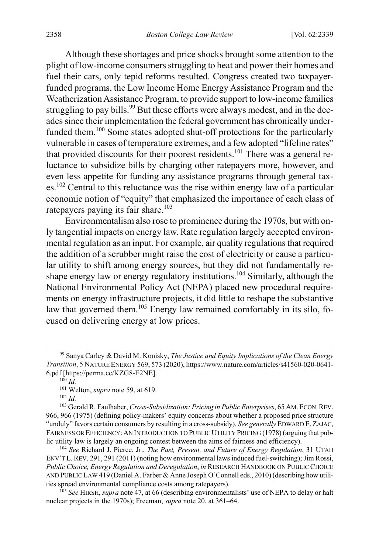Although these shortages and price shocks brought some attention to the plight of low-income consumers struggling to heat and power their homes and fuel their cars, only tepid reforms resulted. Congress created two taxpayerfunded programs, the Low Income Home Energy Assistance Program and the Weatherization Assistance Program, to provide support to low-income families struggling to pay bills.<sup>99</sup> But these efforts were always modest, and in the decades since their implementation the federal government has chronically underfunded them.<sup>100</sup> Some states adopted shut-off protections for the particularly vulnerable in cases of temperature extremes, and a few adopted "lifeline rates" that provided discounts for their poorest residents.<sup>101</sup> There was a general reluctance to subsidize bills by charging other ratepayers more, however, and even less appetite for funding any assistance programs through general taxes.<sup>102</sup> Central to this reluctance was the rise within energy law of a particular economic notion of "equity" that emphasized the importance of each class of ratepayers paying its fair share.<sup>103</sup>

<span id="page-20-0"></span>Environmentalism also rose to prominence during the 1970s, but with only tangential impacts on energy law. Rate regulation largely accepted environmental regulation as an input. For example, air quality regulations that required the addition of a scrubber might raise the cost of electricity or cause a particular utility to shift among energy sources, but they did not fundamentally reshape energy law or energy regulatory institutions.<sup>104</sup> Similarly, although the National Environmental Policy Act (NEPA) placed new procedural requirements on energy infrastructure projects, it did little to reshape the substantive law that governed them.<sup>105</sup> Energy law remained comfortably in its silo, focused on delivering energy at low prices.

 <sup>99</sup> Sanya Carley & David M. Konisky, *The Justice and Equity Implications of the Clean Energy Transition*, 5 NATURE ENERGY 569, 573 (2020), https://www.nature.com/articles/s41560-020-0641- 6.pdf [https://perma.cc/KZG8-E2NE].

<sup>100</sup> *Id.*

<sup>101</sup> Welton, *supra* not[e 59,](#page-14-0) at 619. 102 *Id.*

<sup>103</sup> Gerald R. Faulhaber, *Cross-Subsidization: Pricing in Public Enterprises*, 65 AM.ECON.REV. 966, 966 (1975) (defining policy-makers' equity concerns about whether a proposed price structure "unduly" favors certain consumers by resulting in a cross-subsidy). *See generally* EDWARD E.ZAJAC, FAIRNESS OR EFFICIENCY:AN INTRODUCTION TO PUBLIC UTILITY PRICING (1978) (arguing that public utility law is largely an ongoing contest between the aims of fairness and efficiency).

<sup>104</sup> *See* Richard J. Pierce, Jr., *The Past, Present, and Future of Energy Regulation*, 31 UTAH ENV'T L.REV. 291, 291 (2011) (noting how environmental laws induced fuel-switching); Jim Rossi, *Public Choice, Energy Regulation and Deregulation*, *in* RESEARCH HANDBOOK ON PUBLIC CHOICE AND PUBLIC LAW 419 (Daniel A. Farber & Anne Joseph O'Connell eds., 2010) (describing how utilities spread environmental compliance costs among ratepayers).

<sup>105</sup> *See* HIRSH, *supra* not[e 47,](#page-12-0) at 66 (describing environmentalists' use of NEPA to delay or halt nuclear projects in the 1970s); Freeman, *supra* not[e 20,](#page-7-1) at 361–64.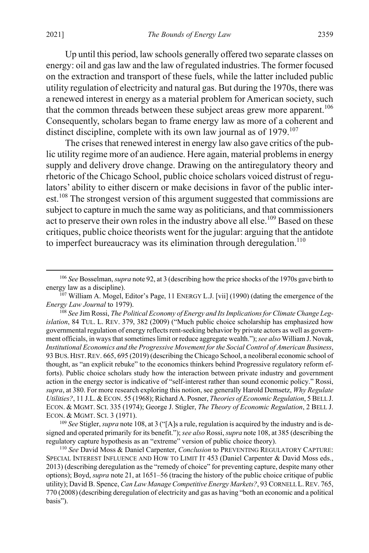Up until this period, law schools generally offered two separate classes on energy: oil and gas law and the law of regulated industries. The former focused on the extraction and transport of these fuels, while the latter included public utility regulation of electricity and natural gas. But during the 1970s, there was a renewed interest in energy as a material problem for American society, such that the common threads between these subject areas grew more apparent.<sup>106</sup> Consequently, scholars began to frame energy law as more of a coherent and distinct discipline, complete with its own law journal as of  $1979$ .<sup>107</sup>

<span id="page-21-0"></span>The crises that renewed interest in energy law also gave critics of the public utility regime more of an audience. Here again, material problems in energy supply and delivery drove change. Drawing on the antiregulatory theory and rhetoric of the Chicago School, public choice scholars voiced distrust of regulators' ability to either discern or make decisions in favor of the public interest.<sup>108</sup> The strongest version of this argument suggested that commissions are subject to capture in much the same way as politicians, and that commissioners act to preserve their own roles in the industry above all else.<sup>109</sup> Based on these critiques, public choice theorists went for the jugular: arguing that the antidote to imperfect bureaucracy was its elimination through deregulation.<sup>110</sup>

<sup>109</sup> *See* Stigler, *supra* not[e 108,](#page-21-0) at 3 ("[A]s a rule, regulation is acquired by the industry and is designed and operated primarily for its benefit.");*see also* Rossi, *supra* not[e 108,](#page-21-0) at 385 (describing the regulatory capture hypothesis as an "extreme" version of public choice theory).

<span id="page-21-1"></span> <sup>106</sup> *See* Bosselman, *supra* not[e 92,](#page-19-1) at 3 (describing how the price shocks of the 1970s gave birth to energy law as a discipline).

<sup>&</sup>lt;sup>107</sup> William A. Mogel, Editor's Page, 11 ENERGY L.J. [vii] (1990) (dating the emergence of the *Energy Law Journal* to 1979).

<sup>&</sup>lt;sup>108</sup> See Jim Rossi, *The Political Economy of Energy and Its Implications for Climate Change Legislation*, 84 TUL. L. REV. 379, 382 (2009) ("Much public choice scholarship has emphasized how governmental regulation of energy reflects rent-seeking behavior by private actors as well as government officials, in ways that sometimes limit or reduce aggregate wealth."); *see also* William J. Novak, *Institutional Economics and the Progressive Movement for the Social Control of American Business*, 93 BUS. HIST.REV. 665, 695 (2019) (describing the Chicago School, a neoliberal economic school of thought, as "an explicit rebuke" to the economics thinkers behind Progressive regulatory reform efforts). Public choice scholars study how the interaction between private industry and government action in the energy sector is indicative of "self-interest rather than sound economic policy." Rossi, *supra*, at 380. For more research exploring this notion, see generally Harold Demsetz, *Why Regulate Utilities?*, 11 J.L.&ECON. 55 (1968); Richard A. Posner, *Theories of Economic Regulation*, 5 BELL J. ECON. & MGMT. SCI. 335 (1974); George J. Stigler, *The Theory of Economic Regulation*, 2 BELL J. ECON. & MGMT. SCI. 3 (1971).

<sup>110</sup> *See* David Moss & Daniel Carpenter, *Conclusion* to PREVENTING REGULATORY CAPTURE: SPECIAL INTEREST INFLUENCE AND HOW TO LIMIT IT 453 (Daniel Carpenter & David Moss eds., 2013) (describing deregulation as the "remedy of choice" for preventing capture, despite many other options); Boyd, *supra* not[e 21,](#page-7-0) at 1651–56 (tracing the history of the public choice critique of public utility); David B. Spence, *Can Law Manage Competitive Energy Markets?*, 93 CORNELL L.REV. 765, 770 (2008) (describing deregulation of electricity and gas as having "both an economic and a political basis").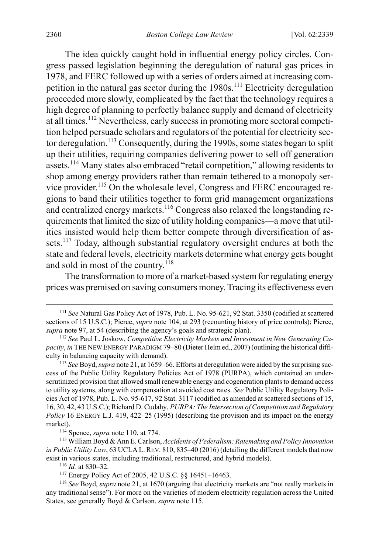The idea quickly caught hold in influential energy policy circles. Congress passed legislation beginning the deregulation of natural gas prices in 1978, and FERC followed up with a series of orders aimed at increasing competition in the natural gas sector during the 1980s.<sup>111</sup> Electricity deregulation proceeded more slowly, complicated by the fact that the technology requires a high degree of planning to perfectly balance supply and demand of electricity at all times.<sup>112</sup> Nevertheless, early success in promoting more sectoral competition helped persuade scholars and regulators of the potential for electricity sector deregulation.<sup>113</sup> Consequently, during the 1990s, some states began to split up their utilities, requiring companies delivering power to sell off generation assets.<sup>114</sup> Many states also embraced "retail competition," allowing residents to shop among energy providers rather than remain tethered to a monopoly service provider.<sup>115</sup> On the wholesale level, Congress and FERC encouraged regions to band their utilities together to form grid management organizations and centralized energy markets.<sup>116</sup> Congress also relaxed the longstanding requirements that limited the size of utility holding companies—a move that utilities insisted would help them better compete through diversification of assets.<sup>117</sup> Today, although substantial regulatory oversight endures at both the state and federal levels, electricity markets determine what energy gets bought and sold in most of the country.<sup>118</sup>

<span id="page-22-0"></span>The transformation to more of a market-based system for regulating energy prices was premised on saving consumers money. Tracing its effectiveness even

<sup>113</sup> *See* Boyd, *supra* not[e 21,](#page-7-0) at 1659–66. Efforts at deregulation were aided by the surprising success of the Public Utility Regulatory Policies Act of 1978 (PURPA), which contained an underscrutinized provision that allowed small renewable energy and cogeneration plants to demand access to utility systems, along with compensation at avoided cost rates. *See* Public Utility Regulatory Policies Act of 1978, Pub. L. No. 95-617, 92 Stat. 3117 (codified as amended at scattered sections of 15, 16, 30, 42, 43 U.S.C.); Richard D. Cudahy, *PURPA: The Intersection of Competition and Regulatory Policy* 16 ENERGY L.J. 419, 422–25 (1995) (describing the provision and its impact on the energy market).

<sup>115</sup> William Boyd & Ann E. Carlson, *Accidents of Federalism: Ratemaking and Policy Innovation in Public Utility Law*, 63 UCLA L. REV. 810, 835–40 (2016) (detailing the different models that now exist in various states, including traditional, restructured, and hybrid models).

<sup>116</sup> *Id.* at 830–32.<br><sup>117</sup> Energy Policy Act of 2005, 42 U.S.C. §§ 16451–16463.

<sup>118</sup> See Boyd, *supra* not[e 21,](#page-7-0) at 1670 (arguing that electricity markets are "not really markets in any traditional sense"). For more on the varieties of modern electricity regulation across the United States, see generally Boyd & Carlson, *supra* not[e 115.](#page-22-0)

 <sup>111</sup> *See* Natural Gas Policy Act of 1978, Pub. L. No. 95-621, 92 Stat. 3350 (codified at scattered sections of 15 U.S.C.); Pierce, *supra* note [104,](#page-20-0) at 293 (recounting history of price controls); Pierce, *supra* not[e 97,](#page-19-0) at 54 (describing the agency's goals and strategic plan).

<sup>112</sup> *See* Paul L. Joskow, *Competitive Electricity Markets and Investment in New Generating Capacity*, *in* THE NEW ENERGY PARADIGM 79–80 (Dieter Helm ed., 2007) (outlining the historical difficulty in balancing capacity with demand).

<sup>114</sup> Spence, *supra* not[e 110,](#page-21-1) at 774.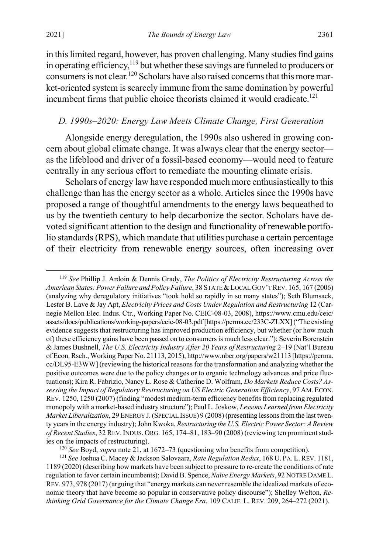in this limited regard, however, has proven challenging. Many studies find gains in operating efficiency,<sup>119</sup> but whether these savings are funneled to producers or consumers is not clear.<sup>120</sup> Scholars have also raised concerns that this more market-oriented system is scarcely immune from the same domination by powerful incumbent firms that public choice theorists claimed it would eradicate.<sup>121</sup>

#### <span id="page-23-0"></span>*D. 1990s–2020: Energy Law Meets Climate Change, First Generation*

Alongside energy deregulation, the 1990s also ushered in growing concern about global climate change. It was always clear that the energy sector as the lifeblood and driver of a fossil-based economy—would need to feature centrally in any serious effort to remediate the mounting climate crisis.

Scholars of energy law have responded much more enthusiastically to this challenge than has the energy sector as a whole. Articles since the 1990s have proposed a range of thoughtful amendments to the energy laws bequeathed to us by the twentieth century to help decarbonize the sector. Scholars have devoted significant attention to the design and functionality of renewable portfolio standards (RPS), which mandate that utilities purchase a certain percentage of their electricity from renewable energy sources, often increasing over

<sup>120</sup> *See* Boyd, *supra* note [21,](#page-7-0) at 1672–73 (questioning who benefits from competition). 121 *See* Joshua C. Macey & Jackson Salovaara, *Rate Regulation Redux*, 168 U. PA.L.REV. 1181,

 <sup>119</sup> *See* Phillip J. Ardoin & Dennis Grady, *The Politics of Electricity Restructuring Across the American States: Power Failure and Policy Failure*, 38 STATE &LOCAL GOV'T REV. 165, 167 (2006) (analyzing why deregulatory initiatives "took hold so rapidly in so many states"); Seth Blumsack, Lester B. Lave & Jay Apt, *Electricity Prices and Costs Under Regulation and Restructuring* 12 (Carnegie Mellon Elec. Indus. Ctr., Working Paper No. CEIC-08-03, 2008), https://www.cmu.edu/ceic/ assets/docs/publications/working-papers/ceic-08-03.pdf [https://perma.cc/233C-ZLXX] ("The existing evidence suggests that restructuring has improved production efficiency, but whether (or how much of) these efficiency gains have been passed on to consumers is much less clear."); Severin Borenstein & James Bushnell, *The U.S. Electricity Industry After 20 Years of Restructuring* 2–19 (Nat'l Bureau of Econ. Rsch., Working Paper No. 21113, 2015), http://www.nber.org/papers/w21113 [https://perma. cc/DL95-E3WW] (reviewing the historical reasons for the transformation and analyzing whether the positive outcomes were due to the policy changes or to organic technology advances and price fluctuations); Kira R. Fabrizio, Nancy L. Rose & Catherine D. Wolfram, *Do Markets Reduce Costs? Assessing the Impact of Regulatory Restructuring on US Electric Generation Efficiency*, 97 AM. ECON. REV. 1250, 1250 (2007) (finding "modest medium-term efficiency benefits from replacing regulated monopoly with a market-based industry structure"); Paul L. Joskow, *Lessons Learned from Electricity Market Liberalization*, 29 ENERGY J.(SPECIAL ISSUE) 9 (2008) (presenting lessons from the last twenty years in the energy industry); John Kwoka, *Restructuring the U.S. Electric Power Sector: A Review of Recent Studies*, 32 REV.INDUS. ORG. 165, 174–81, 183–90 (2008) (reviewing ten prominent studies on the impacts of restructuring).

<sup>1189 (2020) (</sup>describing how markets have been subject to pressure to re-create the conditions of rate regulation to favor certain incumbents); David B. Spence, *Naïve Energy Markets*, 92 NOTRE DAME L. REV. 973, 978 (2017) (arguing that "energy markets can never resemble the idealized markets of economic theory that have become so popular in conservative policy discourse"); Shelley Welton, *Rethinking Grid Governance for the Climate Change Era*, 109 CALIF. L. REV. 209, 264–272 (2021).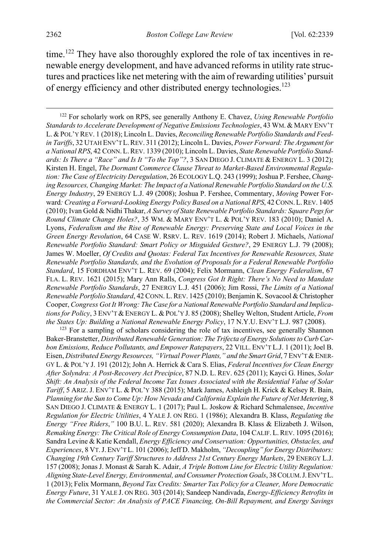<span id="page-24-1"></span>time.<sup>122</sup> They have also thoroughly explored the role of tax incentives in renewable energy development, and have advanced reforms in utility rate structures and practices like net metering with the aim of rewarding utilities' pursuit of energy efficiency and other distributed energy technologies.<sup>123</sup>

<sup>123</sup> For a sampling of scholars considering the role of tax incentives, see generally Shannon Baker-Branstetter, *Distributed Renewable Generation: The Trifecta of Energy Solutionsto Curb Carbon Emissions, Reduce Pollutants, and Empower Ratepayers*, 22 VILL. ENV'T L.J. 1 (2011); Joel B. Eisen, *Distributed Energy Resources, "Virtual Power Plants," and the Smart Grid*, 7 ENV'T &ENER-GY L. & POL'Y J. 191 (2012); John A. Herrick & Cara S. Elias, *Federal Incentives for Clean Energy After Solyndra: A Post-Recovery Act Precipice*, 87 N.D. L. REV. 625 (2011); Kayci G. Hines, *Solar Shift: An Analysis of the Federal Income Tax Issues Associated with the Residential Value of Solar Tariff*, 5 ARIZ.J. ENV'T L. & POL'Y 388 (2015); Mark James, Ashleigh H. Krick & Kelsey R. Bain, *Planning forthe Sun to Come Up: How Nevada and California Explain the Future of Net Metering*, 8 SAN DIEGO J. CLIMATE & ENERGY L. 1 (2017); Paul L. Joskow & Richard Schmalensee, *Incentive Regulation for Electric Utilities*, 4 YALE J. ON REG. 1 (1986); Alexandra B. Klass, *Regulating the Energy "Free Riders*,*"* 100 B.U. L. REV. 581 (2020); Alexandra B. Klass & Elizabeth J. Wilson, *Remaking Energy: The Critical Role of Energy Consumption Data*, 104 CALIF.L.REV. 1095 (2016); Sandra Levine & Katie Kendall, *Energy Efficiency and Conservation: Opportunities, Obstacles, and Experiences*, 8 VT.J. ENV'T L. 101 (2006); Jeff D. Makholm, *"Decoupling" for Energy Distributors: Changing 19th Century Tariff Structures to Address 21st Century Energy Markets*, 29 ENERGY L.J. 157 (2008); Jonas J. Monast & Sarah K. Adair, *A Triple Bottom Line for Electric Utility Regulation: Aligning State-Level Energy, Environmental, and Consumer Protection Goals*, 38 COLUM.J.ENV'T L. 1 (2013); Felix Mormann, *Beyond Tax Credits: Smarter Tax Policy for a Cleaner, More Democratic Energy Future*, 31 YALE J. ON REG. 303 (2014); Sandeep Nandivada, *Energy-Efficiency Retrofits in the Commercial Sector: An Analysis of PACE Financing, On-Bill Repayment, and Energy Savings* 

<span id="page-24-0"></span> <sup>122</sup> For scholarly work on RPS, see generally Anthony E. Chavez, *Using Renewable Portfolio Standards to Accelerate Development of Negative Emissions Technologies*, 43 WM. & MARY ENV'T L. &POL'Y REV. 1 (2018); Lincoln L. Davies, *Reconciling Renewable Portfolio Standards and Feedin Tariffs*, 32 UTAH ENV'T L.REV. 311 (2012); Lincoln L. Davies, *Power Forward: The Argument for a National RPS*, 42 CONN.L.REV. 1339 (2010); Lincoln L. Davies, *State Renewable Portfolio Standards: Is There a "Race" and Is It "To the Top"?*, 3 SAN DIEGO J. CLIMATE & ENERGY L. 3 (2012); Kirsten H. Engel, *The Dormant Commerce Clause Threat to Market-Based Environmental Regulation: The Case of Electricity Deregulation*, 26 ECOLOGY L.Q. 243 (1999); Joshua P. Fershee, *Changing Resources, Changing Market: The Impact of a National Renewable Portfolio Standard on the U.S. Energy Industry*, 29 ENERGY L.J. 49 (2008); Joshua P. Fershee, Commentary, *Moving* Power Forward*: Creating a Forward-Looking Energy Policy Based on a National RPS*, 42 CONN.L.REV. 1405 (2010); Ivan Gold & Nidhi Thakar, *A Survey of State Renewable Portfolio Standards: Square Pegsfor Round Climate Change Holes?*, 35 WM. & MARY ENV'T L. & POL'Y REV. 183 (2010); Daniel A. Lyons, *Federalism and the Rise of Renewable Energy: Preserving State and Local Voices in the Green Energy Revolution*, 64 CASE W. RSRV. L. REV. 1619 (2014); Robert J. Michaels, *National Renewable Portfolio Standard: Smart Policy or Misguided Gesture?*, 29 ENERGY L.J. 79 (2008); James W. Moeller, *Of Credits and Quotas: Federal Tax Incentives for Renewable Resources, State Renewable Portfolio Standards, and the Evolution of Proposals for a Federal Renewable Portfolio Standard*, 15 FORDHAM ENV'T L. REV. 69 (2004); Felix Mormann, *Clean Energy Federalism*, 67 FLA. L. REV. 1621 (2015); Mary Ann Ralls, *Congress Got It Right: There's No Need to Mandate Renewable Portfolio Standards*, 27 ENERGY L.J. 451 (2006); Jim Rossi, *The Limits of a National Renewable Portfolio Standard*, 42 CONN. L.REV. 1425 (2010); Benjamin K. Sovacool & Christopher Cooper, *Congress Got It Wrong: The Case for a National Renewable Portfolio Standard and Implicationsfor Policy*, 3 ENV'T &ENERGY L. &POL'Y J. 85 (2008); Shelley Welton, Student Article, *From the States Up: Building a National Renewable Energy Policy*, 17 N.Y.U. ENV'T L.J. 987 (2008).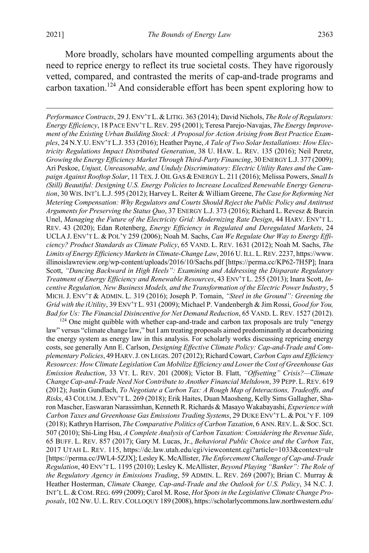More broadly, scholars have mounted compelling arguments about the need to reprice energy to reflect its true societal costs. They have rigorously vetted, compared, and contrasted the merits of cap-and-trade programs and carbon taxation.<sup>124</sup> And considerable effort has been spent exploring how to

 $124$  One might quibble with whether cap-and-trade and carbon tax proposals are truly "energy law" versus "climate change law," but I am treating proposals aimed predominantly at decarbonizing the energy system as energy law in this analysis. For scholarly works discussing repricing energy costs, see generally Ann E. Carlson, *Designing Effective Climate Policy: Cap-and-Trade and Complementary Policies*, 49 HARV.J. ON LEGIS. 207 (2012); Richard Cowart, *Carbon Caps and Efficiency Resources: How Climate Legislation Can Mobilize Efficiency and Lowerthe Cost of Greenhouse Gas Emission Reduction*, 33 VT. L. REV. 201 (2008); Victor B. Flatt, *"Offsetting" Crisis?—Climate Change Cap-and-Trade Need Not Contribute to Another Financial Meltdown*, 39 PEPP. L. REV. 619 (2012); Justin Gundlach, *To Negotiate a Carbon Tax: A Rough Map of Interactions, Tradeoffs, and Risks*, 43 COLUM.J. ENV'T L. 269 (2018); Erik Haites, Duan Maosheng, Kelly Sims Gallagher, Sharon Mascher, Easwaran Narassimhan, Kenneth R. Richards & Masayo Wakabayashi, *Experience with Carbon Taxes and Greenhouse Gas Emissions Trading Systems*, 29 DUKE ENV'T L. & POL'Y F. 109 (2018); Kathryn Harrison, *The Comparative Politics of Carbon Taxation*, 6 ANN.REV.L.&SOC. SCI. 507 (2010); Shi-Ling Hsu, *A Complete Analysis of Carbon Taxation: Considering the Revenue Side*, 65 BUFF. L. REV. 857 (2017); Gary M. Lucas, Jr., *Behavioral Public Choice and the Carbon Tax*, 2017 UTAH L. REV. 115, https://dc.law.utah.edu/cgi/viewcontent.cgi?article=1033&context=ulr [https://perma.cc/JWL4-5ZJX]; Lesley K. McAllister, *The Enforcement Challenge of Cap-and-Trade Regulation*, 40 ENV'T L. 1195 (2010); Lesley K. McAllister, *Beyond Playing "Banker": The Role of the Regulatory Agency in Emissions Trading*, 59 ADMIN. L. REV. 269 (2007); Brian C. Murray & Heather Hosterman, *Climate Change, Cap-and-Trade and the Outlook for U.S. Policy*, 34 N.C. J. INT'L L. & COM.REG. 699 (2009); Carol M. Rose, *Hot Spots in the Legislative Climate Change Proposals*, 102 NW. U.L.REV.COLLOQUY 189 (2008), https://scholarlycommons.law.northwestern.edu/

 $\overline{a}$ *Performance Contracts*, 29 J. ENV'T L. &LITIG. 363 (2014); David Nichols, *The Role of Regulators: Energy Efficiency*, 18 PACE ENV'T L.REV. 295 (2001); Teresa Parejo-Navajas, *The Energy Improvement of the Existing Urban Building Stock: A Proposal for Action Arising from Best Practice Examples*, 24 N.Y.U. ENV'T L.J. 353 (2016); Heather Payne, *A Tale of Two Solar Installations: How Electricity Regulations Impact Distributed Generation*, 38 U. HAW. L. REV. 135 (2016); Neil Peretz, *Growing the Energy Efficiency Market Through Third-Party Financing*, 30 ENERGY L.J. 377 (2009); Ari Peskoe, *Unjust, Unreasonable, and Unduly Discriminatory: Electric Utility Rates and the Campaign Against Rooftop Solar*, 11 TEX.J. OIL GAS &ENERGY L. 211 (2016); Melissa Powers, *Small Is (Still) Beautiful: Designing U.S. Energy Policies to Increase Localized Renewable Energy Generation*, 30 WIS.INT'L L.J. 595 (2012); Harvey L. Reiter & William Greene, *The Case for Reforming Net Metering Compensation: Why Regulators and Courts Should Reject the Public Policy and Antitrust Arguments for Preserving the Status Quo*, 37 ENERGY L.J. 373 (2016); Richard L. Revesz & Burcin Unel, *Managing the Future of the Electricity Grid: Modernizing Rate Design*, 44 HARV. ENV'T L. REV. 43 (2020); Edan Rotenberg, *Energy Efficiency in Regulated and Deregulated Markets*, 24 UCLA J. ENV'T L. & POL'Y 259 (2006); Noah M. Sachs, *Can We Regulate Our Way to Energy Efficiency? Product Standards as Climate Policy*, 65 VAND. L. REV. 1631 (2012); Noah M. Sachs, *The Limits of Energy Efficiency Marketsin Climate-Change Law*, 2016 U.ILL.L.REV. 2237, https://www. illinoislawreview.org/wp-content/uploads/2016/10/Sachs.pdf [https://perma.cc/KP62-7H5P]; Inara Scott, *"Dancing Backward in High Heels": Examining and Addressing the Disparate Regulatory Treatment of Energy Efficiency and Renewable Resources*, 43 ENV'T L. 255 (2013); Inara Scott, *Incentive Regulation, New Business Models, and the Transformation of the Electric Power Industry*, 5 MICH. J. ENV'T & ADMIN. L. 319 (2016); Joseph P. Tomain, *"Steel in the Ground": Greening the Grid with the iUtility*, 39 ENV'T L. 931 (2009); Michael P. Vandenbergh & Jim Rossi, *Good for You, Bad for Us: The Financial Disincentive for Net Demand Reduction*, 65 VAND. L. REV. 1527 (2012).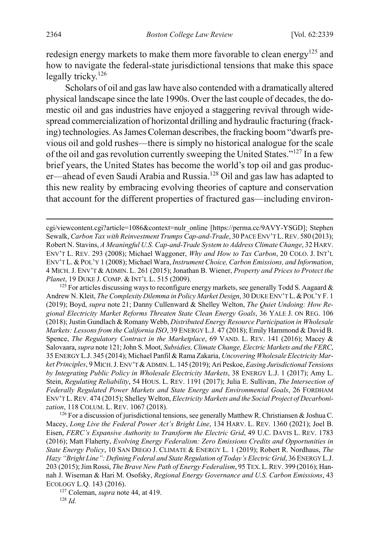<span id="page-26-0"></span>redesign energy markets to make them more favorable to clean energy<sup>125</sup> and how to navigate the federal-state jurisdictional tensions that make this space legally tricky.<sup>126</sup>

Scholars of oil and gas law have also contended with a dramatically altered physical landscape since the late 1990s. Over the last couple of decades, the domestic oil and gas industries have enjoyed a staggering revival through widespread commercialization of horizontal drilling and hydraulic fracturing (fracking) technologies. As James Coleman describes, the fracking boom "dwarfs previous oil and gold rushes—there is simply no historical analogue for the scale of the oil and gas revolution currently sweeping the United States."127 In a few brief years, the United States has become the world's top oil and gas producer—ahead of even Saudi Arabia and Russia.<sup>128</sup> Oil and gas law has adapted to this new reality by embracing evolving theories of capture and conservation that account for the different properties of fractured gas—including environ-

 $125$  For articles discussing ways to reconfigure energy markets, see generally Todd S. Aagaard  $\&$ Andrew N. Kleit, *The Complexity Dilemma in Policy Market Design*, 30 DUKE ENV'T L.&POL'Y F. 1 (2019); Boyd, *supra* note [21;](#page-7-0) Danny Cullenward & Shelley Welton, *The Quiet Undoing: How Regional Electricity Market Reforms Threaten State Clean Energy Goals*, 36 YALE J. ON REG. 106 (2018); Justin Gundlach & Romany Webb, *Distributed Energy Resource Participation in Wholesale Markets: Lessons from the California ISO*, 39 ENERGY L.J. 47 (2018); Emily Hammond & David B. Spence, *The Regulatory Contract in the Marketplace*, 69 VAND. L. REV. 141 (2016); Macey & Salovaara, *supra* not[e 121;](#page-23-0) John S. Moot, *Subsidies, Climate Change, Electric Markets and the FERC*, 35 ENERGY L.J. 345 (2014); Michael Panfil & Rama Zakaria, *Uncovering Wholesale Electricity Market Principles*, 9 MICH.J.ENV'T &ADMIN.L. 145 (2019); Ari Peskoe, *Easing Jurisdictional Tensions by Integrating Public Policy in Wholesale Electricity Markets*, 38 ENERGY L.J. 1 (2017); Amy L. Stein, *Regulating Reliability*, 54 HOUS. L. REV. 1191 (2017); Julia E. Sullivan, *The Intersection of Federally Regulated Power Markets and State Energy and Environmental Goals*, 26 FORDHAM ENV'T L.REV. 474 (2015); Shelley Welton, *Electricity Markets and the Social Project of Decarboni-*

*zation*, 118 COLUM. L. REV. 1067 (2018). 126 For a discussion of jurisdictional tensions, see generally Matthew R. Christiansen & Joshua C. Macey, *Long Live the Federal Power Act's Bright Line*, 134 HARV. L. REV. 1360 (2021); Joel B. Eisen, *FERC's Expansive Authority to Transform the Electric Grid*, 49 U.C. DAVIS L. REV. 1783 (2016); Matt Flaherty, *Evolving Energy Federalism: Zero Emissions Credits and Opportunities in State Energy Policy*, 10 SAN DIEGO J. CLIMATE & ENERGY L. 1 (2019); Robert R. Nordhaus, *The Hazy "Bright Line": Defining Federal and State Regulation of Today's Electric Grid*, 36 ENERGY L.J. 203 (2015); Jim Rossi, *The Brave New Path of Energy Federalism*, 95 TEX.L.REV. 399 (2016); Hannah J. Wiseman & Hari M. Osofsky, *Regional Energy Governance and U.S. Carbon Emissions*, 43 ECOLOGY L.Q. 143 (2016).

127 Coleman, *supra* not[e 44,](#page-12-3) at 419. <sup>128</sup> *Id.*

cgi/viewcontent.cgi?article=1086&context=nulr\_online [https://perma.cc/9AVY-YSGD]; Stephen Sewalk, *Carbon Tax with Reinvestment Trumps Cap-and-Trade*, 30 PACE ENV'T L.REV. 580 (2013); Robert N. Stavins, *A Meaningful U.S. Cap-and-Trade System to Address Climate Change*, 32 HARV. ENV'T L. REV. 293 (2008); Michael Waggoner, *Why and How to Tax Carbon*, 20 COLO. J. INT'L ENV'T L. &POL'Y 1 (2008); Michael Wara, *Instrument Choice, Carbon Emissions, and Information*, 4 MICH. J. ENV'T & ADMIN. L. 261 (2015); Jonathan B. Wiener, *Property and Prices to Protect the Planet*, 19 DUKE J. COMP. & INT'L L. 515 (2009).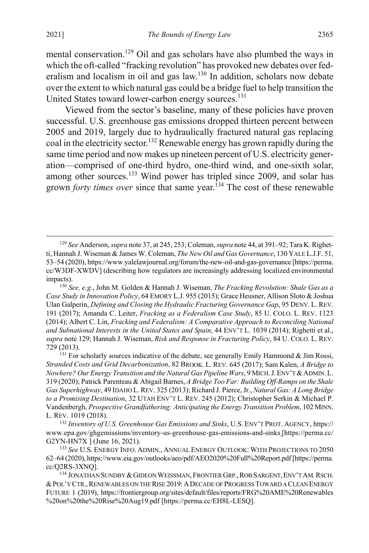<span id="page-27-0"></span>mental conservation.<sup>129</sup> Oil and gas scholars have also plumbed the ways in which the oft-called "fracking revolution" has provoked new debates over federalism and localism in oil and gas law.<sup>130</sup> In addition, scholars now debate over the extent to which natural gas could be a bridge fuel to help transition the United States toward lower-carbon energy sources.<sup>131</sup>

<span id="page-27-2"></span><span id="page-27-1"></span>Viewed from the sector's baseline, many of these policies have proven successful. U.S. greenhouse gas emissions dropped thirteen percent between 2005 and 2019, largely due to hydraulically fractured natural gas replacing coal in the electricity sector.<sup>132</sup> Renewable energy has grown rapidly during the same time period and now makes up nineteen percent of U.S. electricity generation––comprised of one-third hydro, one-third wind, and one-sixth solar, among other sources.<sup>133</sup> Wind power has tripled since 2009, and solar has grown *forty times over* since that same year.<sup>134</sup> The cost of these renewable

 <sup>129</sup> *See* Anderson, *supra* not[e 37,](#page-11-1) at 245, 253; Coleman, *supra* not[e 44,](#page-12-3) at 391–92; Tara K. Righetti, Hannah J. Wiseman & James W. Coleman, *The New Oil and Gas Governance*, 130 YALE L.J.F. 51, 53–54 (2020), https://www.yalelawjournal.org/forum/the-new-oil-and-gas-governance [https://perma. cc/W3DF-XWDV] (describing how regulators are increasingly addressing localized environmental impacts).

<sup>130</sup> *See, e.g.*, John M. Golden & Hannah J. Wiseman, *The Fracking Revolution: Shale Gas as a Case Study in Innovation Policy*, 64 EMORY L.J. 955 (2015); Grace Heusner, Allison Sloto & Joshua Ulan Galperin, *Defining and Closing the Hydraulic Fracturing Governance Gap*, 95 DENV. L. REV. 191 (2017); Amanda C. Leiter, *Fracking as a Federalism Case Study*, 85 U. COLO. L. REV. 1123 (2014); Albert C. Lin, *Fracking and Federalism: A Comparative Approach to Reconciling National and Subnational Interests in the United States and Spain*, 44 ENV'T L. 1039 (2014); Righetti et al., *supra* not[e 129;](#page-27-0) Hannah J. Wiseman, *Risk and Response in Fracturing Policy*, 84 U. COLO. L. REV. 729 (2013).

 $131$  For scholarly sources indicative of the debate, see generally Emily Hammond & Jim Rossi, *Stranded Costs and Grid Decarbonization*, 82 BROOK. L. REV. 645 (2017); Sam Kalen, *A Bridge to Nowhere? Our Energy Transition and the Natural Gas Pipeline Wars*, 9 MICH.J.ENV'T &ADMIN.L. 319 (2020); Patrick Parenteau & Abigail Barnes, *A Bridge Too Far: Building Off-Ramps on the Shale Gas Superhighway*, 49 IDAHO L.REV. 325 (2013); Richard J. Pierce, Jr., *Natural Gas: A Long Bridge to a Promising Destination*, 32 UTAH ENV'T L. REV. 245 (2012); Christopher Serkin & Michael P. Vandenbergh, *Prospective Grandfathering: Anticipating the Energy Transition Problem*, 102 MINN. L. REV. 1019 (2018).

<sup>132</sup> *Inventory of U.S. Greenhouse Gas Emissions and Sinks*, U.S. ENV'T PROT. AGENCY, https:// www.epa.gov/ghgemissions/inventory-us-greenhouse-gas-emissions-and-sinks [https://perma.cc/ G2YN-HN7X ] (June 16, 2021). 133 *See* U.S. ENERGY INFO. ADMIN., ANNUAL ENERGY OUTLOOK: WITH PROJECTIONS TO 2050

<sup>62–64 (2020),</sup> https://www.eia.gov/outlooks/aeo/pdf/AEO2020%20Full%20Report.pdf [https://perma. cc/Q2RS-3XNQ].<br><sup>134</sup> JONATHAN SUNDBY & GIDEON WEISSMAN, FRONTIER GRP., ROB SARGENT, ENV'T AM. RSCH.

<sup>&</sup>amp;POL'Y CTR.,RENEWABLES ON THE RISE 2019:ADECADE OF PROGRESS TOWARD A CLEAN ENERGY FUTURE 1 (2019), https://frontiergroup.org/sites/default/files/reports/FRG%20AME%20Renewables %20on%20the%20Rise%20Aug19.pdf [https://perma.cc/EH8L-LESQ].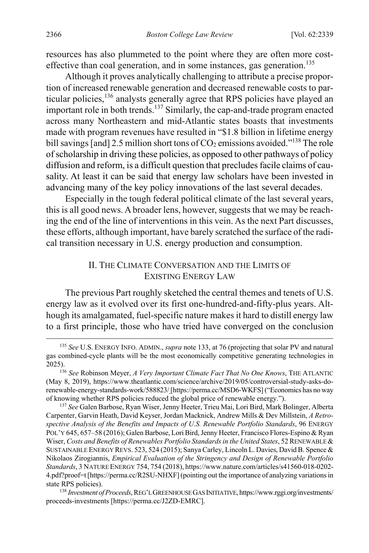resources has also plummeted to the point where they are often more costeffective than coal generation, and in some instances, gas generation.<sup>135</sup>

Although it proves analytically challenging to attribute a precise proportion of increased renewable generation and decreased renewable costs to particular policies,<sup>136</sup> analysts generally agree that RPS policies have played an important role in both trends.137 Similarly, the cap-and-trade program enacted across many Northeastern and mid-Atlantic states boasts that investments made with program revenues have resulted in "\$1.8 billion in lifetime energy bill savings [and] 2.5 million short tons of  $CO<sub>2</sub>$  emissions avoided."<sup>138</sup> The role of scholarship in driving these policies, as opposed to other pathways of policy diffusion and reform, is a difficult question that precludes facile claims of causality. At least it can be said that energy law scholars have been invested in advancing many of the key policy innovations of the last several decades.

Especially in the tough federal political climate of the last several years, this is all good news. A broader lens, however, suggests that we may be reaching the end of the line of interventions in this vein. As the next Part discusses, these efforts, although important, have barely scratched the surface of the radical transition necessary in U.S. energy production and consumption.

#### <span id="page-28-0"></span>II. THE CLIMATE CONVERSATION AND THE LIMITS OF EXISTING ENERGY LAW

The previous Part roughly sketched the central themes and tenets of U.S. energy law as it evolved over its first one-hundred-and-fifty-plus years. Although its amalgamated, fuel-specific nature makes it hard to distill energy law to a first principle, those who have tried have converged on the conclusion

 <sup>135</sup> *See* U.S. ENERGY INFO. ADMIN., *supra* not[e 133,](#page-27-1) at 76 (projecting that solar PV and natural gas combined-cycle plants will be the most economically competitive generating technologies in

<sup>&</sup>lt;sup>136</sup> See Robinson Meyer, *A Very Important Climate Fact That No One Knows*, THE ATLANTIC (May 8, 2019), https://www.theatlantic.com/science/archive/2019/05/controversial-study-asks-dorenewable-energy-standards-work/588823/ [https://perma.cc/MSD6-WKFS]("Economics has no way of knowing whether RPS policies reduced the global price of renewable energy.").

<sup>137</sup> *See* Galen Barbose, Ryan Wiser, Jenny Heeter, Trieu Mai, Lori Bird, Mark Bolinger, Alberta Carpenter, Garvin Heath, David Keyser, Jordan Macknick, Andrew Mills & Dev Millstein, *A Retrospective Analysis of the Benefits and Impacts of U.S. Renewable Portfolio Standards*, 96 ENERGY POL'Y 645, 657–58 (2016); Galen Barbose, Lori Bird, Jenny Heeter, Francisco Flores-Espino & Ryan Wiser, *Costs and Benefits of Renewables Portfolio Standards in the United States*, 52 RENEWABLE & SUSTAINABLE ENERGY REVS. 523, 524 (2015); Sanya Carley, Lincoln L. Davies, David B. Spence & Nikolaos Zirogiannis, *Empirical Evaluation of the Stringency and Design of Renewable Portfolio Standards*, 3 NATURE ENERGY 754, 754 (2018), https://www.nature.com/articles/s41560-018-0202- 4.pdf?proof=t [https://perma.cc/R2SU-NHXF] (pointing out the importance of analyzing variations in state RPS policies).

<sup>138</sup> *Investment of Proceeds*, REG'L GREENHOUSE GAS INITIATIVE, https://www.rggi.org/investments/ proceeds-investments [https://perma.cc/J2ZD-EMRC].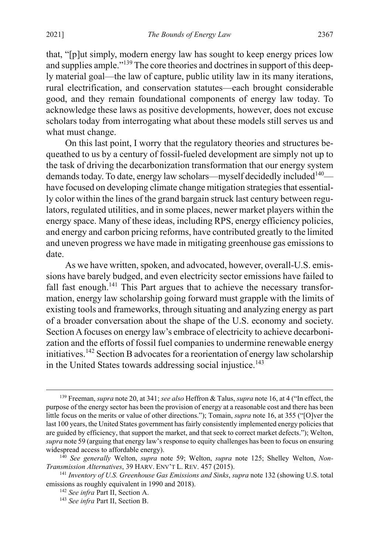that, "[p]ut simply, modern energy law has sought to keep energy prices low and supplies ample."139 The core theories and doctrines in support of this deeply material goal—the law of capture, public utility law in its many iterations, rural electrification, and conservation statutes—each brought considerable good, and they remain foundational components of energy law today. To acknowledge these laws as positive developments, however, does not excuse scholars today from interrogating what about these models still serves us and what must change.

On this last point, I worry that the regulatory theories and structures bequeathed to us by a century of fossil-fueled development are simply not up to the task of driving the decarbonization transformation that our energy system demands today. To date, energy law scholars—myself decidedly included $140$  have focused on developing climate change mitigation strategies that essentially color within the lines of the grand bargain struck last century between regulators, regulated utilities, and in some places, newer market players within the energy space. Many of these ideas, including RPS, energy efficiency policies, and energy and carbon pricing reforms, have contributed greatly to the limited and uneven progress we have made in mitigating greenhouse gas emissions to date.

As we have written, spoken, and advocated, however, overall-U.S. emissions have barely budged, and even electricity sector emissions have failed to fall fast enough.<sup>141</sup> This Part argues that to achieve the necessary transformation, energy law scholarship going forward must grapple with the limits of existing tools and frameworks, through situating and analyzing energy as part of a broader conversation about the shape of the U.S. economy and society. Section A focuses on energy law's embrace of electricity to achieve decarbonization and the efforts of fossil fuel companies to undermine renewable energy initiatives.<sup>142</sup> Section B advocates for a reorientation of energy law scholarship in the United States towards addressing social injustice.<sup>143</sup>

 <sup>139</sup> Freeman, *supra* not[e 20,](#page-7-1) at 341; *see also* Heffron & Talus, *supra* not[e 16,](#page-6-1) at 4 ("In effect, the purpose of the energy sector has been the provision of energy at a reasonable cost and there has been little focus on the merits or value of other directions."); Tomain, *supra* not[e 16,](#page-6-1) at 355 ("[O]ver the last 100 years, the United States government has fairly consistently implemented energy policies that are guided by efficiency, that support the market, and that seek to correct market defects."); Welton, *supra* not[e 59](#page-14-0) (arguing that energy law's response to equity challenges has been to focus on ensuring widespread access to affordable energy).

<sup>140</sup> *See generally* Welton, *supra* note [59;](#page-14-0) Welton, *supra* note [125;](#page-26-0) Shelley Welton, *Non-Transmission Alternatives*, 39 HARV. ENV'T L. REV. 457 (2015).

<sup>141</sup> *Inventory of U.S. Greenhouse Gas Emissions and Sinks*, *supra* not[e 132](#page-27-2) (showing U.S. total emissions as roughly equivalent in 1990 and 2018).

<sup>142</sup> *See infra* Part II, Section A.

<sup>143</sup> *See infra* Part II, Section B.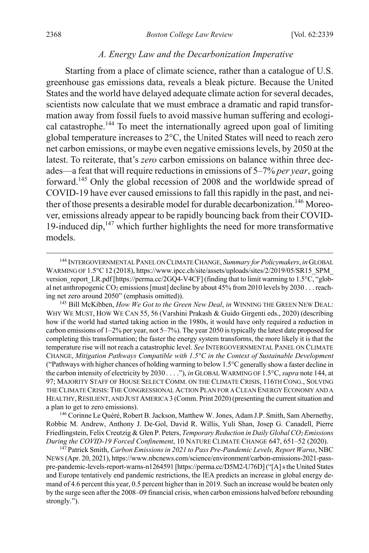#### <span id="page-30-0"></span>*A. Energy Law and the Decarbonization Imperative*

Starting from a place of climate science, rather than a catalogue of U.S. greenhouse gas emissions data, reveals a bleak picture. Because the United States and the world have delayed adequate climate action for several decades, scientists now calculate that we must embrace a dramatic and rapid transformation away from fossil fuels to avoid massive human suffering and ecological catastrophe.144 To meet the internationally agreed upon goal of limiting global temperature increases to 2°C, the United States will need to reach zero net carbon emissions, or maybe even negative emissions levels, by 2050 at the latest. To reiterate, that's *zero* carbon emissions on balance within three decades—a feat that will require reductions in emissions of 5–7% *per year*, going forward.<sup>145</sup> Only the global recession of 2008 and the worldwide spread of COVID-19 have ever caused emissions to fall this rapidly in the past, and neither of those presents a desirable model for durable decarbonization.<sup>146</sup> Moreover, emissions already appear to be rapidly bouncing back from their COVID-19-induced dip,147 which further highlights the need for more transformative models.

<sup>146</sup> Corinne Le Quéré, Robert B. Jackson, Matthew W. Jones, Adam J.P. Smith, Sam Abernethy, Robbie M. Andrew, Anthony J. De-Gol, David R. Willis, Yuli Shan, Josep G. Canadell, Pierre Friedlingstein, Felix Creutzig & Glen P. Peters, *Temporary Reduction in Daily Global CO2 Emissions During the COVID-19 Forced Confinement*, 10 NATURE CLIMATE CHANGE 647, 651–52 (2020). <sup>147</sup> Patrick Smith, *Carbon Emissions in 2021 to Pass Pre-Pandemic Levels, Report Warns*, NBC

NEWS (Apr. 20, 2021), https://www.nbcnews.com/science/environment/carbon-emissions-2021-passpre-pandemic-levels-report-warns-n1264591 [https://perma.cc/D5M2-U76D] ("[A] s the United States and Europe tentatively end pandemic restrictions, the IEA predicts an increase in global energy demand of 4.6 percent this year, 0.5 percent higher than in 2019. Such an increase would be beaten only by the surge seen after the 2008–09 financial crisis, when carbon emissions halved before rebounding strongly.").

<span id="page-30-1"></span> <sup>144</sup> INTERGOVERNMENTAL PANEL ON CLIMATE CHANGE, *Summary for Policymakers*, *in* GLOBAL WARMING OF 1.5°C 12 (2018), https://www.ipcc.ch/site/assets/uploads/sites/2/2019/05/SR15\_SPM version\_report\_LR.pdf [https://perma.cc/2GQ4-V4CF] (finding that to limit warming to 1.5°C, "global net anthropogenic CO<sub>2</sub> emissions [must] decline by about 45% from 2010 levels by 2030 . . . reaching net zero around 2050" (emphasis omitted)).

<sup>145</sup> Bill McKibben, *How We Got to the Green New Deal*, *in* WINNING THE GREEN NEW DEAL: WHY WE MUST, HOW WE CAN 55, 56 (Varshini Prakash & Guido Girgenti eds., 2020) (describing how if the world had started taking action in the 1980s, it would have only required a reduction in carbon emissions of 1–2% per year, not 5–7%). The year 2050 is typically the latest date proposed for completing this transformation; the faster the energy system transforms, the more likely it is that the temperature rise will not reach a catastrophic level. *See* INTERGOVERNMENTAL PANEL ON CLIMATE CHANGE, *Mitigation Pathways Compatible with 1.5°C in the Context of Sustainable Development* ("Pathways with higher chances of holding warming to below 1.5°Cgenerally show a faster decline in the carbon intensity of electricity by 2030 . . . ."), *in* GLOBAL WARMING OF 1.5°C,*supra* not[e 144,](#page-30-0) at 97; MAJORITY STAFF OF HOUSE SELECT COMM. ON THE CLIMATE CRISIS, 116TH CONG., SOLVING THE CLIMATE CRISIS:THE CONGRESSIONAL ACTION PLAN FOR A CLEAN ENERGY ECONOMY AND A HEALTHY, RESILIENT, AND JUST AMERICA 3 (Comm. Print 2020) (presenting the current situation and a plan to get to zero emissions).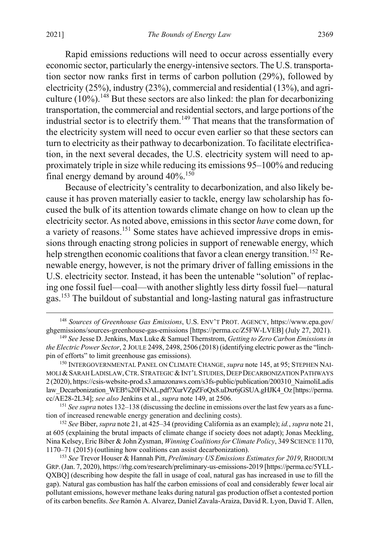2021] *The Bounds of Energy Law* 2369

<span id="page-31-1"></span>Rapid emissions reductions will need to occur across essentially every economic sector, particularly the energy-intensive sectors. The U.S. transportation sector now ranks first in terms of carbon pollution (29%), followed by electricity (25%), industry (23%), commercial and residential (13%), and agriculture (10%).<sup>148</sup> But these sectors are also linked: the plan for decarbonizing transportation, the commercial and residential sectors, and large portions of the industrial sector is to electrify them.<sup>149</sup> That means that the transformation of the electricity system will need to occur even earlier so that these sectors can turn to electricity as their pathway to decarbonization. To facilitate electrification, in the next several decades, the U.S. electricity system will need to approximately triple in size while reducing its emissions 95–100% and reducing final energy demand by around  $40\%$ .<sup>150</sup>

Because of electricity's centrality to decarbonization, and also likely because it has proven materially easier to tackle, energy law scholarship has focused the bulk of its attention towards climate change on how to clean up the electricity sector. As noted above, emissions in this sector *have* come down, for a variety of reasons.<sup>151</sup> Some states have achieved impressive drops in emissions through enacting strong policies in support of renewable energy, which help strengthen economic coalitions that favor a clean energy transition.<sup>152</sup> Renewable energy, however, is not the primary driver of falling emissions in the U.S. electricity sector. Instead, it has been the untenable "solution" of replacing one fossil fuel—coal—with another slightly less dirty fossil fuel—natural gas.<sup>153</sup> The buildout of substantial and long-lasting natural gas infrastructure

150 INTERGOVERNMENTAL PANEL ON CLIMATE CHANGE, *supra* not[e 145,](#page-30-1) at 95; STEPHEN NAI-MOLI & SARAH LADISLAW, CTR. STRATEGIC & INT'L STUDIES, DEEP DECARBONIZATION PATHWAYS 2 (2020), https://csis-website-prod.s3.amazonaws.com/s3fs-public/publication/200310\_NaimoliLadis law\_Decarbonization\_WEB%20FINAL.pdf?XurVZpZFoQx8.uDxr6jGSUA.gHJK4\_Oz [https://perma. cc/AE28-2L34]; *see also* Jenkins et al., *supra* not[e 149,](#page-31-1) at 2506.

<sup>151</sup> *See supra* note[s 132](#page-27-2)[–138](#page-28-0) (discussing the decline in emissions over the last few years as a function of increased renewable energy generation and declining costs).

<sup>152</sup> *See* Biber, *supra* not[e 21,](#page-7-0) at 425–34 (providing California as an example); *id.*, *supra* not[e 21,](#page-7-0) at 605 (explaining the brutal impacts of climate change if society does not adapt); Jonas Meckling, Nina Kelsey, Eric Biber & John Zysman, *Winning Coalitionsfor Climate Policy*, 349 SCIENCE 1170, 1170–71 (2015) (outlining how coalitions can assist decarbonization).

<sup>153</sup> *See* Trevor Houser & Hannah Pitt, *Preliminary US Emissions Estimates for 2019*, RHODIUM GRP.(Jan. 7, 2020), https://rhg.com/research/preliminary-us-emissions-2019 [https://perma.cc/5YLL-QXBQ] (describing how despite the fall in usage of coal, natural gas has increased in use to fill the gap). Natural gas combustion has half the carbon emissions of coal and considerably fewer local air pollutant emissions, however methane leaks during natural gas production offset a contested portion of its carbon benefits. *See* Ramón A. Alvarez, Daniel Zavala-Araiza, David R. Lyon, David T. Allen,

<span id="page-31-0"></span> <sup>148</sup> *Sources of Greenhouse Gas Emissions*, U.S. ENV'T PROT. AGENCY, https://www.epa.gov/ ghgemissions/sources-greenhouse-gas-emissions [https://perma.cc/Z5FW-LVEB] (July 27, 2021).

<sup>149</sup> *See* Jesse D. Jenkins, Max Luke & Samuel Thernstrom, *Getting to Zero Carbon Emissions in the Electric Power Sector*, 2 JOULE 2498, 2498, 2506 (2018) (identifying electric power as the "linchpin of efforts" to limit greenhouse gas emissions).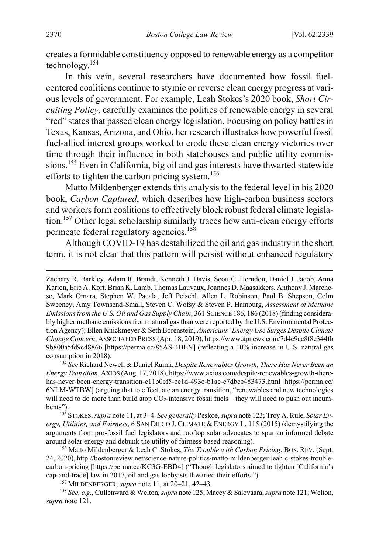<span id="page-32-1"></span>creates a formidable constituency opposed to renewable energy as a competitor technology.154

In this vein, several researchers have documented how fossil fuelcentered coalitions continue to stymie or reverse clean energy progress at various levels of government. For example, Leah Stokes's 2020 book, *Short Circuiting Policy*, carefully examines the politics of renewable energy in several "red" states that passed clean energy legislation. Focusing on policy battles in Texas, Kansas, Arizona, and Ohio, her research illustrates how powerful fossil fuel-allied interest groups worked to erode these clean energy victories over time through their influence in both statehouses and public utility commissions.<sup>155</sup> Even in California, big oil and gas interests have thwarted statewide efforts to tighten the carbon pricing system.<sup>156</sup>

<span id="page-32-2"></span><span id="page-32-0"></span>Matto Mildenberger extends this analysis to the federal level in his 2020 book, *Carbon Captured*, which describes how high-carbon business sectors and workers form coalitions to effectively block robust federal climate legislation.<sup>157</sup> Other legal scholarship similarly traces how anti-clean energy efforts permeate federal regulatory agencies.<sup>158</sup>

Although COVID-19 has destabilized the oil and gas industry in the short term, it is not clear that this pattern will persist without enhanced regulatory

<sup>154</sup> *See* Richard Newell & Daniel Raimi, *Despite Renewables Growth, There Has Never Been an Energy Transition*, AXIOS (Aug. 17, 2018), https://www.axios.com/despite-renewables-growth-therehas-never-been-energy-transition-e11b0cf5-ce1d-493c-b1ae-e7dbce483473.html [https://perma.cc/ 6NLM-WTBW] (arguing that to effectuate an energy transition, "renewables and new technologies will need to do more than build atop CO<sub>2</sub>-intensive fossil fuels—they will need to push out incum-

bents"). 155 STOKES, *supra* not[e 11,](#page-4-0) at 3–4. *See generally* Peskoe, *supra* not[e 123;](#page-24-0) Troy A. Rule, *Solar Energy, Utilities, and Fairness*, 6 SAN DIEGO J. CLIMATE & ENERGY L. 115 (2015) (demystifying the arguments from pro-fossil fuel legislators and rooftop solar advocates to spur an informed debate around solar energy and debunk the utility of fairness-based reasoning).

<sup>156</sup> Matto Mildenberger & Leah C. Stokes, *The Trouble with Carbon Pricing*, BOS. REV. (Sept. 24, 2020), http://bostonreview.net/science-nature-politics/matto-mildenberger-leah-c-stokes-troublecarbon-pricing [https://perma.cc/KC3G-EBD4] ("Though legislators aimed to tighten [California's cap-and-trade] law in 2017, oil and gas lobbyists thwarted their efforts.").

<sup>157</sup> MILDENBERGER, *supra* not[e 11,](#page-4-0) at 20–21, 42–43. 158 *See, e.g.*, Cullenward & Welton, *supra* not[e 125;](#page-26-0) Macey & Salovaara, *supra* not[e 121;](#page-23-0) Welton, *supra* not[e 121.](#page-23-0)

Zachary R. Barkley, Adam R. Brandt, Kenneth J. Davis, Scott C. Herndon, Daniel J. Jacob, Anna Karion, Eric A. Kort, Brian K. Lamb, Thomas Lauvaux, Joannes D. Maasakkers, Anthony J. Marchese, Mark Omara, Stephen W. Pacala, Jeff Peischl, Allen L. Robinson, Paul B. Shepson, Colm Sweeney, Amy Townsend-Small, Steven C. Wofsy & Steven P. Hamburg, *Assessment of Methane Emissions from the U.S. Oil and Gas Supply Chain*, 361 SCIENCE 186, 186 (2018) (finding considerably higher methane emissions from natural gas than were reported by the U.S. Environmental Protection Agency); Ellen Knickmeyer & Seth Borenstein, *Americans' Energy Use Surges Despite Climate Change Concern*, ASSOCIATED PRESS (Apr. 18, 2019), https://www.apnews.com/7d4c9cc8f8c344fb 9b800a5fd9c48866 [https://perma.cc/85AS-4DEN] (reflecting a 10% increase in U.S. natural gas consumption in 2018).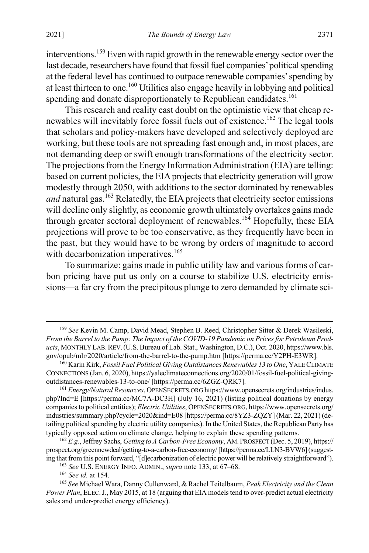interventions.159 Even with rapid growth in the renewable energy sector over the last decade, researchers have found that fossil fuel companies' political spending at the federal level has continued to outpace renewable companies' spending by at least thirteen to one.160 Utilities also engage heavily in lobbying and political spending and donate disproportionately to Republican candidates.<sup>161</sup>

<span id="page-33-0"></span>This research and reality cast doubt on the optimistic view that cheap renewables will inevitably force fossil fuels out of existence.<sup>162</sup> The legal tools that scholars and policy-makers have developed and selectively deployed are working, but these tools are not spreading fast enough and, in most places, are not demanding deep or swift enough transformations of the electricity sector. The projections from the Energy Information Administration (EIA) are telling: based on current policies, the EIA projects that electricity generation will grow modestly through 2050, with additions to the sector dominated by renewables and natural gas.<sup>163</sup> Relatedly, the EIA projects that electricity sector emissions will decline only slightly, as economic growth ultimately overtakes gains made through greater sectoral deployment of renewables.<sup>164</sup> Hopefully, these EIA projections will prove to be too conservative, as they frequently have been in the past, but they would have to be wrong by orders of magnitude to accord with decarbonization imperatives.<sup>165</sup>

<span id="page-33-1"></span>To summarize: gains made in public utility law and various forms of carbon pricing have put us only on a course to stabilize U.S. electricity emissions—a far cry from the precipitous plunge to zero demanded by climate sci-

 <sup>159</sup> *See* Kevin M. Camp, David Mead, Stephen B. Reed, Christopher Sitter & Derek Wasileski, *From the Barrel to the Pump: The Impact of the COVID-19 Pandemic on Prices for Petroleum Products*, MONTHLY LAB. REV. (U.S. Bureau of Lab. Stat., Washington, D.C.), Oct. 2020, https://www.bls.<br>gov/opub/mlr/2020/article/from-the-barrel-to-the-pump.htm [https://perma.cc/Y2PH-E3WR].

<sup>&</sup>lt;sup>160</sup> Karin Kirk, *Fossil Fuel Political Giving Outdistances Renewables 13 to One*, YALE CLIMATE CONNECTIONS (Jan. 6, 2020), https://yaleclimateconnections.org/2020/01/fossil-fuel-political-givingoutdistances-renewables-13-to-one/ [https://perma.cc/6ZGZ-QRK7]. 161 *Energy/Natural Resources*, OPENSECRETS.ORG https://www.opensecrets.org/industries/indus.

php?Ind=E [https://perma.cc/MC7A-DC3H] (July 16, 2021) (listing political donations by energy companies to political entities); *Electric Utilities*, OPENSECRETS.ORG, https://www.opensecrets.org/ industries/summary.php?cycle=2020&ind=E08 [https://perma.cc/8YZ3-ZQZY] (Mar. 22, 2021) (detailing political spending by electric utility companies). In the United States, the Republican Party has typically opposed action on climate change, helping to explain these spending patterns.

<sup>162</sup> *E.g.*, Jeffrey Sachs, *Getting to A Carbon-Free Economy*, AM. PROSPECT (Dec. 5, 2019), https:// prospect.org/greennewdeal/getting-to-a-carbon-free-economy/[https://perma.cc/LLN3-BVW6] (suggesting that from this point forward, "[d]ecarbonization of electric power will be relatively straightforward").

<sup>163</sup> *See* U.S. ENERGY INFO. ADMIN., *supra* not[e 133,](#page-27-1) at 67–68.

<sup>164</sup> *See id.* at 154.

<sup>165</sup> *See* Michael Wara, Danny Cullenward, & Rachel Teitelbaum, *Peak Electricity and the Clean Power Plan*, ELEC.J., May 2015, at 18 (arguing that EIA models tend to over-predict actual electricity sales and under-predict energy efficiency).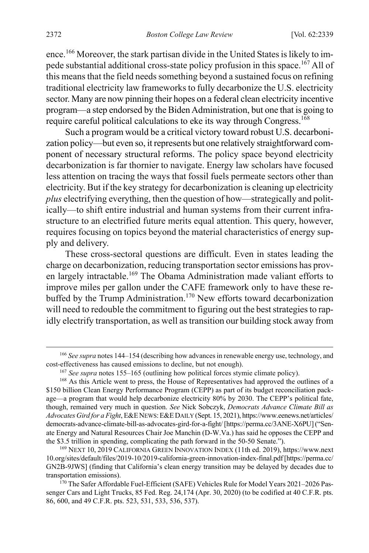ence.<sup>166</sup> Moreover, the stark partisan divide in the United States is likely to impede substantial additional cross-state policy profusion in this space.<sup>167</sup> All of this means that the field needs something beyond a sustained focus on refining traditional electricity law frameworks to fully decarbonize the U.S. electricity sector. Many are now pinning their hopes on a federal clean electricity incentive program—a step endorsed by the Biden Administration, but one that is going to require careful political calculations to eke its way through Congress.<sup>168</sup>

<span id="page-34-0"></span>Such a program would be a critical victory toward robust U.S. decarbonization policy—but even so, it represents but one relatively straightforward component of necessary structural reforms. The policy space beyond electricity decarbonization is far thornier to navigate. Energy law scholars have focused less attention on tracing the ways that fossil fuels permeate sectors other than electricity. But if the key strategy for decarbonization is cleaning up electricity *plus* electrifying everything, then the question of how—strategically and politically—to shift entire industrial and human systems from their current infrastructure to an electrified future merits equal attention. This query, however, requires focusing on topics beyond the material characteristics of energy supply and delivery.

These cross-sectoral questions are difficult. Even in states leading the charge on decarbonization, reducing transportation sector emissions has proven largely intractable.<sup>169</sup> The Obama Administration made valiant efforts to improve miles per gallon under the CAFE framework only to have these rebuffed by the Trump Administration.<sup>170</sup> New efforts toward decarbonization will need to redouble the commitment to figuring out the best strategies to rapidly electrify transportation, as well as transition our building stock away from

 <sup>166</sup> *See supra* note[s 144](#page-30-0)[–154](#page-32-1) (describing how advances in renewable energy use, technology, and cost-effectiveness has caused emissions to decline, but not enough).

<sup>167</sup> *See supra* note[s 155](#page-32-0)[–165](#page-33-1) (outlining how political forces stymie climate policy).

<sup>168</sup> As this Article went to press, the House of Representatives had approved the outlines of a \$150 billion Clean Energy Performance Program (CEPP) as part of its budget reconciliation package—a program that would help decarbonize electricity 80% by 2030. The CEPP's political fate, though, remained very much in question. *See* Nick Sobczyk, *Democrats Advance Climate Bill as Advocates Gird for a Fight*, E&ENEWS:E&EDAILY (Sept. 15, 2021), https://www.eenews.net/articles/ democrats-advance-climate-bill-as-advocates-gird-for-a-fight/ [https://perma.cc/3ANE-X6PU] ("Senate Energy and Natural Resources Chair Joe Manchin (D-W.Va.) has said he opposes the CEPP and the \$3.5 trillion in spending, complicating the path forward in the 50-50 Senate.").

<sup>169</sup> NEXT 10, 2019 CALIFORNIA GREEN INNOVATION INDEX (11th ed. 2019), https://www.next 10.org/sites/default/files/2019-10/2019-california-green-innovation-index-final.pdf [https://perma.cc/ GN2B-9JWS] (finding that California's clean energy transition may be delayed by decades due to transportation emissions).

<sup>&</sup>lt;sup>170</sup> The Safer Affordable Fuel-Efficient (SAFE) Vehicles Rule for Model Years 2021-2026 Passenger Cars and Light Trucks, 85 Fed. Reg. 24,174 (Apr. 30, 2020) (to be codified at 40 C.F.R. pts. 86, 600, and 49 C.F.R. pts. 523, 531, 533, 536, 537).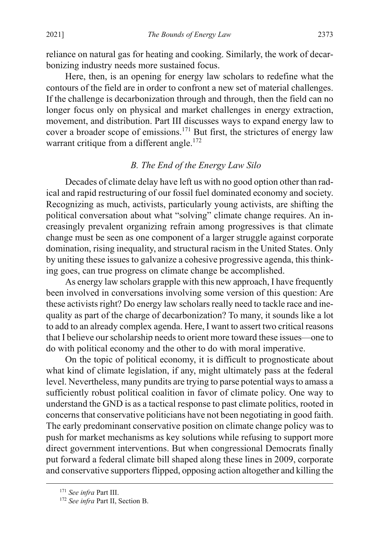reliance on natural gas for heating and cooking. Similarly, the work of decarbonizing industry needs more sustained focus.

Here, then, is an opening for energy law scholars to redefine what the contours of the field are in order to confront a new set of material challenges. If the challenge is decarbonization through and through, then the field can no longer focus only on physical and market challenges in energy extraction, movement, and distribution. Part III discusses ways to expand energy law to cover a broader scope of emissions.<sup>171</sup> But first, the strictures of energy law warrant critique from a different angle.<sup>172</sup>

#### *B. The End of the Energy Law Silo*

Decades of climate delay have left us with no good option other than radical and rapid restructuring of our fossil fuel dominated economy and society. Recognizing as much, activists, particularly young activists, are shifting the political conversation about what "solving" climate change requires. An increasingly prevalent organizing refrain among progressives is that climate change must be seen as one component of a larger struggle against corporate domination, rising inequality, and structural racism in the United States. Only by uniting these issues to galvanize a cohesive progressive agenda, this thinking goes, can true progress on climate change be accomplished.

As energy law scholars grapple with this new approach, I have frequently been involved in conversations involving some version of this question: Are these activists right? Do energy law scholars really need to tackle race and inequality as part of the charge of decarbonization? To many, it sounds like a lot to add to an already complex agenda. Here, I want to assert two critical reasons that I believe our scholarship needs to orient more toward these issues—one to do with political economy and the other to do with moral imperative.

On the topic of political economy, it is difficult to prognosticate about what kind of climate legislation, if any, might ultimately pass at the federal level. Nevertheless, many pundits are trying to parse potential ways to amass a sufficiently robust political coalition in favor of climate policy. One way to understand the GND is as a tactical response to past climate politics, rooted in concerns that conservative politicians have not been negotiating in good faith. The early predominant conservative position on climate change policy was to push for market mechanisms as key solutions while refusing to support more direct government interventions. But when congressional Democrats finally put forward a federal climate bill shaped along these lines in 2009, corporate and conservative supporters flipped, opposing action altogether and killing the

 <sup>171</sup> *See infra* Part III.

<sup>172</sup> *See infra* Part II, Section B.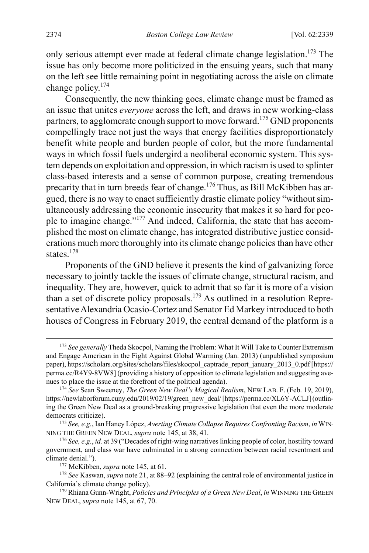only serious attempt ever made at federal climate change legislation.<sup>173</sup> The issue has only become more politicized in the ensuing years, such that many on the left see little remaining point in negotiating across the aisle on climate change policy.<sup>174</sup>

<span id="page-36-0"></span>Consequently, the new thinking goes, climate change must be framed as an issue that unites *everyone* across the left, and draws in new working-class partners, to agglomerate enough support to move forward.<sup>175</sup> GND proponents compellingly trace not just the ways that energy facilities disproportionately benefit white people and burden people of color, but the more fundamental ways in which fossil fuels undergird a neoliberal economic system. This system depends on exploitation and oppression, in which racism is used to splinter class-based interests and a sense of common purpose, creating tremendous precarity that in turn breeds fear of change.<sup>176</sup> Thus, as Bill McKibben has argued, there is no way to enact sufficiently drastic climate policy "without simultaneously addressing the economic insecurity that makes it so hard for people to imagine change."177 And indeed, California, the state that has accomplished the most on climate change, has integrated distributive justice considerations much more thoroughly into its climate change policies than have other states. 178

Proponents of the GND believe it presents the kind of galvanizing force necessary to jointly tackle the issues of climate change, structural racism, and inequality. They are, however, quick to admit that so far it is more of a vision than a set of discrete policy proposals.179 As outlined in a resolution Representative Alexandria Ocasio-Cortez and Senator Ed Markey introduced to both houses of Congress in February 2019, the central demand of the platform is a

 <sup>173</sup> *See generally* Theda Skocpol, Naming the Problem: What It Will Take to Counter Extremism and Engage American in the Fight Against Global Warming (Jan. 2013) (unpublished symposium paper), https://scholars.org/sites/scholars/files/skocpol\_captrade\_report\_january\_2013\_0.pdf [https:// perma.cc/R4Y9-8VW8] (providing a history of opposition to climate legislation and suggesting avenues to place the issue at the forefront of the political agenda).

<sup>174</sup> *See* Sean Sweeney, *The Green New Deal's Magical Realism*, NEW LAB. F. (Feb. 19, 2019), https://newlaborforum.cuny.edu/2019/02/19/green\_new\_deal/ [https://perma.cc/XL6Y-ACLJ] (outlining the Green New Deal as a ground-breaking progressive legislation that even the more moderate democrats criticize).

<sup>175</sup> *See, e.g.*, Ian Haney López, *Averting Climate Collapse Requires Confronting Racism*, *in* WIN-NING THE GREEN NEW DEAL, *supra* note [145,](#page-30-1) at 38, 41.<br><sup>176</sup> *See, e.g., id.* at 39 ("Decades of right-wing narratives linking people of color, hostility toward

government, and class war have culminated in a strong connection between racial resentment and climate denial.").

<sup>177</sup> McKibben, *supra* not[e 145,](#page-30-1) at 61.

<sup>178</sup> *See* Kaswan, *supra* not[e 21,](#page-7-0) at 88–92 (explaining the central role of environmental justice in California's climate change policy).

<sup>179</sup> Rhiana Gunn-Wright, *Policies and Principles of a Green New Deal*, *in* WINNING THE GREEN NEW DEAL, *supra* note [145,](#page-30-1) at 67, 70.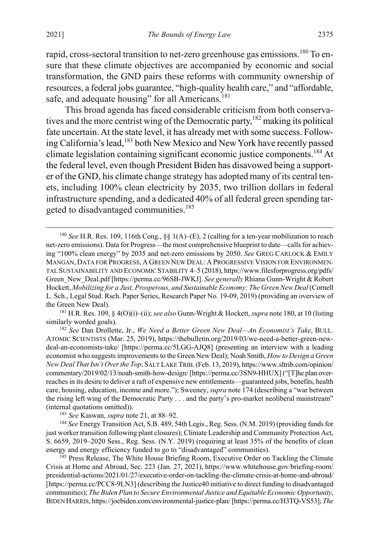<span id="page-37-0"></span>rapid, cross-sectoral transition to net-zero greenhouse gas emissions.<sup>180</sup> To ensure that these climate objectives are accompanied by economic and social transformation, the GND pairs these reforms with community ownership of resources, a federal jobs guarantee, "high-quality health care," and "affordable, safe, and adequate housing" for all Americans.<sup>181</sup>

This broad agenda has faced considerable criticism from both conservatives and the more centrist wing of the Democratic party,  $182$  making its political fate uncertain. At the state level, it has already met with some success. Following California's lead,<sup>183</sup> both New Mexico and New York have recently passed climate legislation containing significant economic justice components.184 At the federal level, even though President Biden has disavowed being a supporter of the GND, his climate change strategy has adopted many of its central tenets, including 100% clean electricity by 2035, two trillion dollars in federal infrastructure spending, and a dedicated 40% of all federal green spending targeted to disadvantaged communities.<sup>185</sup>

<sup>181</sup> H.R. Res. 109, § 4(O)(i)–(ii); *see also* Gunn-Wright & Hockett, *supra* not[e 180,](#page-37-0) at 10 (listing similarly worded goals).

<sup>182</sup> *See* Dan Drollette, Jr., *We Need a Better Green New Deal—An Economist's Take*, BULL. ATOMIC SCIENTISTS (Mar. 25, 2019), https://thebulletin.org/2019/03/we-need-a-better-green-newdeal-an-economists-take/ [https://perma.cc/5LGG-AJQ8] (presenting an interview with a leading economist who suggests improvements to the Green New Deal); Noah Smith, *How to Design a Green New Deal That Isn't Over the Top*, SALT LAKE TRIB.(Feb. 13, 2019), https://www.sltrib.com/opinion/ commentary/2019/02/13/noah-smith-how-design/ [https://perma.cc/3SN9-HHUX] ("[T]he plan overreaches in its desire to deliver a raft of expensive new entitlements—guaranteed jobs, benefits, health care, housing, education, income and more."); Sweeney, *supra* not[e 174](#page-36-0) (describing a "war between the rising left wing of the Democratic Party . . . and the party's pro-market neoliberal mainstream" (internal quotations omitted)).<br><sup>183</sup> See Kaswan, *supra* note 21, at 88–92.

<sup>184</sup> See Energy Transition Act, S.B. 489, 54th Legis., Reg. Sess. (N.M. 2019) (providing funds for just worker transition following plant closures); Climate Leadership and Community Protection Act, S. 6659, 2019–2020 Sess., Reg. Sess. (N.Y. 2019) (requiring at least 35% of the benefits of clean energy and energy efficiency funded to go to "disadvantaged" communities).

<sup>185</sup> Press Release, The White House Briefing Room, Executive Order on Tackling the Climate Crisis at Home and Abroad, Sec. 223 (Jan. 27, 2021), https://www.whitehouse.gov/briefing-room/ presidential-actions/2021/01/27/executive-order-on-tackling-the-climate-crisis-at-home-and-abroad/ [https://perma.cc/PCC8-9LN3] (describing the Justice40 initiative to direct funding to disadvantaged communities); *The Biden Plan to Secure Environmental Justice and Equitable Economic Opportunity*, BIDEN HARRIS, https://joebiden.com/environmental-justice-plan/[https://perma.cc/H3TQ-VS53]; *The* 

 <sup>180</sup> *See* H.R. Res. 109, 116th Cong., §§ 1(A)–(E), 2 (calling for a ten-year mobilization to reach net-zero emissions). Data for Progress—the most comprehensive blueprint to date—calls for achieving "100% clean energy" by 2035 and net-zero emissions by 2050. *See* GREG CARLOCK & EMILY MANGAN, DATA FOR PROGRESS, A GREEN NEW DEAL: A PROGRESSIVE VISION FOR ENVIRONMEN-TAL SUSTAINABILITY AND ECONOMIC STABILITY 4–5 (2018), https://www.filesforprogress.org/pdfs/ Green\_New\_Deal.pdf [https://perma.cc/96SB-JWKJ]. *See generally* Rhiana Gunn-Wright & Robert Hockett, *Mobilizing for a Just, Prosperous, and Sustainable Economy: The Green New Deal* (Cornell L. Sch., Legal Stud. Rsch. Paper Series, Research Paper No. 19-09, 2019) (providing an overview of the Green New Deal).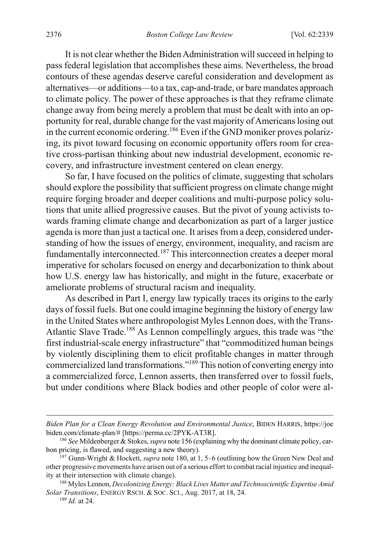It is not clear whether the Biden Administration will succeed in helping to pass federal legislation that accomplishes these aims. Nevertheless, the broad contours of these agendas deserve careful consideration and development as alternatives—or additions—to a tax, cap-and-trade, or bare mandates approach to climate policy. The power of these approaches is that they reframe climate change away from being merely a problem that must be dealt with into an opportunity for real, durable change for the vast majority of Americans losing out in the current economic ordering.<sup>186</sup> Even if the GND moniker proves polarizing, its pivot toward focusing on economic opportunity offers room for creative cross-partisan thinking about new industrial development, economic recovery, and infrastructure investment centered on clean energy.

So far, I have focused on the politics of climate, suggesting that scholars should explore the possibility that sufficient progress on climate change might require forging broader and deeper coalitions and multi-purpose policy solutions that unite allied progressive causes. But the pivot of young activists towards framing climate change and decarbonization as part of a larger justice agenda is more than just a tactical one. It arises from a deep, considered understanding of how the issues of energy, environment, inequality, and racism are fundamentally interconnected.187 This interconnection creates a deeper moral imperative for scholars focused on energy and decarbonization to think about how U.S. energy law has historically, and might in the future, exacerbate or ameliorate problems of structural racism and inequality.

<span id="page-38-0"></span>As described in Part I, energy law typically traces its origins to the early days of fossil fuels. But one could imagine beginning the history of energy law in the United States where anthropologist Myles Lennon does, with the Trans-Atlantic Slave Trade.<sup>188</sup> As Lennon compellingly argues, this trade was "the first industrial-scale energy infrastructure" that "commoditized human beings by violently disciplining them to elicit profitable changes in matter through commercialized land transformations."<sup>189</sup> This notion of converting energy into a commercialized force, Lennon asserts, then transferred over to fossil fuels, but under conditions where Black bodies and other people of color were al-

*Biden Plan for a Clean Energy Revolution and Environmental Justice*, BIDEN HARRIS, [https://joe](https://joebiden.com/climate-plan/) [biden.com/climate-plan/#](https://joebiden.com/climate-plan/) [https://perma.cc/2PYK-AT3R]. 186 *See* Mildenberger & Stokes, *supra* not[e 156](#page-32-2) (explaining why the dominant climate policy, car-

bon pricing, is flawed, and suggesting a new theory).

<sup>187</sup> Gunn-Wright & Hockett, *supra* note [180,](#page-37-0) at 1, 5–6 (outlining how the Green New Deal and other progressive movements have arisen out of a serious effort to combat racial injustice and inequal-

<sup>&</sup>lt;sup>188</sup> Myles Lennon, *Decolonizing Energy: Black Lives Matter and Technoscientific Expertise Amid Solar Transitions*, ENERGY RSCH. & SOC. SCI., Aug. 2017, at 18, 24.

<sup>189</sup> *Id.* at 24.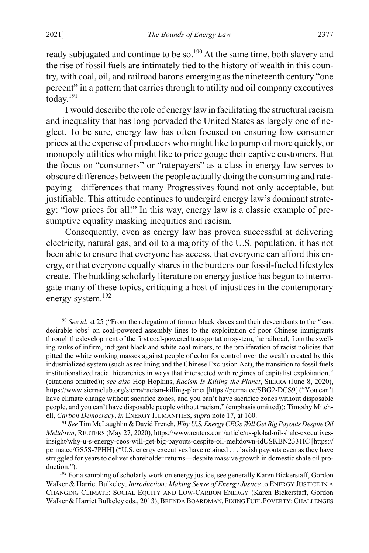<span id="page-39-1"></span>ready subjugated and continue to be so.<sup>190</sup> At the same time, both slavery and the rise of fossil fuels are intimately tied to the history of wealth in this country, with coal, oil, and railroad barons emerging as the nineteenth century "one percent" in a pattern that carries through to utility and oil company executives today.191

I would describe the role of energy law in facilitating the structural racism and inequality that has long pervaded the United States as largely one of neglect. To be sure, energy law has often focused on ensuring low consumer prices at the expense of producers who might like to pump oil more quickly, or monopoly utilities who might like to price gouge their captive customers. But the focus on "consumers" or "ratepayers" as a class in energy law serves to obscure differences between the people actually doing the consuming and ratepaying—differences that many Progressives found not only acceptable, but justifiable. This attitude continues to undergird energy law's dominant strategy: "low prices for all!" In this way, energy law is a classic example of presumptive equality masking inequities and racism.

Consequently, even as energy law has proven successful at delivering electricity, natural gas, and oil to a majority of the U.S. population, it has not been able to ensure that everyone has access, that everyone can afford this energy, or that everyone equally shares in the burdens our fossil-fueled lifestyles create. The budding scholarly literature on energy justice has begun to interrogate many of these topics, critiquing a host of injustices in the contemporary energy system.<sup>192</sup>

<span id="page-39-0"></span><sup>&</sup>lt;sup>190</sup> See id. at 25 ("From the relegation of former black slaves and their descendants to the 'least desirable jobs' on coal-powered assembly lines to the exploitation of poor Chinese immigrants through the development of the first coal-powered transportation system, the railroad; from the swelling ranks of infirm, indigent black and white coal miners, to the proliferation of racist policies that pitted the white working masses against people of color for control over the wealth created by this industrialized system (such as redlining and the Chinese Exclusion Act), the transition to fossil fuels institutionalized racial hierarchies in ways that intersected with regimes of capitalist exploitation." (citations omitted)); *see also* Hop Hopkins, *Racism Is Killing the Planet*, SIERRA (June 8, 2020), https://www.sierraclub.org/sierra/racism-killing-planet [https://perma.cc/SBG2-DCS9] ("You can't have climate change without sacrifice zones, and you can't have sacrifice zones without disposable people, and you can't have disposable people without racism." (emphasis omitted)); Timothy Mitchell, *Carbon Democracy*, *in* ENERGY HUMANITIES, *supra* not[e 17,](#page-6-2) at 160.

<sup>191</sup> *See* Tim McLaughlin & David French, *Why U.S. Energy CEOs Will Get Big Payouts Despite Oil Meltdown*, REUTERS (May 27, 2020), https://www.reuters.com/article/us-global-oil-shale-executivesinsight/why-u-s-energy-ceos-will-get-big-payouts-despite-oil-meltdown-idUSKBN2331IC [https:// perma.cc/GS5S-7PHH] ("U.S. energy executives have retained . . . lavish payouts even as they have struggled for years to deliver shareholder returns—despite massive growth in domestic shale oil production.").<br><sup>192</sup> For a sampling of scholarly work on energy justice, see generally Karen Bickerstaff, Gordon

Walker & Harriet Bulkeley, *Introduction: Making Sense of Energy Justice* to ENERGY JUSTICE IN A CHANGING CLIMATE: SOCIAL EQUITY AND LOW-CARBON ENERGY (Karen Bickerstaff, Gordon Walker & Harriet Bulkeley eds., 2013); BRENDA BOARDMAN, FIXING FUEL POVERTY:CHALLENGES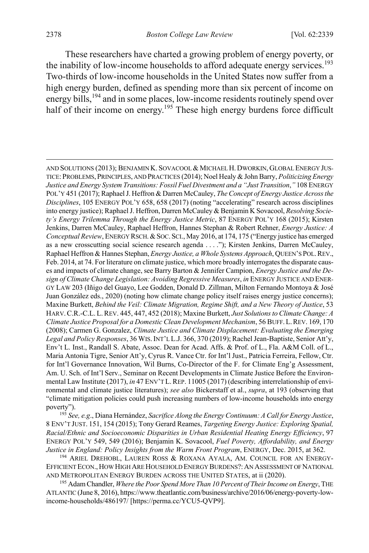<span id="page-40-0"></span>These researchers have charted a growing problem of energy poverty, or the inability of low-income households to afford adequate energy services.<sup>193</sup> Two-thirds of low-income households in the United States now suffer from a high energy burden, defined as spending more than six percent of income on energy bills,<sup>194</sup> and in some places, low-income residents routinely spend over half of their income on energy.<sup>195</sup> These high energy burdens force difficult

<sup>193</sup> *See, e.g*., Diana Hernández, *Sacrifice Along the Energy Continuum: A Call for Energy Justice*, 8 ENV'T JUST. 151, 154 (2015); Tony Gerard Reames, *Targeting Energy Justice: Exploring Spatial, Racial/Ethnic and Socioeconomic Disparities in Urban Residential Heating Energy Efficiency*, 97 ENERGY POL'Y 549, 549 (2016); Benjamin K. Sovacool, *Fuel Poverty, Affordability, and Energy Justice in England: Policy Insights from the Warm Front Program*, ENERGY, Dec. 2015, at 362.

<sup>194</sup> ARIEL DREHOBL, LAUREN ROSS & ROXANA AYALA, AM. COUNCIL FOR AN ENERGY-EFFICIENT ECON., HOW HIGH ARE HOUSEHOLD ENERGY BURDENS?:AN ASSESSMENT OF NATIONAL AND METROPOLITAN ENERGY BURDEN ACROSS THE UNITED STATES, at ii (2020).

<sup>195</sup> Adam Chandler, *Where the Poor Spend More Than 10 Percent of Their Income on Energy*, THE ATLANTIC (June 8, 2016), https://www.theatlantic.com/business/archive/2016/06/energy-poverty-lowincome-households/486197/ [https://perma.cc/YCU5-QVP9].

AND SOLUTIONS (2013); BENJAMIN K. SOVACOOL & MICHAEL H.DWORKIN,GLOBAL ENERGY JUS-TICE:PROBLEMS, PRINCIPLES, AND PRACTICES (2014); Noel Healy & John Barry, *Politicizing Energy Justice and Energy System Transitions: Fossil Fuel Divestment and a "Just Transition*,*"* 108 ENERGY POL'Y 451 (2017); Raphael J. Heffron & Darren McCauley, *The Concept of Energy Justice Across the Disciplines*, 105 ENERGY POL'Y 658, 658 (2017) (noting "accelerating" research across disciplines into energy justice); Raphael J. Heffron, Darren McCauley & Benjamin K Sovacool, *Resolving Society's Energy Trilemma Through the Energy Justice Metric*, 87 ENERGY POL'Y 168 (2015); Kirsten Jenkins, Darren McCauley, Raphael Heffron, Hannes Stephan & Robert Rehner, *Energy Justice: A Conceptual Review*, ENERGY RSCH.&SOC.SCI., May 2016, at 174, 175 ("Energy justice has emerged as a new crosscutting social science research agenda . . . ."); Kirsten Jenkins, Darren McCauley, Raphael Heffron & Hannes Stephan, *Energy Justice, a Whole Systems Approach*, QUEEN'S POL.REV., Feb. 2014, at 74. For literature on climate justice, which more broadly interrogates the disparate causes and impacts of climate change, see Barry Barton & Jennifer Campion, *Energy Justice and the Design of Climate Change Legislation: Avoiding Regressive Measures*, *in* ENERGY JUSTICE AND ENER-GY LAW 203 (Iñigo del Guayo, Lee Godden, Donald D. Zillman, Milton Fernando Montoya & José Juan González eds., 2020) (noting how climate change policy itself raises energy justice concerns); Maxine Burkett, *Behind the Veil: Climate Migration, Regime Shift, and a New Theory of Justice*, 53 HARV.C.R.-C.L.L.REV. 445, 447, 452 (2018); Maxine Burkett, *Just Solutions to Climate Change: A Climate Justice Proposal for a Domestic Clean Development Mechanism*, 56 BUFF.L.REV. 169, 170 (2008); Carmen G. Gonzalez, *Climate Justice and Climate Displacement: Evaluating the Emerging Legal and Policy Responses*, 36 WIS.INT'L L.J. 366, 370 (2019); Rachel Jean-Baptiste, Senior Att'y, Env't L. Inst., Randall S. Abate, Assoc. Dean for Acad. Affs. & Prof. of L., Fla. A&M Coll. of L., Maria Antonia Tigre, Senior Att'y, Cyrus R. Vance Ctr. for Int'l Just., Patricia Ferreira, Fellow, Ctr. for Int'l Governance Innovation, Wil Burns, Co-Director of the F. for Climate Eng'g Assessment, Am. U. Sch. of Int'l Serv., Seminar on Recent Developments in Climate Justice Before the Environmental Law Institute (2017), *in* 47 ENV'T L.REP. 11005 (2017) (describing interrelationship of environmental and climate justice literatures); *see also* Bickerstaff et al., *supra*, at 193 (observing that "climate mitigation policies could push increasing numbers of low-income households into energy poverty").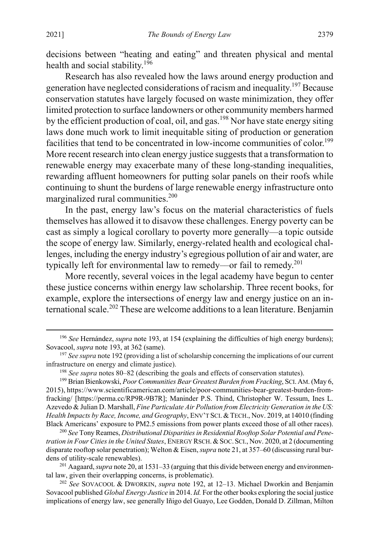decisions between "heating and eating" and threaten physical and mental health and social stability.<sup>196</sup>

Research has also revealed how the laws around energy production and generation have neglected considerations of racism and inequality.197 Because conservation statutes have largely focused on waste minimization, they offer limited protection to surface landowners or other community members harmed by the efficient production of coal, oil, and gas.<sup>198</sup> Nor have state energy siting laws done much work to limit inequitable siting of production or generation facilities that tend to be concentrated in low-income communities of color.<sup>199</sup> More recent research into clean energy justice suggests that a transformation to renewable energy may exacerbate many of these long-standing inequalities, rewarding affluent homeowners for putting solar panels on their roofs while continuing to shunt the burdens of large renewable energy infrastructure onto marginalized rural communities.<sup>200</sup>

<span id="page-41-1"></span>In the past, energy law's focus on the material characteristics of fuels themselves has allowed it to disavow these challenges. Energy poverty can be cast as simply a logical corollary to poverty more generally—a topic outside the scope of energy law. Similarly, energy-related health and ecological challenges, including the energy industry's egregious pollution of air and water, are typically left for environmental law to remedy—or fail to remedy.<sup>201</sup>

More recently, several voices in the legal academy have begun to center these justice concerns within energy law scholarship. Three recent books, for example, explore the intersections of energy law and energy justice on an international scale.<sup>202</sup> These are welcome additions to a lean literature. Benjamin

<sup>200</sup> *See* Tony Reames, *Distributional Disparities in Residential Rooftop Solar Potential and Penetration in Four Cities in the United States*, ENERGY RSCH. &SOC.SCI., Nov. 2020, at 2 (documenting disparate rooftop solar penetration); Welton & Eisen, *supra* not[e 21,](#page-7-0) at 357–60 (discussing rural burdens of utility-scale renewables).

<sup>201</sup> Aagaard, *supra* not[e 20,](#page-7-1) at 1531–33 (arguing that this divide between energy and environmental law, given their overlapping concerns, is problematic).

<sup>202</sup> *See* SOVACOOL & DWORKIN, *supra* note [192,](#page-39-0) at 12–13. Michael Dworkin and Benjamin Sovacool published *Global Energy Justice* in 2014. *Id.* For the other books exploring the social justice implications of energy law, see generally Iñigo del Guayo, Lee Godden, Donald D. Zillman, Milton

<span id="page-41-0"></span> <sup>196</sup> *See* Hernández, *supra* not[e 193,](#page-40-0) at 154 (explaining the difficulties of high energy burdens); Sovacool, *supra* not[e 193,](#page-40-0) at 362 (same).

<sup>&</sup>lt;sup>197</sup> *See supra* not[e 192](#page-39-0) (providing a list of scholarship concerning the implications of our current infrastructure on energy and climate justice).

<sup>198</sup> *See supra* note[s 80](#page-17-0)[–82](#page-17-1) (describing the goals and effects of conservation statutes).

<sup>199</sup> Brian Bienkowski, *Poor Communities Bear Greatest Burden from Fracking*, SCI.AM. (May 6, 2015), https://www.scientificamerican.com/article/poor-communities-bear-greatest-burden-fromfracking/ [https://perma.cc/RP9R-9B7R]; Maninder P.S. Thind, Christopher W. Tessum, Ines L. Azevedo & Julian D. Marshall, *Fine Particulate Air Pollution from Electricity Generation in the US:*  Health Impacts by Race, Income, and Geography, ENV'T SCI. & TECH., Nov. 2019, at 14010 (finding Black Americans' exposure to PM2.5 emissions from power plants exceed those of all other races).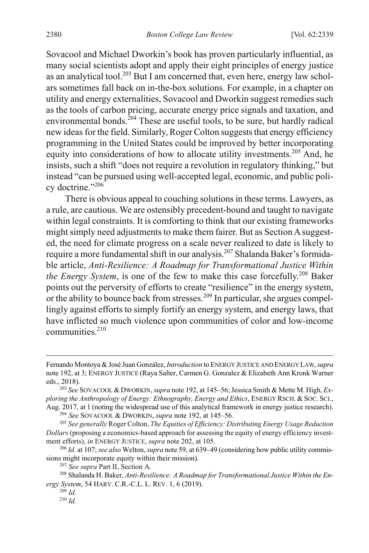Sovacool and Michael Dworkin's book has proven particularly influential, as many social scientists adopt and apply their eight principles of energy justice as an analytical tool.<sup>203</sup> But I am concerned that, even here, energy law scholars sometimes fall back on in-the-box solutions. For example, in a chapter on utility and energy externalities, Sovacool and Dworkin suggest remedies such as the tools of carbon pricing, accurate energy price signals and taxation, and environmental bonds.<sup> $204$ </sup> These are useful tools, to be sure, but hardly radical new ideas for the field. Similarly, Roger Colton suggests that energy efficiency programming in the United States could be improved by better incorporating equity into considerations of how to allocate utility investments.<sup>205</sup> And, he insists, such a shift "does not require a revolution in regulatory thinking," but instead "can be pursued using well-accepted legal, economic, and public policy doctrine."206

There is obvious appeal to couching solutions in these terms. Lawyers, as a rule, are cautious. We are ostensibly precedent-bound and taught to navigate within legal constraints. It is comforting to think that our existing frameworks might simply need adjustments to make them fairer. But as Section Asuggested, the need for climate progress on a scale never realized to date is likely to require a more fundamental shift in our analysis.207 Shalanda Baker's formidable article, *Anti-Resilience: A Roadmap for Transformational Justice Within the Energy System*, is one of the few to make this case forcefully.<sup>208</sup> Baker points out the perversity of efforts to create "resilience" in the energy system, or the ability to bounce back from stresses.<sup>209</sup> In particular, she argues compellingly against efforts to simply fortify an energy system, and energy laws, that have inflicted so much violence upon communities of color and low-income communities. 210

Fernando Montoya & José Juan González, *Introduction* to ENERGY JUSTICE AND ENERGY LAW, *supra* not[e 192,](#page-39-0) at 3; ENERGY JUSTICE (Raya Salter, Carmen G. Gonzalez & Elizabeth Ann Kronk Warner eds., 2018).

<sup>203</sup> *See* SOVACOOL &DWORKIN, *supra* not[e 192,](#page-39-0) at 145–56; Jessica Smith & Mette M. High, *Exploring the Anthropology of Energy: Ethnography, Energy and Ethics*, ENERGY RSCH. & SOC. SCI., Aug. 2017, at 1 (noting the widespread use of this analytical framework in energy justice research).

<sup>204</sup> *See* SOVACOOL & DWORKIN, *supra* not[e 192,](#page-39-0) at 145–56.

<sup>205</sup> *See generally* Roger Colton, *The Equities of Efficiency: Distributing Energy Usage Reduction Dollars* (proposing a economics-based approach for assessing the equity of energy efficiency investment efforts), *in* ENERGY JUSTICE, *supra* not[e 202,](#page-41-0) at 105.

<sup>206</sup> *Id.* at 107; *see also* Welton, *supra* not[e 59,](#page-14-0) at 639–49 (considering how public utility commissions might incorporate equity within their mission).

<sup>207</sup> *See supra* Part II, Section A.

<sup>208</sup> Shalanda H. Baker, *Anti-Resilience: A Roadmap for Transformational Justice Within the Energy System*, 54 HARV. C.R.-C.L. L. REV. 1, 6 (2019).

<sup>209</sup> *Id.* <sup>210</sup> *Id.*

<span id="page-42-0"></span>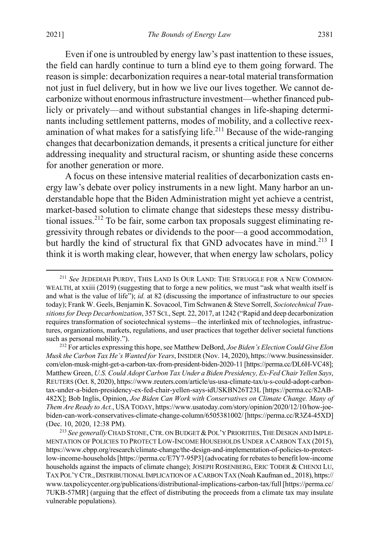Even if one is untroubled by energy law's past inattention to these issues, the field can hardly continue to turn a blind eye to them going forward. The reason is simple: decarbonization requires a near-total material transformation not just in fuel delivery, but in how we live our lives together. We cannot decarbonize without enormous infrastructure investment—whether financed publicly or privately—and without substantial changes in life-shaping determinants including settlement patterns, modes of mobility, and a collective reexamination of what makes for a satisfying life. $2^{11}$  Because of the wide-ranging changes that decarbonization demands, it presents a critical juncture for either addressing inequality and structural racism, or shunting aside these concerns for another generation or more.

<span id="page-43-0"></span>A focus on these intensive material realities of decarbonization casts energy law's debate over policy instruments in a new light. Many harbor an understandable hope that the Biden Administration might yet achieve a centrist, market-based solution to climate change that sidesteps these messy distributional issues.<sup>212</sup> To be fair, some carbon tax proposals suggest eliminating regressivity through rebates or dividends to the poor—a good accommodation, but hardly the kind of structural fix that GND advocates have in mind.<sup>213</sup> I think it is worth making clear, however, that when energy law scholars, policy

 <sup>211</sup> *See* JEDEDIAH PURDY, THIS LAND IS OUR LAND: THE STRUGGLE FOR A NEW COMMON-WEALTH, at xxiii (2019) (suggesting that to forge a new politics, we must "ask what wealth itself is and what is the value of life"); *id.* at 82 (discussing the importance of infrastructure to our species today); Frank W. Geels, Benjamin K. Sovacool, Tim Schwanen & Steve Sorrell, *Sociotechnical Transitions for Deep Decarbonization*, 357 SCI., Sept. 22, 2017, at 1242 ("Rapid and deep decarbonization requires transformation of sociotechnical systems—the interlinked mix of technologies, infrastructures, organizations, markets, regulations, and user practices that together deliver societal functions such as personal mobility.").

<sup>212</sup> For articles expressing this hope, see Matthew DeBord, *Joe Biden's Election Could Give Elon Musk the Carbon Tax He's Wanted for Years*, INSIDER (Nov. 14, 2020), https://www.businessinsider. com/elon-musk-might-get-a-carbon-tax-from-president-biden-2020-11 [https://perma.cc/DL6H-VC48]; Matthew Green, *U.S. Could Adopt Carbon Tax Under a Biden Presidency, Ex-Fed Chair Yellen Says*, REUTERS (Oct. 8, 2020), https://www.reuters.com/article/us-usa-climate-tax/u-s-could-adopt-carbontax-under-a-biden-presidency-ex-fed-chair-yellen-says-idUSKBN26T23L [https://perma.cc/82AB-482X]; Bob Inglis, Opinion, *Joe Biden Can Work with Conservatives on Climate Change. Many of Them Are Ready to Act.*, USATODAY, https://www.usatoday.com/story/opinion/2020/12/10/how-joebiden-can-work-conservatives-climate-change-column/6505381002/ [https://perma.cc/R3Z4-45XD]

<sup>(</sup>Dec. 10, 2020, 12:38 PM).<br><sup>213</sup> *See generally* CHAD STONE, CTR. ON BUDGET & POL'Y PRIORITIES, THE DESIGN AND IMPLE-MENTATION OF POLICIES TO PROTECT LOW-INCOME HOUSEHOLDS UNDER A CARBON TAX (2015), https://www.cbpp.org/research/climate-change/the-design-and-implementation-of-policies-to-protectlow-income-households [https://perma.cc/E7Y7-95P3] (advocating for rebates to benefit low-income households against the impacts of climate change); JOSEPH ROSENBERG, ERIC TODER & CHENXI LU, TAX POL'Y CTR.,DISTRIBUTIONAL IMPLICATION OF A CARBON TAX (Noah Kaufman ed., 2018), https:// www.taxpolicycenter.org/publications/distributional-implications-carbon-tax/full [https://perma.cc/ 7UKB-57MR] (arguing that the effect of distributing the proceeds from a climate tax may insulate vulnerable populations).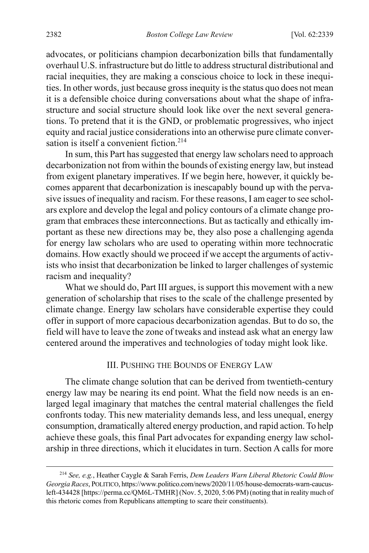advocates, or politicians champion decarbonization bills that fundamentally overhaul U.S. infrastructure but do little to address structural distributional and racial inequities, they are making a conscious choice to lock in these inequities. In other words, just because gross inequity is the status quo does not mean it is a defensible choice during conversations about what the shape of infrastructure and social structure should look like over the next several generations. To pretend that it is the GND, or problematic progressives, who inject equity and racial justice considerations into an otherwise pure climate conversation is itself a convenient fiction. 214

In sum, this Part has suggested that energy law scholars need to approach decarbonization not from within the bounds of existing energy law, but instead from exigent planetary imperatives. If we begin here, however, it quickly becomes apparent that decarbonization is inescapably bound up with the pervasive issues of inequality and racism. For these reasons, I am eager to see scholars explore and develop the legal and policy contours of a climate change program that embraces these interconnections. But as tactically and ethically important as these new directions may be, they also pose a challenging agenda for energy law scholars who are used to operating within more technocratic domains. How exactly should we proceed if we accept the arguments of activists who insist that decarbonization be linked to larger challenges of systemic racism and inequality?

What we should do, Part III argues, is support this movement with a new generation of scholarship that rises to the scale of the challenge presented by climate change. Energy law scholars have considerable expertise they could offer in support of more capacious decarbonization agendas. But to do so, the field will have to leave the zone of tweaks and instead ask what an energy law centered around the imperatives and technologies of today might look like.

#### III. PUSHING THE BOUNDS OF ENERGY LAW

The climate change solution that can be derived from twentieth-century energy law may be nearing its end point. What the field now needs is an enlarged legal imaginary that matches the central material challenges the field confronts today. This new materiality demands less, and less unequal, energy consumption, dramatically altered energy production, and rapid action. To help achieve these goals, this final Part advocates for expanding energy law scholarship in three directions, which it elucidates in turn. Section A calls for more

 <sup>214</sup> *See, e.g.*, Heather Caygle & Sarah Ferris, *Dem Leaders Warn Liberal Rhetoric Could Blow Georgia Races*, POLITICO, https://www.politico.com/news/2020/11/05/house-democrats-warn-caucusleft-434428 [https://perma.cc/QM6L-TMHR] (Nov. 5, 2020, 5:06 PM) (noting that in reality much of this rhetoric comes from Republicans attempting to scare their constituents).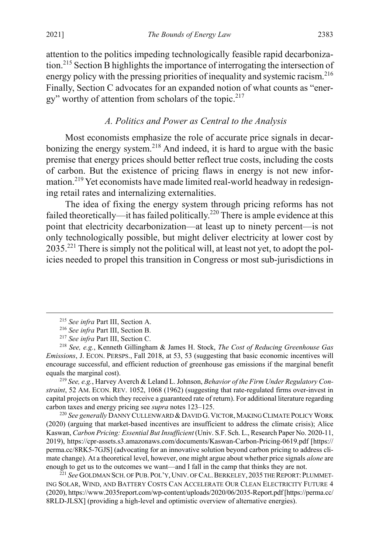attention to the politics impeding technologically feasible rapid decarbonization. <sup>215</sup> Section B highlights the importance of interrogating the intersection of energy policy with the pressing priorities of inequality and systemic racism.<sup>216</sup> Finally, Section C advocates for an expanded notion of what counts as "energy" worthy of attention from scholars of the topic.<sup>217</sup>

#### *A. Politics and Power as Central to the Analysis*

Most economists emphasize the role of accurate price signals in decarbonizing the energy system.<sup>218</sup> And indeed, it is hard to argue with the basic premise that energy prices should better reflect true costs, including the costs of carbon. But the existence of pricing flaws in energy is not new information.<sup>219</sup> Yet economists have made limited real-world headway in redesigning retail rates and internalizing externalities.

The idea of fixing the energy system through pricing reforms has not failed theoretically—it has failed politically.<sup>220</sup> There is ample evidence at this point that electricity decarbonization—at least up to ninety percent—is not only technologically possible, but might deliver electricity at lower cost by 2035.221 There is simply not the political will, at least not yet, to adopt the policies needed to propel this transition in Congress or most sub-jurisdictions in

<sup>219</sup> *See, e.g.*, Harvey Averch & Leland L. Johnson, *Behavior of the Firm Under Regulatory Constraint*, 52 AM. ECON. REV. 1052, 1068 (1962) (suggesting that rate-regulated firms over-invest in capital projects on which they receive a guaranteed rate of return). For additional literature regarding carbon taxes and energy pricing see *supra* note[s 123](#page-24-0)[–125.](#page-26-0) 220 *See generally* DANNY CULLENWARD &DAVID G. VICTOR,MAKING CLIMATE POLICY WORK

(2020) (arguing that market-based incentives are insufficient to address the climate crisis); Alice Kaswan, *Carbon Pricing: Essential But Insufficient* (Univ. S.F. Sch. L., Research Paper No. 2020-11, 2019), https://cpr-assets.s3.amazonaws.com/documents/Kaswan-Carbon-Pricing-0619.pdf [https:// perma.cc/8RK5-7GJS] (advocating for an innovative solution beyond carbon pricing to address climate change). At a theoretical level, however, one might argue about whether price signals *alone* are enough to get us to the outcomes we want—and I fall in the camp that thinks they are not.

<sup>221</sup> *See* GOLDMAN SCH. OF PUB.POL'Y,UNIV. OF CAL.BERKELEY, 2035 THE REPORT:PLUMMET-ING SOLAR, WIND, AND BATTERY COSTS CAN ACCELERATE OUR CLEAN ELECTRICITY FUTURE 4 (2020), https://www.2035report.com/wp-content/uploads/2020/06/2035-Report.pdf [https://perma.cc/ 8RLD-JLSX] (providing a high-level and optimistic overview of alternative energies).

 <sup>215</sup> *See infra* Part III, Section A.

<sup>216</sup> *See infra* Part III, Section B.

<sup>217</sup> *See infra* Part III, Section C.

<sup>218</sup> *See, e.g.*, Kenneth Gillingham & James H. Stock, *The Cost of Reducing Greenhouse Gas Emissions*, J. ECON. PERSPS., Fall 2018, at 53, 53 (suggesting that basic economic incentives will encourage successful, and efficient reduction of greenhouse gas emissions if the marginal benefit equals the marginal cost).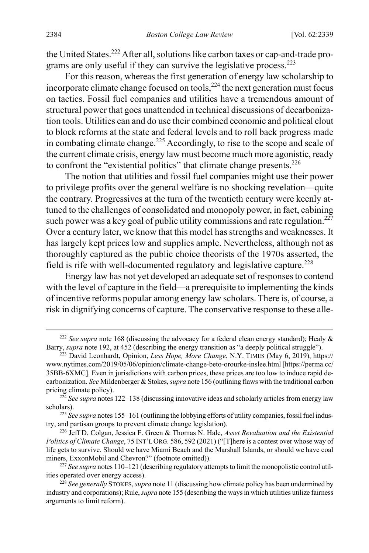the United States.<sup>222</sup> After all, solutions like carbon taxes or cap-and-trade programs are only useful if they can survive the legislative process.<sup>223</sup>

For this reason, whereas the first generation of energy law scholarship to incorporate climate change focused on tools, $^{224}$  the next generation must focus on tactics. Fossil fuel companies and utilities have a tremendous amount of structural power that goes unattended in technical discussions of decarbonization tools. Utilities can and do use their combined economic and political clout to block reforms at the state and federal levels and to roll back progress made in combating climate change.<sup>225</sup> Accordingly, to rise to the scope and scale of the current climate crisis, energy law must become much more agonistic, ready to confront the "existential politics" that climate change presents.<sup>226</sup>

<span id="page-46-0"></span>The notion that utilities and fossil fuel companies might use their power to privilege profits over the general welfare is no shocking revelation––quite the contrary. Progressives at the turn of the twentieth century were keenly attuned to the challenges of consolidated and monopoly power, in fact, cabining such power was a key goal of public utility commissions and rate regulation.<sup>227</sup> Over a century later, we know that this model has strengths and weaknesses. It has largely kept prices low and supplies ample. Nevertheless, although not as thoroughly captured as the public choice theorists of the 1970s asserted, the field is rife with well-documented regulatory and legislative capture.<sup>228</sup>

Energy law has not yet developed an adequate set of responses to contend with the level of capture in the field—a prerequisite to implementing the kinds of incentive reforms popular among energy law scholars. There is, of course, a risk in dignifying concerns of capture. The conservative response to these alle-

<sup>&</sup>lt;sup>222</sup> See supra note [168](#page-34-0) (discussing the advocacy for a federal clean energy standard); Healy & Barry, *supra* note [192,](#page-39-0) at 452 (describing the energy transition as "a deeply political struggle").

<sup>223</sup> David Leonhardt, Opinion, *Less Hope, More Change*, N.Y. TIMES (May 6, 2019), https:// www.nytimes.com/2019/05/06/opinion/climate-change-beto-orourke-inslee.html [https://perma.cc/ 35BB-6XMC]. Even in jurisdictions with carbon prices, these prices are too low to induce rapid decarbonization. *See* Mildenberger & Stokes, *supra* not[e 156](#page-32-2) (outlining flaws with the traditional carbon pricing climate policy).

<sup>&</sup>lt;sup>224</sup> See supra note[s 122–](#page-24-1)[138](#page-28-0) (discussing innovative ideas and scholarly articles from energy law scholars).

<sup>225</sup> *See supra* note[s 155](#page-32-0)[–161](#page-33-0) (outlining the lobbying efforts of utility companies, fossil fuel industry, and partisan groups to prevent climate change legislation).

<sup>226</sup> Jeff D. Colgan, Jessica F. Green & Thomas N. Hale, *Asset Revaluation and the Existential Politics of Climate Change*, 75 INT'L ORG. 586, 592 (2021) ("[T]here is a contest over whose way of life gets to survive. Should we have Miami Beach and the Marshall Islands, or should we have coal miners, ExxonMobil and Chevron?" (footnote omitted)).

<sup>227</sup> *See supra* note[s 110](#page-21-1)[–121](#page-23-0) (describing regulatory attempts to limit the monopolistic control utilities operated over energy access).

<sup>228</sup> *See generally* STOKES, *supra* not[e 11](#page-4-0) (discussing how climate policy has been undermined by industry and corporations); Rule, *supra* not[e 155](#page-32-0) (describing the ways in which utilities utilize fairness arguments to limit reform).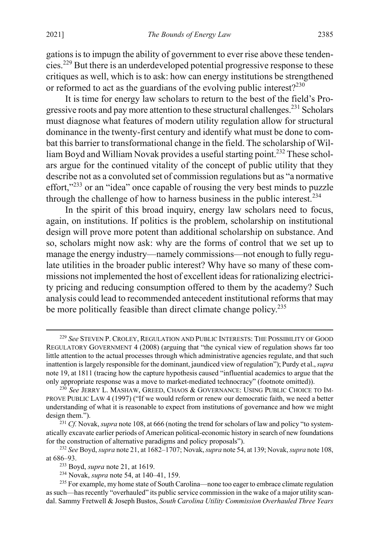gations is to impugn the ability of government to ever rise above these tendencies.<sup>229</sup> But there is an underdeveloped potential progressive response to these critiques as well, which is to ask: how can energy institutions be strengthened or reformed to act as the guardians of the evolving public interest? $2^{230}$ 

It is time for energy law scholars to return to the best of the field's Progressive roots and pay more attention to these structural challenges.<sup>231</sup> Scholars must diagnose what features of modern utility regulation allow for structural dominance in the twenty-first century and identify what must be done to combat this barrier to transformational change in the field. The scholarship of William Boyd and William Novak provides a useful starting point.<sup>232</sup> These scholars argue for the continued vitality of the concept of public utility that they describe not as a convoluted set of commission regulations but as "a normative effort,"<sup>233</sup> or an "idea" once capable of rousing the very best minds to puzzle through the challenge of how to harness business in the public interest.<sup>234</sup>

In the spirit of this broad inquiry, energy law scholars need to focus, again, on institutions. If politics is the problem, scholarship on institutional design will prove more potent than additional scholarship on substance. And so, scholars might now ask: why are the forms of control that we set up to manage the energy industry—namely commissions—not enough to fully regulate utilities in the broader public interest? Why have so many of these commissions not implemented the host of excellent ideas for rationalizing electricity pricing and reducing consumption offered to them by the academy? Such analysis could lead to recommended antecedent institutional reforms that may be more politically feasible than direct climate change policy.<sup>235</sup>

 <sup>229</sup> *See* STEVEN P. CROLEY, REGULATION AND PUBLIC INTERESTS: THE POSSIBILITY OF GOOD REGULATORY GOVERNMENT 4 (2008) (arguing that "the cynical view of regulation shows far too little attention to the actual processes through which administrative agencies regulate, and that such inattention is largely responsible for the dominant, jaundiced view of regulation"); Purdy et al., *supra*  not[e 19,](#page-6-0) at 1811 (tracing how the capture hypothesis caused "influential academics to argue that the only appropriate response was a move to market-mediated technocracy" (footnote omitted)).

<sup>230</sup> *See* JERRY L. MASHAW, GREED, CHAOS & GOVERNANCE: USING PUBLIC CHOICE TO IM-PROVE PUBLIC LAW 4 (1997) ("If we would reform or renew our democratic faith, we need a better understanding of what it is reasonable to expect from institutions of governance and how we might design them.").

<sup>&</sup>lt;sup>231</sup> *Cf.* Novak, *supra* not[e 108,](#page-21-0) at 666 (noting the trend for scholars of law and policy "to systematically excavate earlier periods of American political-economic history in search of new foundations for the construction of alternative paradigms and policy proposals").

<sup>232</sup> *See* Boyd, *supra* not[e 21,](#page-7-0) at 1682–1707; Novak, *supra* not[e 54,](#page-13-1) at 139; Novak, *supra* not[e 108,](#page-21-0) at 686–93.

<sup>233</sup> Boyd, *supra* not[e 21,](#page-7-0) at 1619.

<sup>234</sup> Novak, *supra* not[e 54,](#page-13-1) at 140–41, 159.

<sup>&</sup>lt;sup>235</sup> For example, my home state of South Carolina—none too eager to embrace climate regulation as such—has recently "overhauled" its public service commission in the wake of a major utility scandal. Sammy Fretwell & Joseph Bustos, *South Carolina Utility Commission Overhauled Three Years*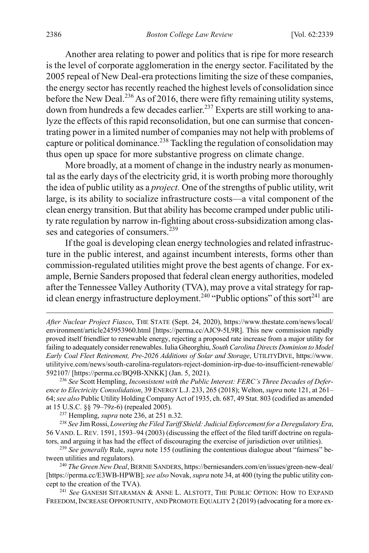<span id="page-48-0"></span>Another area relating to power and politics that is ripe for more research is the level of corporate agglomeration in the energy sector. Facilitated by the 2005 repeal of New Deal-era protections limiting the size of these companies, the energy sector has recently reached the highest levels of consolidation since before the New Deal.<sup>236</sup> As of 2016, there were fifty remaining utility systems, down from hundreds a few decades earlier.237 Experts are still working to analyze the effects of this rapid reconsolidation, but one can surmise that concentrating power in a limited number of companies may not help with problems of capture or political dominance.<sup>238</sup> Tackling the regulation of consolidation may thus open up space for more substantive progress on climate change.

More broadly, at a moment of change in the industry nearly as monumental as the early days of the electricity grid, it is worth probing more thoroughly the idea of public utility as a *project.* One of the strengths of public utility, writ large, is its ability to socialize infrastructure costs—a vital component of the clean energy transition. But that ability has become cramped under public utility rate regulation by narrow in-fighting about cross-subsidization among classes and categories of consumers.<sup>239</sup>

If the goal is developing clean energy technologies and related infrastructure in the public interest, and against incumbent interests, forms other than commission-regulated utilities might prove the best agents of change. For example, Bernie Sanders proposed that federal clean energy authorities, modeled after the Tennessee Valley Authority (TVA), may prove a vital strategy for rapid clean energy infrastructure deployment.<sup>240</sup> "Public options" of this sort<sup>241</sup> are

*After Nuclear Project Fiasco*, THE STATE (Sept. 24, 2020), https://www.thestate.com/news/local/ environment/article245953960.html [https://perma.cc/AJC9-5L9R]. This new commission rapidly proved itself friendlier to renewable energy, rejecting a proposed rate increase from a major utility for failing to adequately consider renewables. Iulia Gheorghiu, *South Carolina Directs Dominion to Model Early Coal Fleet Retirement, Pre-2026 Additions of Solar and Storage*, UTILITYDIVE, https://www. utilityive.com/news/south-carolina-regulators-reject-dominion-irp-due-to-insufficient-renewable/ 592107/ [https://perma.cc/BQ9B-XNKK] (Jan. 5, 2021).

<sup>236</sup> *See* Scott Hempling, *Inconsistent with the Public Interest: FERC's Three Decades of Deference to Electricity Consolidation*, 39 ENERGY L.J. 233, 265 (2018); Welton, *supra* not[e 121,](#page-23-0) at 261– 64; *see also* Public Utility Holding Company Act of 1935, ch. 687, 49 Stat. 803 (codified as amended at 15 U.S.C. §§ 79–79z-6) (repealed 2005). 237 Hempling, *supra* not[e 236,](#page-48-0) at 251 n.32.

<sup>238</sup> *See* Jim Rossi, *Lowering the Filed Tariff Shield: Judicial Enforcement for a Deregulatory Era*, 56 VAND. L. REV. 1591, 1593–94 (2003) (discussing the effect of the filed tariff doctrine on regulators, and arguing it has had the effect of discouraging the exercise of jurisdiction over utilities).

<sup>&</sup>lt;sup>239</sup> See generally Rule, *supra* not[e 155](#page-32-0) (outlining the contentious dialogue about "fairness" between utilities and regulators).

<sup>240</sup> *The Green New Deal*, BERNIE SANDERS, https://berniesanders.com/en/issues/green-new-deal/ [https://perma.cc/E3WB-HPWB]; *see also* Novak, *supra* not[e 34,](#page-10-0) at 400 (tying the public utility concept to the creation of the TVA).

<sup>241</sup> *See* GANESH SITARAMAN & ANNE L. ALSTOTT, THE PUBLIC OPTION: HOW TO EXPAND FREEDOM, INCREASE OPPORTUNITY, AND PROMOTE EQUALITY 2 (2019) (advocating for a more ex-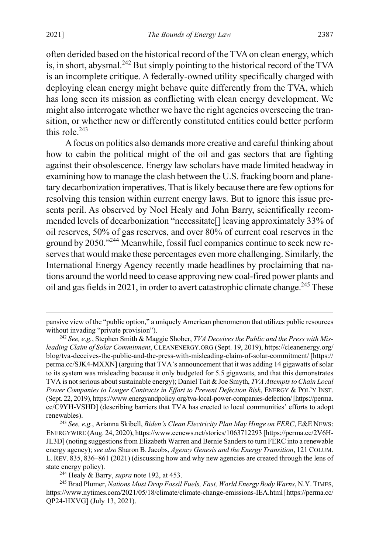often derided based on the historical record of the TVA on clean energy, which is, in short, abysmal.<sup>242</sup> But simply pointing to the historical record of the TVA is an incomplete critique. A federally-owned utility specifically charged with deploying clean energy might behave quite differently from the TVA, which has long seen its mission as conflicting with clean energy development. We might also interrogate whether we have the right agencies overseeing the transition, or whether new or differently constituted entities could better perform this role. $243$ 

A focus on politics also demands more creative and careful thinking about how to cabin the political might of the oil and gas sectors that are fighting against their obsolescence. Energy law scholars have made limited headway in examining how to manage the clash between the U.S. fracking boom and planetary decarbonization imperatives. That islikely because there are few options for resolving this tension within current energy laws. But to ignore this issue presents peril. As observed by Noel Healy and John Barry, scientifically recommended levels of decarbonization "necessitate[] leaving approximately 33% of oil reserves, 50% of gas reserves, and over 80% of current coal reserves in the ground by 2050."244 Meanwhile, fossil fuel companies continue to seek new reserves that would make these percentages even more challenging. Similarly, the International Energy Agency recently made headlines by proclaiming that nations around the world need to cease approving new coal-fired power plants and oil and gas fields in 2021, in order to avert catastrophic climate change.<sup>245</sup> These

pansive view of the "public option," a uniquely American phenomenon that utilizes public resources without invading "private provision").

<sup>242</sup> *See, e.g.*, Stephen Smith & Maggie Shober, *TVA Deceives the Public and the Press with Misleading Claim of Solar Commitment*, CLEANENERGY.ORG (Sept. 19, 2019), https://cleanenergy.org/ blog/tva-deceives-the-public-and-the-press-with-misleading-claim-of-solar-commitment/ [https:// perma.cc/SJK4-MXXN] (arguing that TVA's announcement that it was adding 14 gigawatts of solar to its system was misleading because it only budgeted for 5.5 gigawatts, and that this demonstrates TVA is not serious about sustainable energy); Daniel Tait & Joe Smyth, *TVA Attempts to Chain Local Power Companies to Longer Contracts in Effort to Prevent Defection Risk*, ENERGY & POL'Y INST. (Sept. 22, 2019), https://www.energyandpolicy.org/tva-local-power-companies-defection/ [https://perma. cc/C9YH-VSHD] (describing barriers that TVA has erected to local communities' efforts to adopt renewables). 243 *See, e.g.*, Arianna Skibell, *Biden's Clean Electricity Plan May Hinge on FERC*, E&E NEWS:

ENERGYWIRE (Aug. 24, 2020), https://www.eenews.net/stories/1063712293 [https://perma.cc/2V6H-JL3D] (noting suggestions from Elizabeth Warren and Bernie Sanders to turn FERC into a renewable energy agency); *see also* Sharon B. Jacobs, *Agency Genesis and the Energy Transition*, 121 COLUM. L. REV. 835, 836–861 (2021) (discussing how and why new agencies are created through the lens of state energy policy).

<sup>244</sup> Healy & Barry, *supra* not[e 192,](#page-39-0) at 453.

<sup>245</sup> Brad Plumer, *Nations Must Drop Fossil Fuels, Fast, World Energy Body Warns*, N.Y. TIMES, <https://www.nytimes.com/2021/05/18/climate/climate-change-emissions-IEA.html> [https://perma.cc/ QP24-HXVG] (July 13, 2021).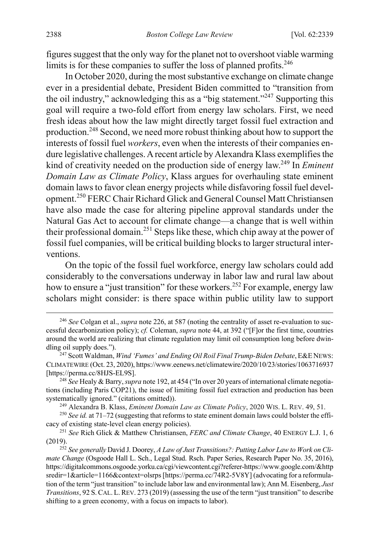figures suggest that the only way for the planet not to overshoot viable warming limits is for these companies to suffer the loss of planned profits.<sup>246</sup>

In October 2020, during the most substantive exchange on climate change ever in a presidential debate, President Biden committed to "transition from the oil industry," acknowledging this as a "big statement."<sup>247</sup> Supporting this goal will require a two-fold effort from energy law scholars. First, we need fresh ideas about how the law might directly target fossil fuel extraction and production. <sup>248</sup> Second, we need more robust thinking about how to support the interests of fossil fuel *workers*, even when the interests of their companies endure legislative challenges. A recent article by Alexandra Klass exemplifies the kind of creativity needed on the production side of energy law. 249 In *Eminent Domain Law as Climate Policy*, Klass argues for overhauling state eminent domain laws to favor clean energy projects while disfavoring fossil fuel development.<sup>250</sup> FERC Chair Richard Glick and General Counsel Matt Christiansen have also made the case for altering pipeline approval standards under the Natural Gas Act to account for climate change—a change that is well within their professional domain.<sup>251</sup> Steps like these, which chip away at the power of fossil fuel companies, will be critical building blocks to larger structural interventions.

On the topic of the fossil fuel workforce, energy law scholars could add considerably to the conversations underway in labor law and rural law about how to ensure a "just transition" for these workers.<sup>252</sup> For example, energy law scholars might consider: is there space within public utility law to support

<sup>249</sup> Alexandra B. Klass, *Eminent Domain Law as Climate Policy*, 2020 WIS. L. REV. 49, 51.

 <sup>246</sup> *See* Colgan et al., *supra* not[e 226,](#page-46-0) at 587 (noting the centrality of asset re-evaluation to successful decarbonization policy); *cf.* Coleman, *supra* note [44,](#page-12-3) at 392 ("[F]or the first time, countries around the world are realizing that climate regulation may limit oil consumption long before dwindling oil supply does.").

<sup>&</sup>lt;sup>247</sup> Scott Waldman, *Wind 'Fumes' and Ending Oil Roil Final Trump-Biden Debate*, E&E NEWS: CLIMATEWIRE (Oct. 23, 2020), https://www.eenews.net/climatewire/2020/10/23/stories/1063716937

<sup>&</sup>lt;sup>248</sup> See Healy & Barry, *supra* not[e 192,](#page-39-0) at 454 ("In over 20 years of international climate negotiations (including Paris COP21), the issue of limiting fossil fuel extraction and production has been systematically ignored." (citations omitted)).

<sup>&</sup>lt;sup>250</sup> See id. at 71–72 (suggesting that reforms to state eminent domain laws could bolster the efficacy of existing state-level clean energy policies).

<sup>251</sup> *See* Rich Glick & Matthew Christiansen, *FERC and Climate Change*, 40 ENERGY L.J. 1, 6 (2019). 252 *See generally* David J. Doorey, *A Law of Just Transitions?: Putting Labor Law to Work on Cli-*

*mate Change* (Osgoode Hall L. Sch., Legal Stud. Rsch. Paper Series, Research Paper No. 35, 2016), https://digitalcommons.osgoode.yorku.ca/cgi/viewcontent.cgi?referer-https://www.google.com/&http sredir=1&article=1166&context=olsrps [https://perma.cc/74R2-5V8Y] (advocating for a reformulation of the term "just transition" to include labor law and environmental law); Ann M. Eisenberg, *Just Transitions*, 92 S.CAL. L.REV. 273 (2019) (assessing the use of the term "just transition" to describe shifting to a green economy, with a focus on impacts to labor).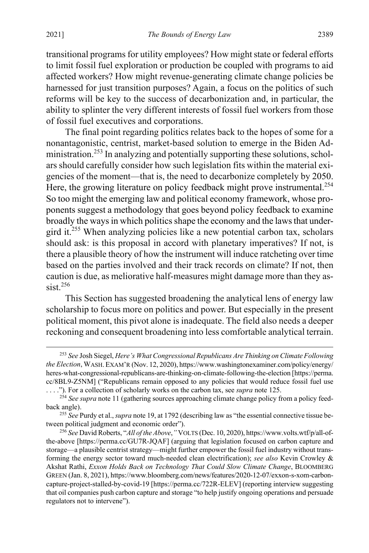transitional programs for utility employees? How might state or federal efforts to limit fossil fuel exploration or production be coupled with programs to aid affected workers? How might revenue-generating climate change policies be harnessed for just transition purposes? Again, a focus on the politics of such reforms will be key to the success of decarbonization and, in particular, the ability to splinter the very different interests of fossil fuel workers from those of fossil fuel executives and corporations.

The final point regarding politics relates back to the hopes of some for a nonantagonistic, centrist, market-based solution to emerge in the Biden Administration.<sup>253</sup> In analyzing and potentially supporting these solutions, scholars should carefully consider how such legislation fits within the material exigencies of the moment—that is, the need to decarbonize completely by 2050. Here, the growing literature on policy feedback might prove instrumental.<sup>254</sup> So too might the emerging law and political economy framework, whose proponents suggest a methodology that goes beyond policy feedback to examine broadly the ways in which politics shape the economy and the laws that undergird it.255 When analyzing policies like a new potential carbon tax, scholars should ask: is this proposal in accord with planetary imperatives? If not, is there a plausible theory of how the instrument will induce ratcheting over time based on the parties involved and their track records on climate? If not, then caution is due, as meliorative half-measures might damage more than they assist $256$ 

This Section has suggested broadening the analytical lens of energy law scholarship to focus more on politics and power. But especially in the present political moment, this pivot alone is inadequate. The field also needs a deeper reckoning and consequent broadening into less comfortable analytical terrain.

 <sup>253</sup> *See* Josh Siegel, *Here's What Congressional Republicans Are Thinking on Climate Following the Election*, WASH. EXAM'R (Nov. 12, 2020), https://www.washingtonexaminer.com/policy/energy/ heres-what-congressional-republicans-are-thinking-on-climate-following-the-election [https://perma. cc/8BL9-Z5NM] ("Republicans remain opposed to any policies that would reduce fossil fuel use . . . ."). For a collection of scholarly works on the carbon tax, see *supra* note [125.](#page-26-0)

<sup>&</sup>lt;sup>254</sup> See supra not[e 11 \(](#page-4-0)gathering sources approaching climate change policy from a policy feedback angle).

<sup>255</sup> *See* Purdy et al., *supra* not[e 19,](#page-6-0) at 1792 (describing law as "the essential connective tissue between political judgment and economic order").

<sup>256</sup> *See* David Roberts, "*All of the Above*,*"* VOLTS (Dec. 10, 2020), https://www.volts.wtf/p/all-ofthe-above [https://perma.cc/GU7R-JQAF] (arguing that legislation focused on carbon capture and storage—a plausible centrist strategy—might further empower the fossil fuel industry without transforming the energy sector toward much-needed clean electrification); *see also* Kevin Crowley & Akshat Rathi, *Exxon Holds Back on Technology That Could Slow Climate Change*, BLOOMBERG GREEN (Jan. 8, 2021), https://www.bloomberg.com/news/features/2020-12-07/exxon-s-xom-carboncapture-project-stalled-by-covid-19 [https://perma.cc/722R-ELEV] (reporting interview suggesting that oil companies push carbon capture and storage "to help justify ongoing operations and persuade regulators not to intervene").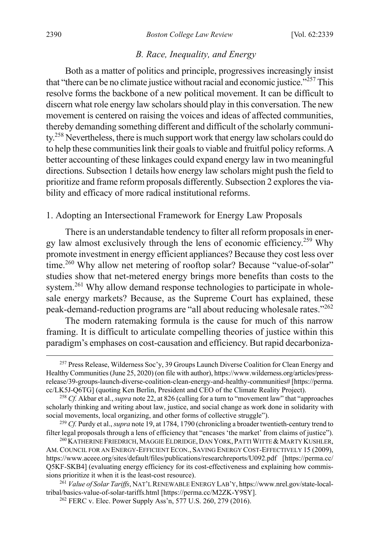#### <span id="page-52-0"></span>*B. Race, Inequality, and Energy*

Both as a matter of politics and principle, progressives increasingly insist that "there can be no climate justice without racial and economic justice."<sup>257</sup> This resolve forms the backbone of a new political movement. It can be difficult to discern what role energy law scholars should play in this conversation. The new movement is centered on raising the voices and ideas of affected communities, thereby demanding something different and difficult of the scholarly community.<sup>258</sup> Nevertheless, there is much support work that energy law scholars could do to help these communities link their goals to viable and fruitful policy reforms. A better accounting of these linkages could expand energy law in two meaningful directions. Subsection 1 details how energy law scholars might push the field to prioritize and frame reform proposals differently. Subsection 2 explores the viability and efficacy of more radical institutional reforms.

#### 1. Adopting an Intersectional Framework for Energy Law Proposals

There is an understandable tendency to filter all reform proposals in energy law almost exclusively through the lens of economic efficiency.259 Why promote investment in energy efficient appliances? Because they cost less over time.<sup>260</sup> Why allow net metering of rooftop solar? Because "value-of-solar" studies show that net-metered energy brings more benefits than costs to the system.<sup>261</sup> Why allow demand response technologies to participate in wholesale energy markets? Because, as the Supreme Court has explained, these peak-demand-reduction programs are "all about reducing wholesale rates."<sup>262</sup>

<span id="page-52-1"></span>The modern ratemaking formula is the cause for much of this narrow framing. It is difficult to articulate compelling theories of justice within this paradigm's emphases on cost-causation and efficiency. But rapid decarboniza-

 <sup>257</sup> Press Release, Wilderness Soc'y, 39 Groups Launch Diverse Coalition for Clean Energy and Healthy Communities (June 25, 2020) (on file with author), https://www.wilderness.org/articles/pressrelease/39-groups-launch-diverse-coalition-clean-energy-and-healthy-communities# [https://perma. cc/LK5J-Q6TG] (quoting Ken Berlin, President and CEO of the Climate Reality Project).

<sup>258</sup> *Cf.* Akbar et al., *supra* not[e 22,](#page-8-0) at 826 (calling for a turn to "movement law" that "approaches scholarly thinking and writing about law, justice, and social change as work done in solidarity with social movements, local organizing, and other forms of collective struggle").

<sup>259</sup> *Cf.* Purdy et al., *supra* not[e 19,](#page-6-0) at 1784, 1790 (chronicling a broader twentieth-century trend to filter legal proposals through a lens of efficiency that "encases 'the market' from claims of justice").

<sup>&</sup>lt;sup>260</sup> KATHERINE FRIEDRICH, MAGGIE ELDRIDGE, DAN YORK, PATTI WITTE & MARTY KUSHLER, AM. COUNCIL FOR AN ENERGY-EFFICIENT ECON., SAVING ENERGY COST-EFFECTIVELY 15 (2009), https://www.aceee.org/sites/default/files/publications/researchreports/U092.pdf [https://perma.cc/ Q5KF-SKB4] (evaluating energy efficiency for its cost-effectiveness and explaining how commissions prioritize it when it is the least-cost resource).

<sup>261</sup> *Value of Solar Tariffs*, NAT'L RENEWABLE ENERGY LAB'Y, https://www.nrel.gov/state-localtribal/basics-value-of-solar-tariffs.html [https://perma.cc/M2ZK-Y9SY]. 262 FERC v. Elec. Power Supply Ass'n, 577 U.S. 260, 279 (2016).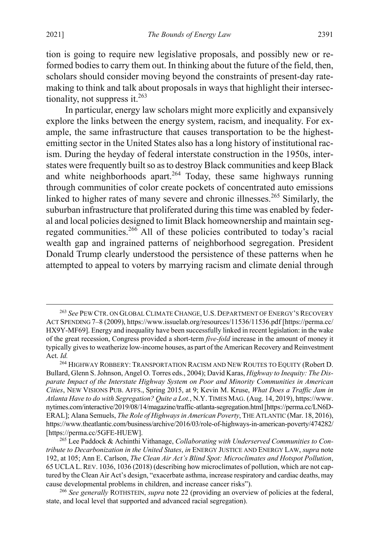tion is going to require new legislative proposals, and possibly new or reformed bodies to carry them out. In thinking about the future of the field, then, scholars should consider moving beyond the constraints of present-day ratemaking to think and talk about proposals in ways that highlight their intersectionality, not suppress it.<sup>263</sup>

<span id="page-53-1"></span><span id="page-53-0"></span>In particular, energy law scholars might more explicitly and expansively explore the links between the energy system, racism, and inequality. For example, the same infrastructure that causes transportation to be the highestemitting sector in the United States also has a long history of institutional racism. During the heyday of federal interstate construction in the 1950s, interstates were frequently built so as to destroy Black communities and keep Black and white neighborhoods apart.<sup>264</sup> Today, these same highways running through communities of color create pockets of concentrated auto emissions linked to higher rates of many severe and chronic illnesses.<sup>265</sup> Similarly, the suburban infrastructure that proliferated during this time was enabled by federal and local policies designed to limit Black homeownership and maintain segregated communities.<sup>266</sup> All of these policies contributed to today's racial wealth gap and ingrained patterns of neighborhood segregation. President Donald Trump clearly understood the persistence of these patterns when he attempted to appeal to voters by marrying racism and climate denial through

 <sup>263</sup> *See* PEW CTR. ON GLOBAL CLIMATE CHANGE, U.S. DEPARTMENT OF ENERGY'S RECOVERY ACT SPENDING 7–8 (2009), https://www.issuelab.org/resources/11536/11536.pdf [https://perma.cc/ HX9Y-MF69]. Energy and inequality have been successfully linked in recent legislation: in the wake of the great recession, Congress provided a short-term *five-fold* increase in the amount of money it typically gives to weatherize low-income houses, as part of the American Recovery and Reinvestment Act. *Id.*

<sup>264</sup> HIGHWAY ROBBERY: TRANSPORTATION RACISM AND NEW ROUTES TO EQUITY (Robert D. Bullard, Glenn S. Johnson, Angel O. Torres eds., 2004); David Karas, *Highway to Inequity: The Disparate Impact of the Interstate Highway System on Poor and Minority Communities in American Cities*, NEW VISIONS PUB. AFFS., Spring 2015, at 9; Kevin M. Kruse, *What Does a Traffic Jam in Atlanta Have to do with Segregation? Quite a Lot.*, N.Y. TIMES MAG. (Aug. 14, 2019), https://www. nytimes.com/interactive/2019/08/14/magazine/traffic-atlanta-segregation.html[https://perma.cc/LN6D-ERAL]; Alana Semuels, *The Role of Highways in American Poverty*, THE ATLANTIC (Mar. 18, 2016), https://www.theatlantic.com/business/archive/2016/03/role-of-highways-in-american-poverty/474282/ [https://perma.cc/5GFE-HUEW].

<sup>265</sup> Lee Paddock & Achinthi Vithanage, *Collaborating with Underserved Communities to Contribute to Decarbonization in the United States*, *in* ENERGY JUSTICE AND ENERGY LAW, *supra* note [192,](#page-39-0) at 105; Ann E. Carlson, *The Clean Air Act's Blind Spot: Microclimates and Hotspot Pollution*, 65 UCLA L.REV. 1036, 1036 (2018) (describing how microclimates of pollution, which are not captured by the Clean Air Act's design, "exacerbate asthma, increase respiratory and cardiac deaths, may cause developmental problems in children, and increase cancer risks").

<sup>266</sup> *See generally* ROTHSTEIN, *supra* note [22](#page-8-0) (providing an overview of policies at the federal, state, and local level that supported and advanced racial segregation).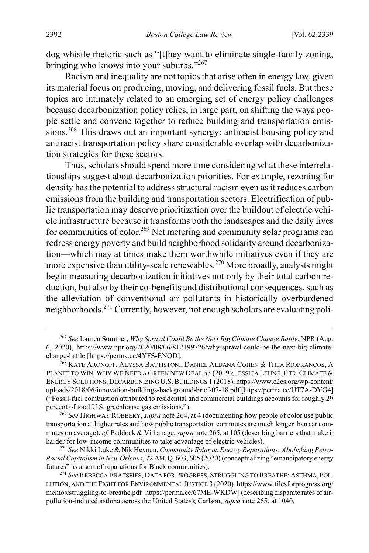dog whistle rhetoric such as "[t]hey want to eliminate single-family zoning, bringing who knows into your suburbs."<sup>267</sup>

Racism and inequality are not topics that arise often in energy law, given its material focus on producing, moving, and delivering fossil fuels. But these topics are intimately related to an emerging set of energy policy challenges because decarbonization policy relies, in large part, on shifting the ways people settle and convene together to reduce building and transportation emissions.<sup>268</sup> This draws out an important synergy: antiracist housing policy and antiracist transportation policy share considerable overlap with decarbonization strategies for these sectors.

Thus, scholars should spend more time considering what these interrelationships suggest about decarbonization priorities. For example, rezoning for density has the potential to address structural racism even as it reduces carbon emissions from the building and transportation sectors. Electrification of public transportation may deserve prioritization over the buildout of electric vehicle infrastructure because it transforms both the landscapes and the daily lives for communities of color.<sup>269</sup> Net metering and community solar programs can redress energy poverty and build neighborhood solidarity around decarbonization—which may at times make them worthwhile initiatives even if they are more expensive than utility-scale renewables.<sup>270</sup> More broadly, analysts might begin measuring decarbonization initiatives not only by their total carbon reduction, but also by their co-benefits and distributional consequences, such as the alleviation of conventional air pollutants in historically overburdened neighborhoods. <sup>271</sup> Currently, however, not enough scholars are evaluating poli-

 <sup>267</sup> *See* Lauren Sommer, *Why Sprawl Could Be the Next Big Climate Change Battle*, NPR (Aug. 6, 2020), https://www.npr.org/2020/08/06/812199726/why-sprawl-could-be-the-next-big-climatechange-battle [https://perma.cc/4YFS-ENQD].

<sup>&</sup>lt;sup>268</sup> KATE ARONOFF, ALYSSA BATTISTONI, DANIEL ALDANA COHEN & THEA RIOFRANCOS, A PLANET TO WIN: WHY WE NEED A GREEN NEW DEAL 53 (2019); JESSICA LEUNG, CTR. CLIMATE & ENERGY SOLUTIONS, DECARBONIZING U.S.BUILDINGS 1 (2018), https://www.c2es.org/wp-content/ uploads/2018/06/innovation-buildings-background-brief-07-18.pdf [https://perma.cc/UT7A-DYG4] ("Fossil-fuel combustion attributed to residential and commercial buildings accounts for roughly 29 percent of total U.S. greenhouse gas emissions.").

<sup>269</sup> *See* HIGHWAY ROBBERY, *supra* not[e 264,](#page-53-0) at 4 (documenting how people of color use public transportation at higher rates and how public transportation commutes are much longer than car commutes on average); *cf.* Paddock & Vithanage, *supra* not[e 265,](#page-53-1) at 105 (describing barriers that make it harder for low-income communities to take advantage of electric vehicles).

<sup>270</sup> *See* Nikki Luke & Nik Heynen, *Community Solar as Energy Reparations: Abolishing Petro-Racial Capitalism in New Orleans*, 72 AM.Q. 603, 605 (2020) (conceptualizing "emancipatory energy futures" as a sort of reparations for Black communities).

<sup>271</sup> *See* REBECCA BRATSPIES, DATA FOR PROGRESS, STRUGGLING TO BREATHE: ASTHMA,POL-LUTION, AND THE FIGHT FOR ENVIRONMENTAL JUSTICE 3 (2020), https://www.filesforprogress.org/ memos/struggling-to-breathe.pdf [https://perma.cc/67ME-WKDW] (describing disparate rates of airpollution-induced asthma across the United States); Carlson, *supra* not[e 265,](#page-53-1) at 1040.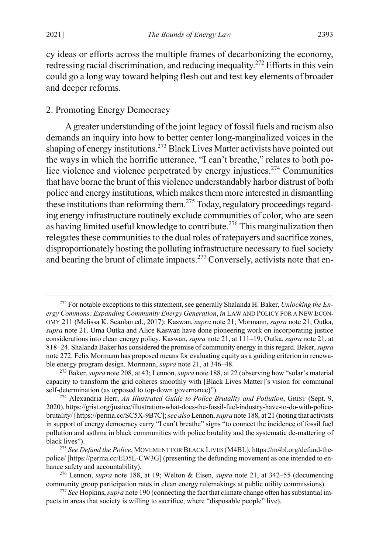<span id="page-55-0"></span>cy ideas or efforts across the multiple frames of decarbonizing the economy, redressing racial discrimination, and reducing inequality.272 Efforts in this vein could go a long way toward helping flesh out and test key elements of broader and deeper reforms.

#### 2. Promoting Energy Democracy

A greater understanding of the joint legacy of fossil fuels and racism also demands an inquiry into how to better center long-marginalized voices in the shaping of energy institutions.<sup>273</sup> Black Lives Matter activists have pointed out the ways in which the horrific utterance, "I can't breathe," relates to both police violence and violence perpetrated by energy injustices.<sup>274</sup> Communities that have borne the brunt of this violence understandably harbor distrust of both police and energy institutions, which makes them more interested in dismantling these institutions than reforming them.<sup>275</sup> Today, regulatory proceedings regarding energy infrastructure routinely exclude communities of color, who are seen as having limited useful knowledge to contribute.<sup>276</sup> This marginalization then relegates these communities to the dual roles of ratepayers and sacrifice zones, disproportionately hosting the polluting infrastructure necessary to fuel society and bearing the brunt of climate impacts.<sup>277</sup> Conversely, activists note that en-

 <sup>272</sup> For notable exceptions to this statement, see generally Shalanda H. Baker, *Unlocking the Energy Commons: Expanding Community Energy Generation*, *in* LAW AND POLICY FOR A NEW ECON-OMY 211 (Melissa K. Scanlan ed., 2017); Kaswan, *supra* note [21;](#page-7-0) Mormann, *supra* not[e 21;](#page-7-0) Outka, *supra* note [21.](#page-7-0) Uma Outka and Alice Kaswan have done pioneering work on incorporating justice considerations into clean energy policy. Kaswan, *supra* not[e 21,](#page-7-0) at 111–19; Outka, *supra* not[e 21,](#page-7-0) at 818–24. Shalanda Baker has considered the promise of community energy in this regard. Baker, *supra*  not[e 272.](#page-55-0) Felix Mormann has proposed means for evaluating equity as a guiding criterion in renewable energy program design. Mormann, *supra* not[e 21,](#page-7-0) at 346–48.

<sup>273</sup> Baker, *supra* not[e 208,](#page-42-0) at 43; Lennon, *supra* not[e 188,](#page-38-0) at 22 (observing how "solar's material capacity to transform the grid coheres smoothly with [Black Lives Matter]'s vision for communal self-determination (as opposed to top-down governance)").

<sup>274</sup> Alexandria Herr, *An Illustrated Guide to Police Brutality and Pollution*, GRIST (Sept. 9, 2020), https://grist.org/justice/illustration-what-does-the-fossil-fuel-industry-have-to-do-with-policebrutality/ [https://perma.cc/SC5X-9B7C];*see also* Lennon, *supra* not[e 188,](#page-38-0) at 21 (noting that activists in support of energy democracy carry "I can't breathe" signs "to connect the incidence of fossil fuel pollution and asthma in black communities with police brutality and the systematic de-mattering of black lives").

<sup>275</sup> *See Defund the Police*, MOVEMENT FOR BLACK LIVES (M4BL), https://m4bl.org/defund-thepolice/ [https://perma.cc/ED5L-CW3G] (presenting the defunding movement as one intended to enhance safety and accountability).

<sup>276</sup> Lennon, *supra* note [188,](#page-38-0) at 19; Welton & Eisen, *supra* note [21,](#page-7-0) at 342–55 (documenting community group participation rates in clean energy rulemakings at public utility commissions).

<sup>277</sup> *See* Hopkins, *supra* not[e 190](#page-39-1) (connecting the fact that climate change often has substantial impacts in areas that society is willing to sacrifice, where "disposable people" live).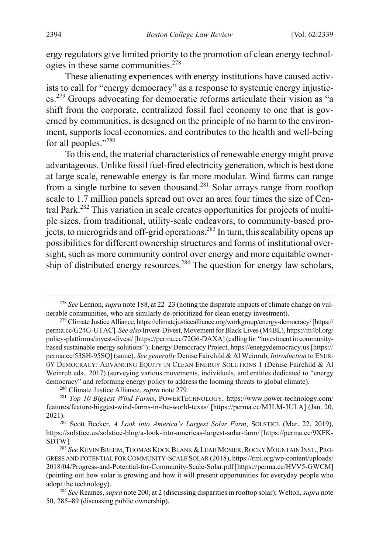ergy regulators give limited priority to the promotion of clean energy technologies in these same communities. $278$ 

<span id="page-56-0"></span>These alienating experiences with energy institutions have caused activists to call for "energy democracy" as a response to systemic energy injustices.<sup>279</sup> Groups advocating for democratic reforms articulate their vision as "a shift from the corporate, centralized fossil fuel economy to one that is governed by communities, is designed on the principle of no harm to the environment, supports local economies, and contributes to the health and well-being for all peoples."<sup>280</sup>

To this end, the material characteristics of renewable energy might prove advantageous. Unlike fossil fuel-fired electricity generation, which is best done at large scale, renewable energy is far more modular. Wind farms can range from a single turbine to seven thousand.<sup>281</sup> Solar arrays range from rooftop scale to 1.7 million panels spread out over an area four times the size of Central Park.<sup>282</sup> This variation in scale creates opportunities for projects of multiple sizes, from traditional, utility-scale endeavors, to community-based projects, to microgrids and off-grid operations.283 In turn, this scalability opens up possibilities for different ownership structures and forms of institutional oversight, such as more community control over energy and more equitable ownership of distributed energy resources.<sup>284</sup> The question for energy law scholars,

 <sup>278</sup> *See* Lennon, *supra* not[e 188,](#page-38-0) at 22–23 (noting the disparate impacts of climate change on vulnerable communities, who are similarly de-prioritized for clean energy investment).

<sup>&</sup>lt;sup>279</sup> Climate Justice Alliance, https://climatejusticealliance.org/workgroup/energy-democracy/[https:// perma.cc/G24G-UTAC]. *See also* Invest-Divest, Movement for Black Lives (M4BL), https://m4bl.org/ policy-platforms/invest-divest/ [https://perma.cc/72G6-DAXA] (calling for "investment in communitybased sustainable energy solutions"); Energy Democracy Project, https://energydemocracy.us [https:// perma.cc/53SH-95SQ] (same). *See generally* Denise Fairchild & Al Weinrub, *Introduction* to ENER-GY DEMOCRACY: ADVANCING EQUITY IN CLEAN ENERGY SOLUTIONS 1 (Denise Fairchild & Al Weinrub eds., 2017) (surveying various movements, individuals, and entities dedicated to "energy democracy" and reforming energy policy to address the looming threats to global climate).

<sup>280</sup> Climate Justice Alliance, *supra* note [279.](#page-56-0) 281 *Top 10 Biggest Wind Farms*, POWERTECHNOLOGY, https://www.power-technology.com/ features/feature-biggest-wind-farms-in-the-world-texas/ [https://perma.cc/M3LM-3ULA] (Jan. 20,

<sup>2021). 282</sup> Scott Becker, *A Look into America's Largest Solar Farm*, SOLSTICE (Mar. 22, 2019), https://solstice.us/solstice-blog/a-look-into-americas-largest-solar-farm/ [https://perma.cc/9XFK-SDTW]. 283 *See* KEVIN BREHM, THOMAS KOCK BLANK&LEAH MOSIER,ROCKY MOUNTAIN INST., PRO-

GRESS AND POTENTIAL FOR COMMUNITY-SCALE SOLAR (2018), https://rmi.org/wp-content/uploads/ 2018/04/Progress-and-Potential-for-Community-Scale-Solar.pdf [https://perma.cc/HVV5-GWCM] (pointing out how solar is growing and how it will present opportunities for everyday people who adopt the technology).

<sup>284</sup> *See* Reames, *supra* not[e 200,](#page-41-1) at 2 (discussing disparities in rooftop solar); Welton, *supra* note [50,](#page-12-4) 285–89 (discussing public ownership).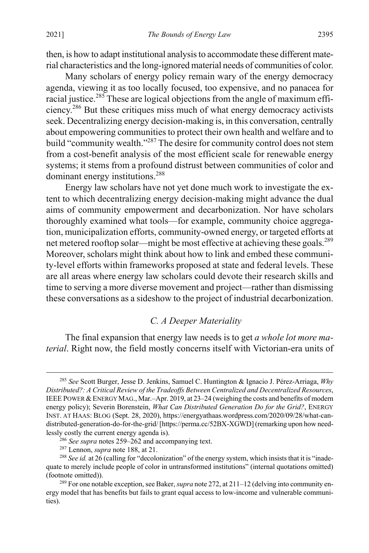then, is how to adapt institutional analysis to accommodate these different material characteristics and the long-ignored material needs of communities of color.

Many scholars of energy policy remain wary of the energy democracy agenda, viewing it as too locally focused, too expensive, and no panacea for racial justice.<sup>285</sup> These are logical objections from the angle of maximum efficiency.<sup>286</sup> But these critiques miss much of what energy democracy activists seek. Decentralizing energy decision-making is, in this conversation, centrally about empowering communities to protect their own health and welfare and to build "community wealth."<sup>287</sup> The desire for community control does not stem from a cost-benefit analysis of the most efficient scale for renewable energy systems; it stems from a profound distrust between communities of color and dominant energy institutions.<sup>288</sup>

Energy law scholars have not yet done much work to investigate the extent to which decentralizing energy decision-making might advance the dual aims of community empowerment and decarbonization. Nor have scholars thoroughly examined what tools—for example, community choice aggregation, municipalization efforts, community-owned energy, or targeted efforts at net metered rooftop solar—might be most effective at achieving these goals.<sup>289</sup> Moreover, scholars might think about how to link and embed these community-level efforts within frameworks proposed at state and federal levels. These are all areas where energy law scholars could devote their research skills and time to serving a more diverse movement and project—rather than dismissing these conversations as a sideshow to the project of industrial decarbonization.

#### *C. A Deeper Materiality*

The final expansion that energy law needs is to get *a whole lot more material*. Right now, the field mostly concerns itself with Victorian-era units of

 <sup>285</sup> *See* Scott Burger, Jesse D. Jenkins, Samuel C. Huntington & Ignacio J. Pérez-Arriaga, *Why Distributed?: A Critical Review of the Tradeoffs Between Centralized and Decentralized Resources*, IEEE POWER &ENERGY MAG., Mar.–Apr. 2019, at 23–24 (weighing the costs and benefits of modern energy policy); Severin Borenstein, *What Can Distributed Generation Do for the Grid?*, ENERGY INST. AT HAAS: BLOG (Sept. 28, 2020), https://energyathaas.wordpress.com/2020/09/28/what-candistributed-generation-do-for-the-grid/ [https://perma.cc/52BX-XGWD] (remarking upon how needlessly costly the current energy agenda is). 286 *See supra* note[s 259](#page-52-0)[–262](#page-52-1) and accompanying text.

<sup>287</sup> Lennon, *supra* not[e 188,](#page-38-0) at 21.

<sup>288</sup> *See id.* at 26 (calling for "decolonization" of the energy system, which insists that it is "inadequate to merely include people of color in untransformed institutions" (internal quotations omitted) (footnote omitted)).

<sup>289</sup> For one notable exception, see Baker, *supra* not[e 272,](#page-55-0) at 211–12 (delving into community energy model that has benefits but fails to grant equal access to low-income and vulnerable communities).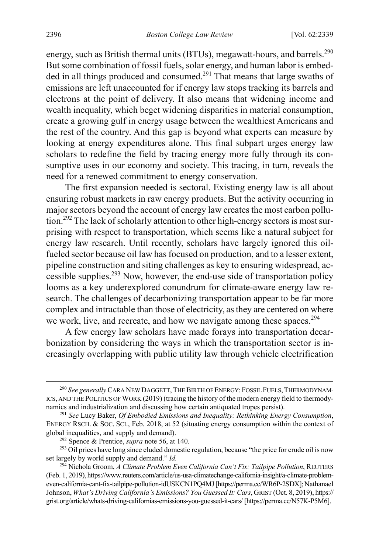<span id="page-58-1"></span><span id="page-58-0"></span>energy, such as British thermal units (BTUs), megawatt-hours, and barrels.<sup>290</sup> But some combination of fossil fuels, solar energy, and human labor is embedded in all things produced and consumed.<sup>291</sup> That means that large swaths of emissions are left unaccounted for if energy law stops tracking its barrels and electrons at the point of delivery. It also means that widening income and wealth inequality, which beget widening disparities in material consumption, create a growing gulf in energy usage between the wealthiest Americans and the rest of the country. And this gap is beyond what experts can measure by looking at energy expenditures alone. This final subpart urges energy law scholars to redefine the field by tracing energy more fully through its consumptive uses in our economy and society. This tracing, in turn, reveals the need for a renewed commitment to energy conservation.

The first expansion needed is sectoral. Existing energy law is all about ensuring robust markets in raw energy products. But the activity occurring in major sectors beyond the account of energy law creates the most carbon pollution.<sup>292</sup> The lack of scholarly attention to other high-energy sectors is most surprising with respect to transportation, which seems like a natural subject for energy law research. Until recently, scholars have largely ignored this oilfueled sector because oil law has focused on production, and to a lesser extent, pipeline construction and siting challenges as key to ensuring widespread, ac- $\csc{s}$  cessible supplies.<sup>293</sup> Now, however, the end-use side of transportation policy looms as a key underexplored conundrum for climate-aware energy law research. The challenges of decarbonizing transportation appear to be far more complex and intractable than those of electricity, as they are centered on where we work, live, and recreate, and how we navigate among these spaces.<sup>294</sup>

A few energy law scholars have made forays into transportation decarbonization by considering the ways in which the transportation sector is increasingly overlapping with public utility law through vehicle electrification

<sup>&</sup>lt;sup>290</sup> See generally CARA NEW DAGGETT, THE BIRTH OF ENERGY: FOSSIL FUELS, THERMODYNAM-ICS, AND THE POLITICS OF WORK (2019) (tracing the history of the modern energy field to thermodynamics and industrialization and discussing how certain antiquated tropes persist).

<sup>291</sup> *See* Lucy Baker, *Of Embodied Emissions and Inequality: Rethinking Energy Consumption*, ENERGY RSCH. & SOC. SCI., Feb. 2018, at 52 (situating energy consumption within the context of global inequalities, and supply and demand).

<sup>292</sup> Spence & Prentice, *supra* note [56,](#page-13-2) at 140.

 $^{293}$  Oil prices have long since eluded domestic regulation, because "the price for crude oil is now set largely by world supply and demand." *Id.*

<sup>294</sup> Nichola Groom, *A Climate Problem Even California Can't Fix: Tailpipe Pollution*, REUTERS (Feb. 1, 2019), https://www.reuters.com/article/us-usa-climatechange-california-insight/a-climate-problemeven-california-cant-fix-tailpipe-pollution-idUSKCN1PQ4MJ[https://perma.cc/WR6P-2SDX]; Nathanael Johnson, *What's Driving California's Emissions? You Guessed It: Cars*, GRIST (Oct. 8, 2019), https:// grist.org/article/whats-driving-californias-emissions-you-guessed-it-cars/ [https://perma.cc/N57K-P5M6].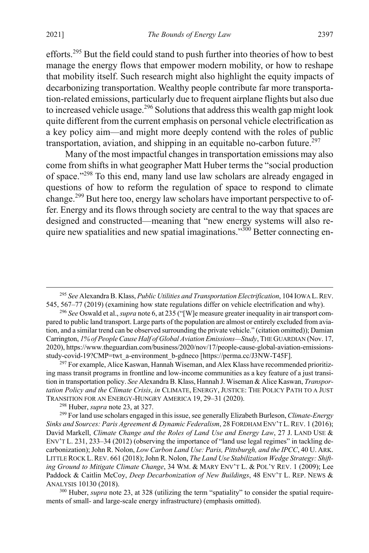efforts.<sup>295</sup> But the field could stand to push further into theories of how to best manage the energy flows that empower modern mobility, or how to reshape that mobility itself. Such research might also highlight the equity impacts of decarbonizing transportation. Wealthy people contribute far more transportation-related emissions, particularly due to frequent airplane flights but also due to increased vehicle usage.<sup>296</sup> Solutions that address this wealth gap might look quite different from the current emphasis on personal vehicle electrification as a key policy aim—and might more deeply contend with the roles of public transportation, aviation, and shipping in an equitable no-carbon future.<sup>297</sup>

Many of the most impactful changes in transportation emissions may also come from shifts in what geographer Matt Huber terms the "social production of space."298 To this end, many land use law scholars are already engaged in questions of how to reform the regulation of space to respond to climate change.<sup>299</sup> But here too, energy law scholars have important perspective to offer. Energy and its flows through society are central to the way that spaces are designed and constructed—meaning that "new energy systems will also require new spatialities and new spatial imaginations."<sup>300</sup> Better connecting en-

ing mass transit programs in frontline and low-income communities as a key feature of a just transition in transportation policy. *See* Alexandra B. Klass, Hannah J. Wiseman & Alice Kaswan, *Transportation Policy and the Climate Crisis*, *in* CLIMATE, ENERGY, JUSTICE: THE POLICY PATH TO A JUST TRANSITION FOR AN ENERGY-HUNGRY AMERICA 19, 29–31 (2020). 298 Huber, *supra* note 23, at 327.

<sup>299</sup> For land use scholars engaged in thisissue,see generally Elizabeth Burleson, *Climate-Energy Sinks and Sources: Paris Agreement & Dynamic Federalism*, 28 FORDHAM ENV'T L.REV. 1 (2016); David Markell, *Climate Change and the Roles of Land Use and Energy Law*, 27 J. LAND USE & ENV'T L. 231, 233–34 (2012) (observing the importance of "land use legal regimes" in tackling decarbonization); John R. Nolon, *Low Carbon Land Use: Paris, Pittsburgh, and the IPCC*, 40 U. ARK. LITTLE ROCK L.REV. 661 (2018); John R. Nolon, *The Land Use Stabilization Wedge Strategy: Shifting Ground to Mitigate Climate Change*, 34 WM. & MARY ENV'T L. & POL'Y REV. 1 (2009); Lee Paddock & Caitlin McCoy, *Deep Decarbonization of New Buildings*, 48 ENV'T L. REP. NEWS & ANALYSIS 10130 (2018).

<sup>300</sup> Huber, *supra* not[e 23,](#page-8-1) at 328 (utilizing the term "spatiality" to consider the spatial requirements of small- and large-scale energy infrastructure) (emphasis omitted).

 <sup>295</sup> *See* Alexandra B. Klass, *Public Utilities and Transportation Electrification*, 104 IOWA L.REV. 545, 567–77 (2019) (examining how state regulations differ on vehicle electrification and why).

<sup>296</sup> *See* Oswald et al., *supra* not[e 6,](#page-4-1) at 235 ("[W]e measure greater inequality in air transport compared to public land transport. Large parts of the population are almost or entirely excluded from aviation, and a similar trend can be observed surrounding the private vehicle." (citation omitted)); Damian Carrington, *1% of People Cause Half of Global Aviation Emissions—Study*, THE GUARDIAN (Nov. 17, 2020), https://www.theguardian.com/business/2020/nov/17/people-cause-global-aviation-emissionsstudy-covid-19?CMP=twt\_a-environment\_b-gdneco [https://perma.cc/J3NW-T45F].<br><sup>297</sup> For example, Alice Kaswan, Hannah Wiseman, and Alex Klass have recommended prioritiz-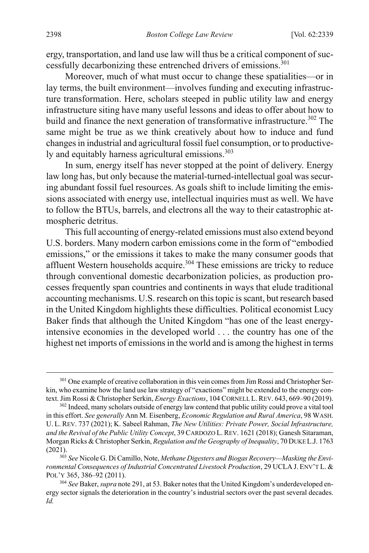ergy, transportation, and land use law will thus be a critical component of successfully decarbonizing these entrenched drivers of emissions.<sup>301</sup>

Moreover, much of what must occur to change these spatialities—or in lay terms, the built environment—involves funding and executing infrastructure transformation. Here, scholars steeped in public utility law and energy infrastructure siting have many useful lessons and ideas to offer about how to build and finance the next generation of transformative infrastructure.<sup>302</sup> The same might be true as we think creatively about how to induce and fund changes in industrial and agricultural fossil fuel consumption, or to productively and equitably harness agricultural emissions.<sup>303</sup>

In sum, energy itself has never stopped at the point of delivery. Energy law long has, but only because the material-turned-intellectual goal was securing abundant fossil fuel resources. As goals shift to include limiting the emissions associated with energy use, intellectual inquiries must as well. We have to follow the BTUs, barrels, and electrons all the way to their catastrophic atmospheric detritus.

This full accounting of energy-related emissions must also extend beyond U.S. borders. Many modern carbon emissions come in the form of "embodied emissions," or the emissions it takes to make the many consumer goods that affluent Western households acquire.<sup>304</sup> These emissions are tricky to reduce through conventional domestic decarbonization policies, as production processes frequently span countries and continents in ways that elude traditional accounting mechanisms. U.S. research on this topic is scant, but research based in the United Kingdom highlights these difficulties. Political economist Lucy Baker finds that although the United Kingdom "has one of the least energyintensive economies in the developed world . . . the country has one of the highest net imports of emissions in the world and is among the highest in terms

<sup>&</sup>lt;sup>301</sup> One example of creative collaboration in this vein comes from Jim Rossi and Christopher Serkin, who examine how the land use law strategy of "exactions" might be extended to the energy context. Jim Rossi & Christopher Serkin, *Energy Exactions*, 104 CORNELL L. REV. 643, 669–90 (2019). <sup>302</sup> Indeed, many scholars outside of energy law contend that public utility could prove a vital tool

in this effort. *See generally* Ann M. Eisenberg, *Economic Regulation and Rural America*, 98 WASH. U. L. REV. 737 (2021); K. Sabeel Rahman, *The New Utilities: Private Power, Social Infrastructure, and the Revival of the Public Utility Concept*, 39 CARDOZO L.REV. 1621 (2018); Ganesh Sitaraman, Morgan Ricks & Christopher Serkin, *Regulation and the Geography of Inequality*, 70 DUKE L.J. 1763 (2021). 303 *See* Nicole G. Di Camillo, Note, *Methane Digesters and Biogas Recovery—Masking the Envi-*

*ronmental Consequences of Industrial Concentrated Livestock Production*, 29 UCLA J. ENV'T L. & POL'Y 365, 386–92 (2011).

<sup>304</sup> *See* Baker, *supra* not[e 291,](#page-58-0) at 53. Baker notes that the United Kingdom's underdeveloped energy sector signals the deterioration in the country's industrial sectors over the past several decades. *Id.*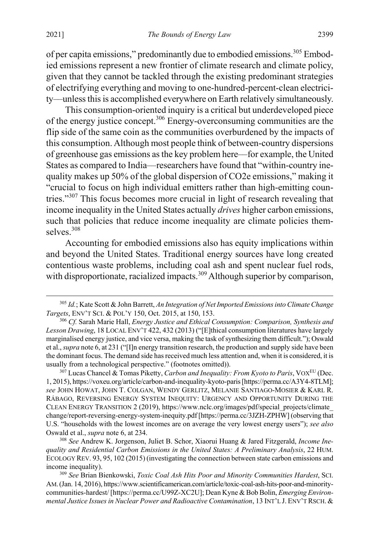of per capita emissions," predominantly due to embodied emissions.305 Embodied emissions represent a new frontier of climate research and climate policy, given that they cannot be tackled through the existing predominant strategies of electrifying everything and moving to one-hundred-percent-clean electricity––unless this is accomplished everywhere on Earth relatively simultaneously.

This consumption-oriented inquiry is a critical but underdeveloped piece of the energy justice concept.306 Energy-overconsuming communities are the flip side of the same coin as the communities overburdened by the impacts of this consumption. Although most people think of between-country dispersions of greenhouse gas emissions as the key problem here––for example, the United States as compared to India––researchers have found that "within-country inequality makes up 50% of the global dispersion of CO2e emissions," making it "crucial to focus on high individual emitters rather than high-emitting countries."<sup>307</sup> This focus becomes more crucial in light of research revealing that income inequality in the United States actually *drives* higher carbon emissions, such that policies that reduce income inequality are climate policies themselves.<sup>308</sup>

Accounting for embodied emissions also has equity implications within and beyond the United States. Traditional energy sources have long created contentious waste problems, including coal ash and spent nuclear fuel rods, with disproportionate, racialized impacts.<sup>309</sup> Although superior by comparison,

<sup>307</sup> Lucas Chancel & Tomas Piketty, *Carbon and Inequality: From Kyoto to Paris*, VOXEU (Dec. 1, 2015), https://voxeu.org/article/carbon-and-inequality-kyoto-paris[https://perma.cc/A3Y4-8TLM]; *see* JOHN HOWAT, JOHN T. COLGAN, WENDY GERLITZ, MELANIE SANTIAGO-MOSIER & KARL R. RÁBAGO, REVERSING ENERGY SYSTEM INEQUITY: URGENCY AND OPPORTUNITY DURING THE CLEAN ENERGY TRANSITION 2 (2019), https://www.nclc.org/images/pdf/special\_projects/climate\_ change/report-reversing-energy-system-inequity.pdf [https://perma.cc/3JZH-ZPHW] (observing that U.S. "households with the lowest incomes are on average the very lowest energy users"); *see also* Oswald et al., *supra* not[e 6,](#page-4-1) at 234.

<sup>308</sup> *See* Andrew K. Jorgenson, Juliet B. Schor, Xiaorui Huang & Jared Fitzgerald, *Income Inequality and Residential Carbon Emissions in the United States: A Preliminary Analysis*, 22 HUM. ECOLOGY REV. 93, 95, 102 (2015) (investigating the connection between state carbon emissions and

income inequality). 309 *See* Brian Bienkowski, *Toxic Coal Ash Hits Poor and Minority Communities Hardest*, SCI. AM.(Jan. 14, 2016), https://www.scientificamerican.com/article/toxic-coal-ash-hits-poor-and-minoritycommunities-hardest/ [https://perma.cc/U99Z-XC2U]; Dean Kyne & Bob Bolin, *Emerging Environmental Justice Issues in Nuclear Power and Radioactive Contamination*, 13 INT'L J. ENV'T RSCH. &

 <sup>305</sup> *Id.*; Kate Scott & John Barrett, *An Integration of Net Imported Emissions into Climate Change Targets*, ENV'T SCI. & POL'Y 150, Oct. 2015, at 150, 153.<br><sup>306</sup> *Cf.* Sarah Marie Hall, *Energy Justice and Ethical Consumption: Comparison, Synthesis and* 

*Lesson Drawing*, 18 LOCAL ENV'T 422, 432 (2013) ("[E]thical consumption literatures have largely marginalised energy justice, and vice versa, making the task of synthesizing them difficult."); Oswald et al., *supra* not[e 6,](#page-4-1) at 231 ("[I]n energy transition research, the production and supply side have been the dominant focus. The demand side has received much less attention and, when it is considered, it is usually from a technological perspective." (footnotes omitted)).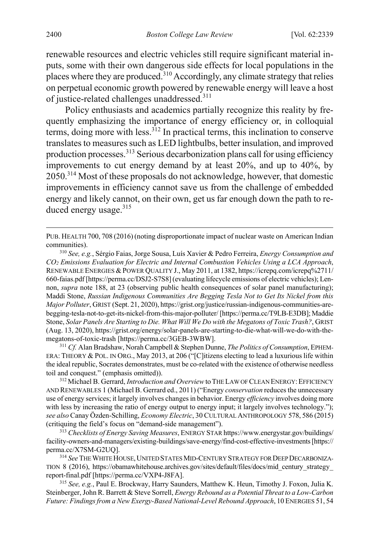renewable resources and electric vehicles still require significant material inputs, some with their own dangerous side effects for local populations in the places where they are produced.<sup>310</sup> Accordingly, any climate strategy that relies on perpetual economic growth powered by renewable energy will leave a host of justice-related challenges unaddressed.311

Policy enthusiasts and academics partially recognize this reality by frequently emphasizing the importance of energy efficiency or, in colloquial terms, doing more with less. <sup>312</sup> In practical terms, this inclination to conserve translates to measures such as LED lightbulbs, better insulation, and improved production processes.<sup>313</sup> Serious decarbonization plans call for using efficiency improvements to cut energy demand by at least 20%, and up to 40%, by 2050.314 Most of these proposals do not acknowledge, however, that domestic improvements in efficiency cannot save us from the challenge of embedded energy and likely cannot, on their own, get us far enough down the path to reduced energy usage.<sup>315</sup>

ERA: THEORY & POL. IN ORG., May 2013, at 206 ("[C]itizens electing to lead a luxurious life within the ideal republic, Socrates demonstrates, must be co-related with the existence of otherwise needless toil and conquest." (emphasis omitted)).

<sup>312</sup> Michael B. Gerrard, *Introduction and Overview* toTHE LAW OFCLEAN ENERGY:EFFICIENCY AND RENEWABLES 1 (Michael B. Gerrard ed., 2011) ("Energy *conservation* reduces the unnecessary use of energy services; it largely involves changes in behavior. Energy *efficiency* involves doing more with less by increasing the ratio of energy output to energy input; it largely involves technology."); *see also* Canay Özden-Schilling, *Economy Electric*, 30 CULTURAL ANTHROPOLOGY 578, 586 (2015) (critiquing the field's focus on "demand-side management").

<sup>313</sup> *Checklists of Energy Saving Measures*, ENERGY STAR https://www.energystar.gov/buildings/ facility-owners-and-managers/existing-buildings/save-energy/find-cost-effective-investments[https:// perma.cc/X7SM-G2UQ].<br><sup>314</sup> *See* THE WHITE HOUSE, UNITED STATES MID-CENTURY STRATEGY FOR DEEP DECARBONIZA-

TION 8 (2016), https://obamawhitehouse.archives.gov/sites/default/files/docs/mid\_century\_strategy\_ report-final.pdf [https://perma.cc/VXP4-J8FA]. 315 *See, e.g.*, Paul E. Brockway, Harry Saunders, Matthew K. Heun, Timothy J. Foxon, Julia K.

Steinberger, John R. Barrett & Steve Sorrell, *Energy Rebound as a Potential Threat to a Low-Carbon Future: Findings from a New Exergy-Based National-Level Rebound Approach*, 10 ENERGIES 51, 54

<span id="page-62-0"></span>PUB. HEALTH 700, 708 (2016) (noting disproportionate impact of nuclear waste on American Indian communities).

<sup>310</sup> *See, e.g.*, Sérgio Faias, Jorge Sousa, Luís Xavier & Pedro Ferreira, *Energy Consumption and CO2 Emissions Evaluation for Electric and Internal Combustion Vehicles Using a LCA Approach*, RENEWABLE ENERGIES &POWER QUALITY J., May 2011, at 1382, https://icrepq.com/icrepq%2711/ 660-faias.pdf [https://perma.cc/DSJ2-S7S8] (evaluating lifecycle emissions of electric vehicles); Lennon, *supra* note [188,](#page-38-0) at 23 (observing public health consequences of solar panel manufacturing); Maddi Stone, *Russian Indigenous Communities Are Begging Tesla Not to Get Its Nickel from this Major Polluter*, GRIST (Sept. 21, 2020), https://grist.org/justice/russian-indigenous-communities-arebegging-tesla-not-to-get-its-nickel-from-this-major-polluter/ [https://perma.cc/T9LB-E3DB]; Maddie Stone, *Solar Panels Are Starting to Die. What Will We Do with the Megatons of Toxic Trash?*, GRIST (Aug. 13, 2020), https://grist.org/energy/solar-panels-are-starting-to-die-what-will-we-do-with-themegatons-of-toxic-trash [https://perma.cc/3GEB-3WBW]. 311 *Cf.* Alan Bradshaw, Norah Campbell & Stephen Dunne, *The Politics of Consumption*, EPHEM-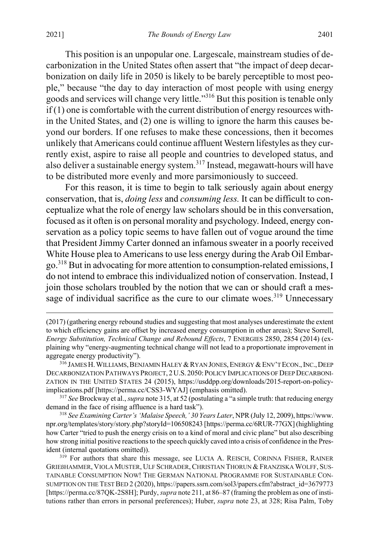This position is an unpopular one. Largescale, mainstream studies of decarbonization in the United States often assert that "the impact of deep decarbonization on daily life in 2050 is likely to be barely perceptible to most people," because "the day to day interaction of most people with using energy goods and services will change very little."316 But this position is tenable only if (1) one is comfortable with the current distribution of energy resources within the United States, and (2) one is willing to ignore the harm this causes beyond our borders. If one refuses to make these concessions, then it becomes unlikely that Americans could continue affluent Western lifestyles as they currently exist, aspire to raise all people and countries to developed status, and also deliver a sustainable energy system.<sup>317</sup> Instead, megawatt-hours will have to be distributed more evenly and more parsimoniously to succeed.

For this reason, it is time to begin to talk seriously again about energy conservation, that is, *doing less* and *consuming less.* It can be difficult to conceptualize what the role of energy law scholars should be in this conversation, focused as it often is on personal morality and psychology. Indeed, energy conservation as a policy topic seems to have fallen out of vogue around the time that President Jimmy Carter donned an infamous sweater in a poorly received White House plea to Americans to use less energy during the Arab Oil Embargo.318 But in advocating for more attention to consumption-related emissions, I do not intend to embrace this individualized notion of conservation. Instead, I join those scholars troubled by the notion that we can or should craft a message of individual sacrifice as the cure to our climate woes.<sup>319</sup> Unnecessary

demand in the face of rising affluence is a hard task").

<sup>318</sup> *See Examining Carter's 'Malaise Speech,' 30 Years Later*, NPR (July 12, 2009), https://www. npr.org/templates/story/story.php?storyId=106508243 [https://perma.cc/6RUR-77GX] (highlighting how Carter "tried to push the energy crisis on to a kind of moral and civic plane" but also describing how strong initial positive reactions to the speech quickly caved into a crisis of confidence in the President (internal quotations omitted)).

<sup>319</sup> For authors that share this message, see LUCIA A. REISCH, CORINNA FISHER, RAINER GRIEßHAMMER, VIOLA MUSTER, ULF SCHRADER,CHRISTIAN THORUN & FRANZISKA WOLFF, SUS-TAINABLE CONSUMPTION NOW! THE GERMAN NATIONAL PROGRAMME FOR SUSTAINABLE CON-SUMPTION ON THE TEST BED 2 (2020), https://papers.ssrn.com/sol3/papers.cfm?abstract\_id=3679773 [https://perma.cc/87QK-2S8H]; Purdy, *supra* not[e 211,](#page-43-0) at 86–87 (framing the problem as one of institutions rather than errors in personal preferences); Huber, *supra* note [23,](#page-8-1) at 328; Risa Palm, Toby

<sup>(2017) (</sup>gathering energy rebound studies and suggesting that most analyses underestimate the extent to which efficiency gains are offset by increased energy consumption in other areas); Steve Sorrell, *Energy Substitution, Technical Change and Rebound Effects*, 7 ENERGIES 2850, 2854 (2014) (explaining why "energy-augmenting technical change will not lead to a proportionate improvement in aggregate energy productivity").

<sup>&</sup>lt;sup>316</sup> JAMES H. WILLIAMS, BENJAMIN HALEY & RYAN JONES, ENERGY & ENV'T ECON., INC., DEEP DECARBONIZATION PATHWAYS PROJECT, 2U.S. 2050: POLICY IMPLICATIONS OF DEEP DECARBONI-ZATION IN THE UNITED STATES 24 (2015), https://usddpp.org/downloads/2015-report-on-policyimplications.pdf [https://perma.cc/CSS3-WYAJ] (emphasis omitted). 317 *See* Brockway et al., *supra* not[e 315,](#page-62-0) at 52 (postulating a "a simple truth: that reducing energy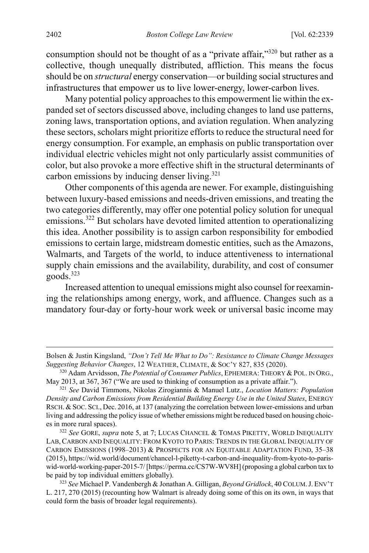consumption should not be thought of as a "private affair,"320 but rather as a collective, though unequally distributed, affliction. This means the focus should be on *structural* energy conservation—or building social structures and infrastructures that empower us to live lower-energy, lower-carbon lives.

Many potential policy approaches to this empowerment lie within the expanded set of sectors discussed above, including changes to land use patterns, zoning laws, transportation options, and aviation regulation. When analyzing these sectors, scholars might prioritize efforts to reduce the structural need for energy consumption. For example, an emphasis on public transportation over individual electric vehicles might not only particularly assist communities of color, but also provoke a more effective shift in the structural determinants of carbon emissions by inducing denser living. $321$ 

Other components of this agenda are newer. For example, distinguishing between luxury-based emissions and needs-driven emissions, and treating the two categories differently, may offer one potential policy solution for unequal emissions.<sup>322</sup> But scholars have devoted limited attention to operationalizing this idea. Another possibility is to assign carbon responsibility for embodied emissions to certain large, midstream domestic entities, such as the Amazons, Walmarts, and Targets of the world, to induce attentiveness to international supply chain emissions and the availability, durability, and cost of consumer  $900\mathrm{ds}$ <sup>323</sup>

Increased attention to unequal emissions might also counsel for reexamining the relationships among energy, work, and affluence. Changes such as a mandatory four-day or forty-hour work week or universal basic income may

Bolsen & Justin Kingsland, *"Don't Tell Me What to Do": Resistance to Climate Change Messages Suggesting Behavior Changes*, 12 WEATHER, CLIMATE, & SOC'Y 827, 835 (2020).

<sup>320</sup> Adam Arvidsson, *The Potential of Consumer Publics*, EPHEMERA: THEORY & POL. IN ORG., May 2013, at 367, 367 ("We are used to thinking of consumption as a private affair.").

<sup>321</sup> *See* David Timmons, Nikolas Zirogiannis & Manuel Lutz., *Location Matters: Population Density and Carbon Emissions from Residential Building Energy Use in the United States*, ENERGY RSCH. & SOC. SCI., Dec. 2016, at 137 (analyzing the correlation between lower-emissions and urban living and addressing the policy issue of whether emissions might be reduced based on housing choices in more rural spaces). 322 *See* GORE, *supra* not[e 5,](#page-3-0) at 7; LUCAS CHANCEL & TOMAS PIKETTY, WORLD INEQUALITY

LAB, CARBON AND INEQUALITY: FROM KYOTO TO PARIS: TRENDS IN THE GLOBAL INEQUALITY OF CARBON EMISSIONS (1998–2013) & PROSPECTS FOR AN EQUITABLE ADAPTATION FUND, 35–38 (2015), https://wid.world/document/chancel-l-piketty-t-carbon-and-inequality-from-kyoto-to-pariswid-world-working-paper-2015-7/ [https://perma.cc/CS7W-WV8H] (proposing a global carbon tax to be paid by top individual emitters globally).

<sup>323</sup> *See* Michael P. Vandenbergh & Jonathan A. Gilligan, *Beyond Gridlock*, 40 COLUM.J. ENV'T L. 217, 270 (2015) (recounting how Walmart is already doing some of this on its own, in ways that could form the basis of broader legal requirements).